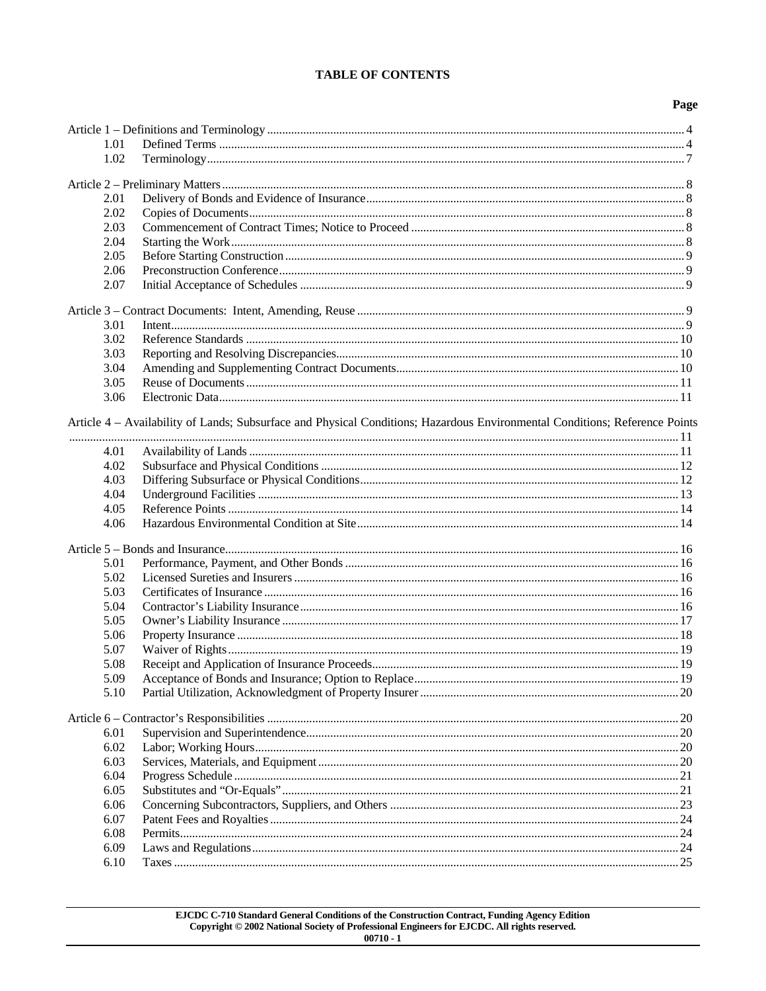#### **TABLE OF CONTENTS**

#### Page

| 1.01 |                                                                                                                             |     |
|------|-----------------------------------------------------------------------------------------------------------------------------|-----|
| 1.02 |                                                                                                                             |     |
|      |                                                                                                                             |     |
| 2.01 |                                                                                                                             |     |
| 2.02 |                                                                                                                             |     |
| 2.03 |                                                                                                                             |     |
| 2.04 |                                                                                                                             |     |
| 2.05 |                                                                                                                             |     |
| 2.06 |                                                                                                                             |     |
| 2.07 |                                                                                                                             |     |
|      |                                                                                                                             |     |
| 3.01 |                                                                                                                             |     |
| 3.02 |                                                                                                                             |     |
| 3.03 |                                                                                                                             |     |
| 3.04 |                                                                                                                             |     |
| 3.05 |                                                                                                                             |     |
| 3.06 |                                                                                                                             |     |
|      | Article 4 - Availability of Lands; Subsurface and Physical Conditions; Hazardous Environmental Conditions; Reference Points |     |
|      |                                                                                                                             |     |
| 4.01 |                                                                                                                             |     |
| 4.02 |                                                                                                                             |     |
| 4.03 |                                                                                                                             |     |
| 4.04 |                                                                                                                             |     |
| 4.05 |                                                                                                                             |     |
| 4.06 |                                                                                                                             |     |
|      |                                                                                                                             |     |
| 5.01 |                                                                                                                             |     |
| 5.02 |                                                                                                                             |     |
| 5.03 |                                                                                                                             |     |
| 5.04 |                                                                                                                             |     |
| 5.05 |                                                                                                                             |     |
| 5.06 |                                                                                                                             |     |
| 5.07 |                                                                                                                             |     |
| 5.08 |                                                                                                                             |     |
| 5.09 |                                                                                                                             |     |
| 5.10 |                                                                                                                             |     |
|      |                                                                                                                             |     |
| 6.01 |                                                                                                                             |     |
| 6.02 |                                                                                                                             |     |
| 6.03 |                                                                                                                             |     |
| 6.04 |                                                                                                                             | 21  |
| 6.05 |                                                                                                                             | .21 |
| 6.06 |                                                                                                                             |     |
| 6.07 |                                                                                                                             |     |
| 6.08 |                                                                                                                             |     |
| 6.09 |                                                                                                                             |     |
| 6.10 |                                                                                                                             |     |
|      |                                                                                                                             |     |

EJCDC C-710 Standard General Conditions of the Construction Contract, Funding Agency Edition<br>Copyright © 2002 National Society of Professional Engineers for EJCDC. All rights reserved.<br> $00710 - 1$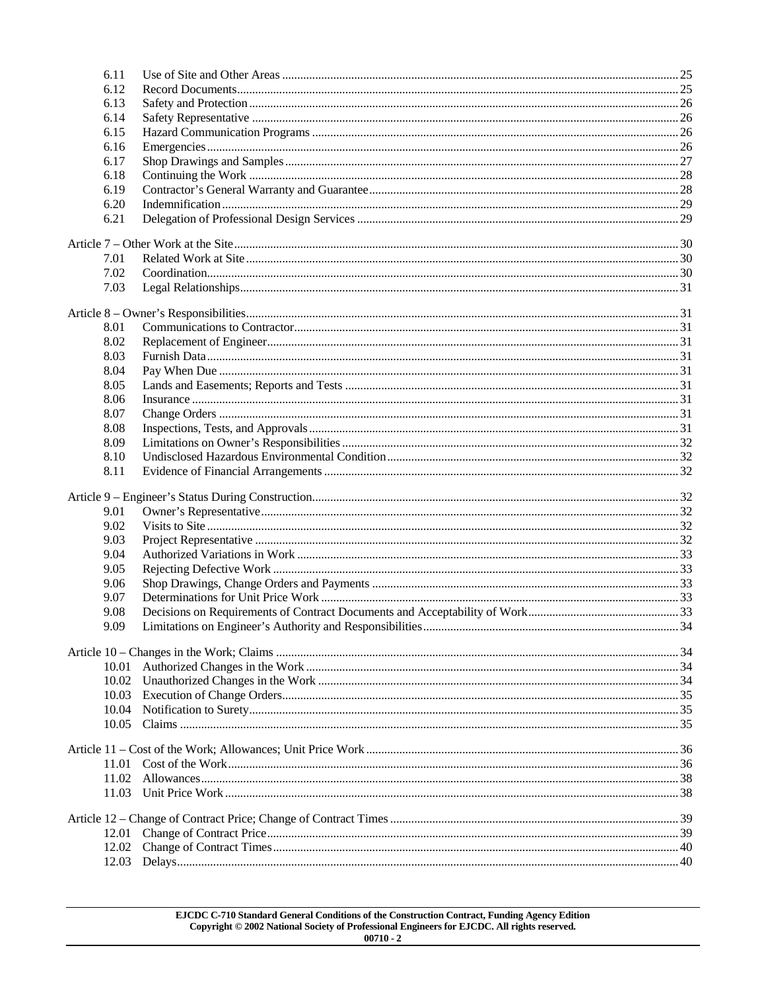| 6.11  |  |
|-------|--|
| 6.12  |  |
| 6.13  |  |
| 6.14  |  |
| 6.15  |  |
| 6.16  |  |
| 6.17  |  |
| 6.18  |  |
| 6.19  |  |
| 6.20  |  |
| 6.21  |  |
|       |  |
| 7.01  |  |
| 7.02  |  |
| 7.03  |  |
|       |  |
| 8.01  |  |
| 8.02  |  |
| 8.03  |  |
| 8.04  |  |
|       |  |
| 8.05  |  |
| 8.06  |  |
| 8.07  |  |
| 8.08  |  |
| 8.09  |  |
| 8.10  |  |
| 8.11  |  |
|       |  |
| 9.01  |  |
| 9.02  |  |
| 9.03  |  |
| 9.04  |  |
| 9.05  |  |
| 9.06  |  |
| 9.07  |  |
| 9.08  |  |
| 9.09  |  |
|       |  |
|       |  |
| 10.01 |  |
|       |  |
|       |  |
|       |  |
| 10.05 |  |
|       |  |
| 11.01 |  |
| 11.02 |  |
| 11.03 |  |
|       |  |
| 12.01 |  |
| 12.02 |  |
|       |  |
|       |  |

EJCDC C-710 Standard General Conditions of the Construction Contract, Funding Agency Edition<br>Copyright © 2002 National Society of Professional Engineers for EJCDC. All rights reserved.<br> $00710 - 2$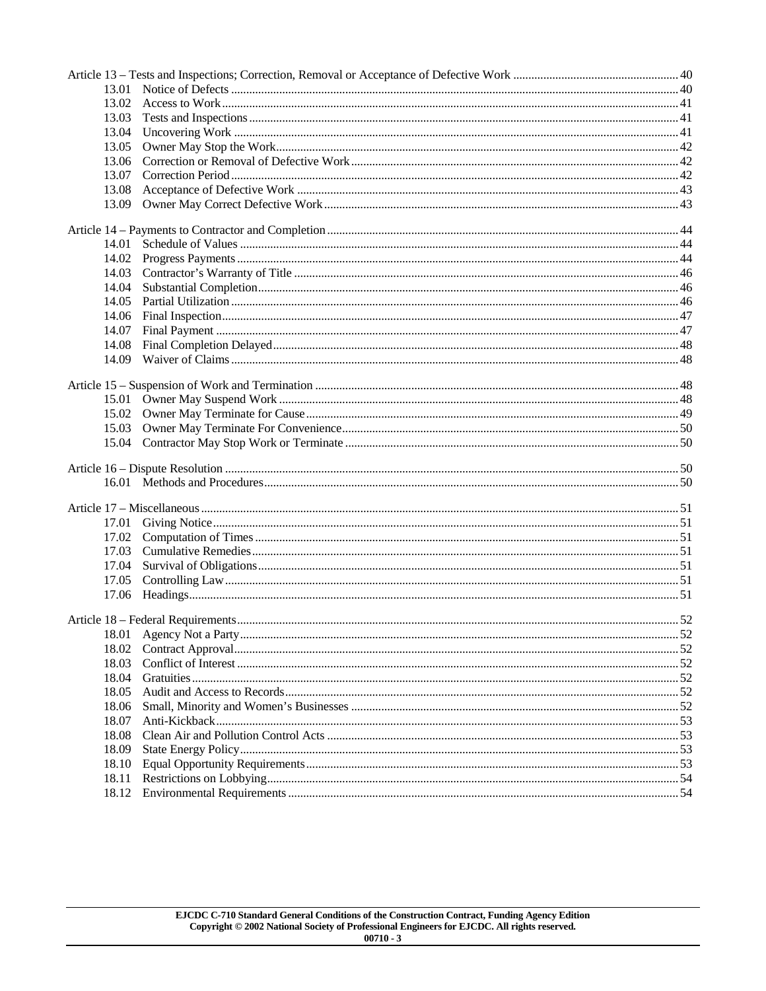| 13.01 |  |
|-------|--|
| 13.02 |  |
| 13.03 |  |
| 13.04 |  |
| 13.05 |  |
| 13.06 |  |
| 13.07 |  |
| 13.08 |  |
| 13.09 |  |
|       |  |
| 14.01 |  |
|       |  |
| 14.03 |  |
| 14.04 |  |
| 14.05 |  |
| 14.06 |  |
| 14.07 |  |
| 14.08 |  |
|       |  |
|       |  |
|       |  |
|       |  |
|       |  |
|       |  |
|       |  |
|       |  |
|       |  |
|       |  |
| 17.01 |  |
|       |  |
| 17.03 |  |
| 17.04 |  |
| 17.05 |  |
| 17.06 |  |
|       |  |
| 18.01 |  |
| 18.02 |  |
| 18.03 |  |
| 18.04 |  |
| 18.05 |  |
| 18.06 |  |
| 18.07 |  |
| 18.08 |  |
| 18.09 |  |
| 18.10 |  |
| 18.11 |  |
| 18.12 |  |
|       |  |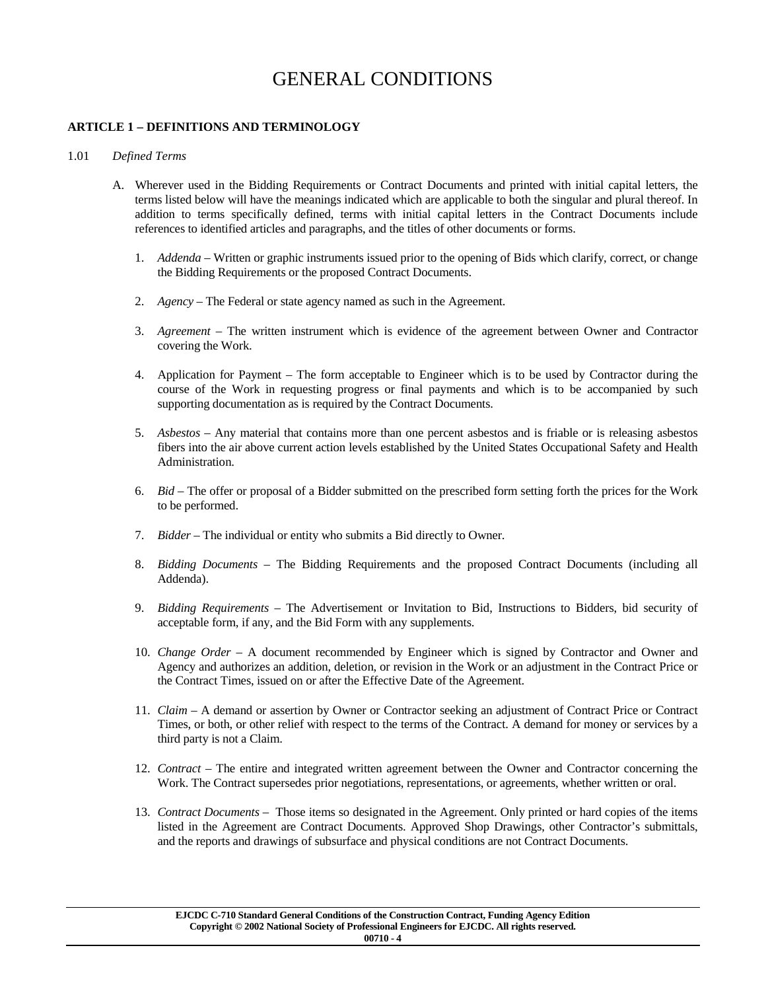# GENERAL CONDITIONS

#### **ARTICLE 1 – DEFINITIONS AND TERMINOLOGY**

#### 1.01 *Defined Terms*

- A. Wherever used in the Bidding Requirements or Contract Documents and printed with initial capital letters, the terms listed below will have the meanings indicated which are applicable to both the singular and plural thereof. In addition to terms specifically defined, terms with initial capital letters in the Contract Documents include references to identified articles and paragraphs, and the titles of other documents or forms.
	- 1. *Addenda –* Written or graphic instruments issued prior to the opening of Bids which clarify, correct, or change the Bidding Requirements or the proposed Contract Documents.
	- 2. *Agency* The Federal or state agency named as such in the Agreement.
	- 3. *Agreement –* The written instrument which is evidence of the agreement between Owner and Contractor covering the Work.
	- 4. Application for Payment The form acceptable to Engineer which is to be used by Contractor during the course of the Work in requesting progress or final payments and which is to be accompanied by such supporting documentation as is required by the Contract Documents.
	- 5. *Asbestos –* Any material that contains more than one percent asbestos and is friable or is releasing asbestos fibers into the air above current action levels established by the United States Occupational Safety and Health Administration.
	- 6. *Bid –* The offer or proposal of a Bidder submitted on the prescribed form setting forth the prices for the Work to be performed.
	- 7. *Bidder* The individual or entity who submits a Bid directly to Owner.
	- 8. *Bidding Documents –* The Bidding Requirements and the proposed Contract Documents (including all Addenda).
	- 9. *Bidding Requirements –* The Advertisement or Invitation to Bid, Instructions to Bidders, bid security of acceptable form, if any, and the Bid Form with any supplements.
	- 10. *Change Order –* A document recommended by Engineer which is signed by Contractor and Owner and Agency and authorizes an addition, deletion, or revision in the Work or an adjustment in the Contract Price or the Contract Times, issued on or after the Effective Date of the Agreement.
	- 11. *Claim –* A demand or assertion by Owner or Contractor seeking an adjustment of Contract Price or Contract Times, or both, or other relief with respect to the terms of the Contract. A demand for money or services by a third party is not a Claim.
	- 12. *Contract –* The entire and integrated written agreement between the Owner and Contractor concerning the Work. The Contract supersedes prior negotiations, representations, or agreements, whether written or oral.
	- 13. *Contract Documents –* Those items so designated in the Agreement. Only printed or hard copies of the items listed in the Agreement are Contract Documents. Approved Shop Drawings, other Contractor's submittals, and the reports and drawings of subsurface and physical conditions are not Contract Documents.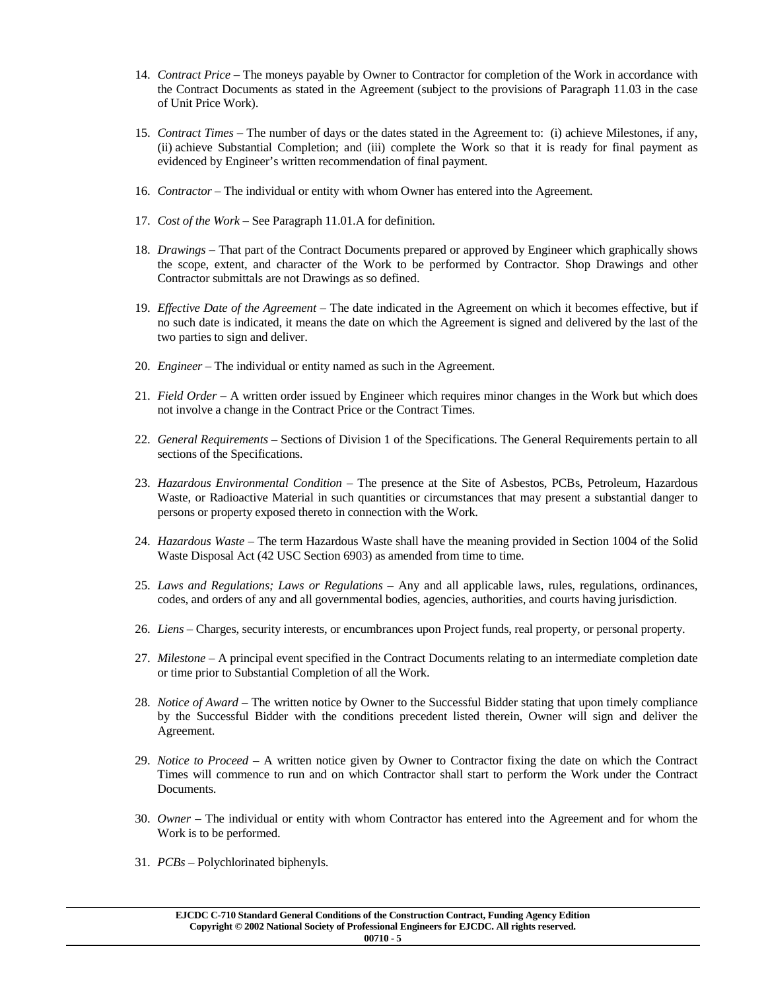- 14. *Contract Price –* The moneys payable by Owner to Contractor for completion of the Work in accordance with the Contract Documents as stated in the Agreement (subject to the provisions of Paragraph 11.03 in the case of Unit Price Work).
- 15. *Contract Times –* The number of days or the dates stated in the Agreement to: (i) achieve Milestones, if any, (ii) achieve Substantial Completion; and (iii) complete the Work so that it is ready for final payment as evidenced by Engineer's written recommendation of final payment.
- 16. *Contractor* The individual or entity with whom Owner has entered into the Agreement.
- 17. *Cost of the Work –* See Paragraph 11.01.A for definition.
- 18. *Drawings –* That part of the Contract Documents prepared or approved by Engineer which graphically shows the scope, extent, and character of the Work to be performed by Contractor. Shop Drawings and other Contractor submittals are not Drawings as so defined.
- 19. *Effective Date of the Agreement –* The date indicated in the Agreement on which it becomes effective, but if no such date is indicated, it means the date on which the Agreement is signed and delivered by the last of the two parties to sign and deliver.
- 20. *Engineer* The individual or entity named as such in the Agreement.
- 21. *Field Order –* A written order issued by Engineer which requires minor changes in the Work but which does not involve a change in the Contract Price or the Contract Times.
- 22. *General Requirements –* Sections of Division 1 of the Specifications. The General Requirements pertain to all sections of the Specifications.
- 23. *Hazardous Environmental Condition –* The presence at the Site of Asbestos, PCBs, Petroleum, Hazardous Waste, or Radioactive Material in such quantities or circumstances that may present a substantial danger to persons or property exposed thereto in connection with the Work.
- 24. *Hazardous Waste –* The term Hazardous Waste shall have the meaning provided in Section 1004 of the Solid Waste Disposal Act (42 USC Section 6903) as amended from time to time.
- 25. *Laws and Regulations; Laws or Regulations –* Any and all applicable laws, rules, regulations, ordinances, codes, and orders of any and all governmental bodies, agencies, authorities, and courts having jurisdiction.
- 26. *Liens –* Charges, security interests, or encumbrances upon Project funds, real property, or personal property.
- 27. *Milestone –* A principal event specified in the Contract Documents relating to an intermediate completion date or time prior to Substantial Completion of all the Work.
- 28. *Notice of Award –* The written notice by Owner to the Successful Bidder stating that upon timely compliance by the Successful Bidder with the conditions precedent listed therein, Owner will sign and deliver the Agreement.
- 29. *Notice to Proceed –* A written notice given by Owner to Contractor fixing the date on which the Contract Times will commence to run and on which Contractor shall start to perform the Work under the Contract Documents.
- 30. *Owner* The individual or entity with whom Contractor has entered into the Agreement and for whom the Work is to be performed.
- 31. *PCBs –* Polychlorinated biphenyls.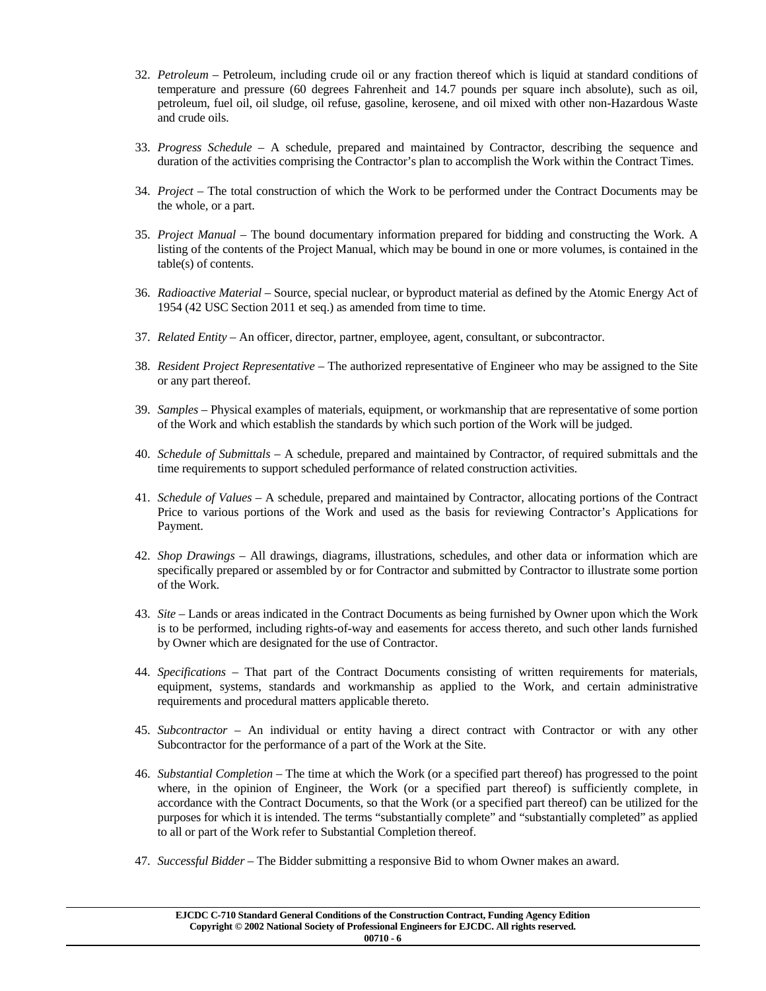- 32. *Petroleum –* Petroleum, including crude oil or any fraction thereof which is liquid at standard conditions of temperature and pressure (60 degrees Fahrenheit and 14.7 pounds per square inch absolute), such as oil, petroleum, fuel oil, oil sludge, oil refuse, gasoline, kerosene, and oil mixed with other non-Hazardous Waste and crude oils.
- 33. *Progress Schedule* A schedule, prepared and maintained by Contractor, describing the sequence and duration of the activities comprising the Contractor's plan to accomplish the Work within the Contract Times.
- 34. *Project –* The total construction of which the Work to be performed under the Contract Documents may be the whole, or a part.
- 35. *Project Manual –* The bound documentary information prepared for bidding and constructing the Work. A listing of the contents of the Project Manual, which may be bound in one or more volumes, is contained in the table(s) of contents.
- 36. *Radioactive Material –* Source, special nuclear, or byproduct material as defined by the Atomic Energy Act of 1954 (42 USC Section 2011 et seq.) as amended from time to time.
- 37. *Related Entity*  An officer, director, partner, employee, agent, consultant, or subcontractor.
- 38. *Resident Project Representative –* The authorized representative of Engineer who may be assigned to the Site or any part thereof.
- 39. *Samples –* Physical examples of materials, equipment, or workmanship that are representative of some portion of the Work and which establish the standards by which such portion of the Work will be judged.
- 40. *Schedule of Submittals* A schedule, prepared and maintained by Contractor, of required submittals and the time requirements to support scheduled performance of related construction activities.
- 41. *Schedule of Values* A schedule, prepared and maintained by Contractor, allocating portions of the Contract Price to various portions of the Work and used as the basis for reviewing Contractor's Applications for Payment.
- 42. *Shop Drawings –* All drawings, diagrams, illustrations, schedules, and other data or information which are specifically prepared or assembled by or for Contractor and submitted by Contractor to illustrate some portion of the Work.
- 43. *Site –* Lands or areas indicated in the Contract Documents as being furnished by Owner upon which the Work is to be performed, including rights-of-way and easements for access thereto, and such other lands furnished by Owner which are designated for the use of Contractor.
- 44. *Specifications –* That part of the Contract Documents consisting of written requirements for materials, equipment, systems, standards and workmanship as applied to the Work, and certain administrative requirements and procedural matters applicable thereto.
- 45. *Subcontractor –* An individual or entity having a direct contract with Contractor or with any other Subcontractor for the performance of a part of the Work at the Site.
- 46. *Substantial Completion –* The time at which the Work (or a specified part thereof) has progressed to the point where, in the opinion of Engineer, the Work (or a specified part thereof) is sufficiently complete, in accordance with the Contract Documents, so that the Work (or a specified part thereof) can be utilized for the purposes for which it is intended. The terms "substantially complete" and "substantially completed" as applied to all or part of the Work refer to Substantial Completion thereof.
- 47. *Successful Bidder* The Bidder submitting a responsive Bid to whom Owner makes an award.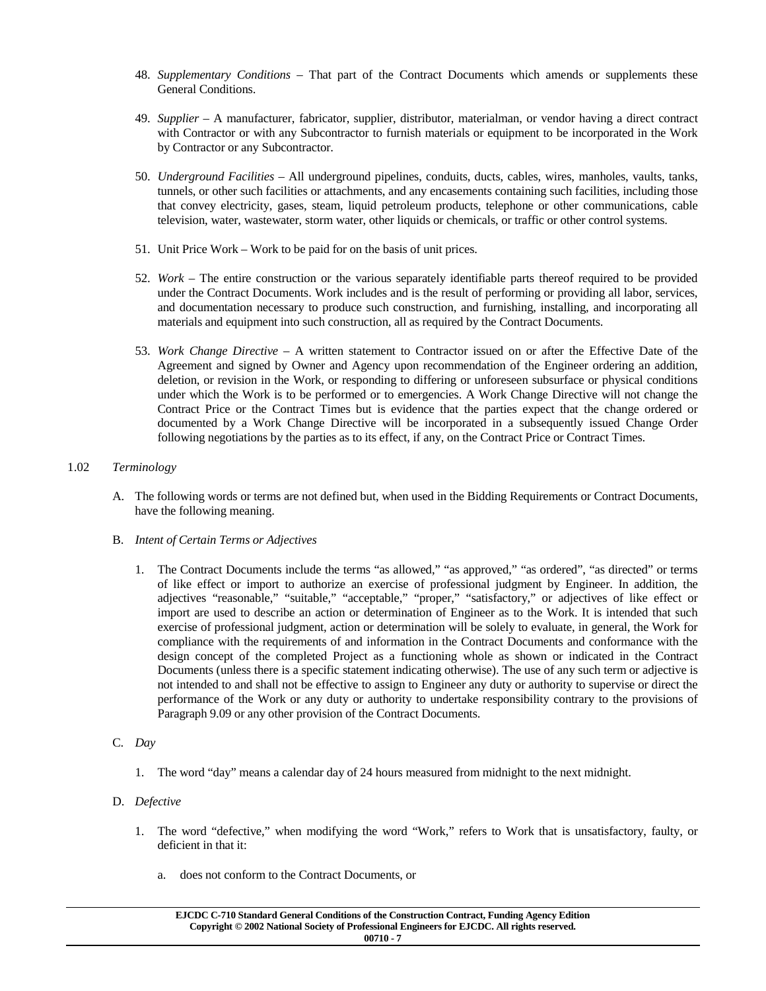- 48. *Supplementary Conditions –* That part of the Contract Documents which amends or supplements these General Conditions.
- 49. *Supplier –* A manufacturer, fabricator, supplier, distributor, materialman, or vendor having a direct contract with Contractor or with any Subcontractor to furnish materials or equipment to be incorporated in the Work by Contractor or any Subcontractor.
- 50. *Underground Facilities –* All underground pipelines, conduits, ducts, cables, wires, manholes, vaults, tanks, tunnels, or other such facilities or attachments, and any encasements containing such facilities, including those that convey electricity, gases, steam, liquid petroleum products, telephone or other communications, cable television, water, wastewater, storm water, other liquids or chemicals, or traffic or other control systems.
- 51. Unit Price Work Work to be paid for on the basis of unit prices.
- 52. *Work –* The entire construction or the various separately identifiable parts thereof required to be provided under the Contract Documents. Work includes and is the result of performing or providing all labor, services, and documentation necessary to produce such construction, and furnishing, installing, and incorporating all materials and equipment into such construction, all as required by the Contract Documents.
- 53. *Work Change Directive –* A written statement to Contractor issued on or after the Effective Date of the Agreement and signed by Owner and Agency upon recommendation of the Engineer ordering an addition, deletion, or revision in the Work, or responding to differing or unforeseen subsurface or physical conditions under which the Work is to be performed or to emergencies. A Work Change Directive will not change the Contract Price or the Contract Times but is evidence that the parties expect that the change ordered or documented by a Work Change Directive will be incorporated in a subsequently issued Change Order following negotiations by the parties as to its effect, if any, on the Contract Price or Contract Times.

#### 1.02 *Terminology*

- A. The following words or terms are not defined but, when used in the Bidding Requirements or Contract Documents, have the following meaning.
- B. *Intent of Certain Terms or Adjectives*
	- 1. The Contract Documents include the terms "as allowed," "as approved," "as ordered", "as directed" or terms of like effect or import to authorize an exercise of professional judgment by Engineer. In addition, the adjectives "reasonable," "suitable," "acceptable," "proper," "satisfactory," or adjectives of like effect or import are used to describe an action or determination of Engineer as to the Work. It is intended that such exercise of professional judgment, action or determination will be solely to evaluate, in general, the Work for compliance with the requirements of and information in the Contract Documents and conformance with the design concept of the completed Project as a functioning whole as shown or indicated in the Contract Documents (unless there is a specific statement indicating otherwise). The use of any such term or adjective is not intended to and shall not be effective to assign to Engineer any duty or authority to supervise or direct the performance of the Work or any duty or authority to undertake responsibility contrary to the provisions of Paragraph 9.09 or any other provision of the Contract Documents.
- C. *Day*
	- 1. The word "day" means a calendar day of 24 hours measured from midnight to the next midnight.

#### D. *Defective*

- 1. The word "defective," when modifying the word "Work," refers to Work that is unsatisfactory, faulty, or deficient in that it:
	- a. does not conform to the Contract Documents, or

**EJCDC C-710 Standard General Conditions of the Construction Contract, Funding Agency Edition Copyright © 2002 National Society of Professional Engineers for EJCDC. All rights reserved.**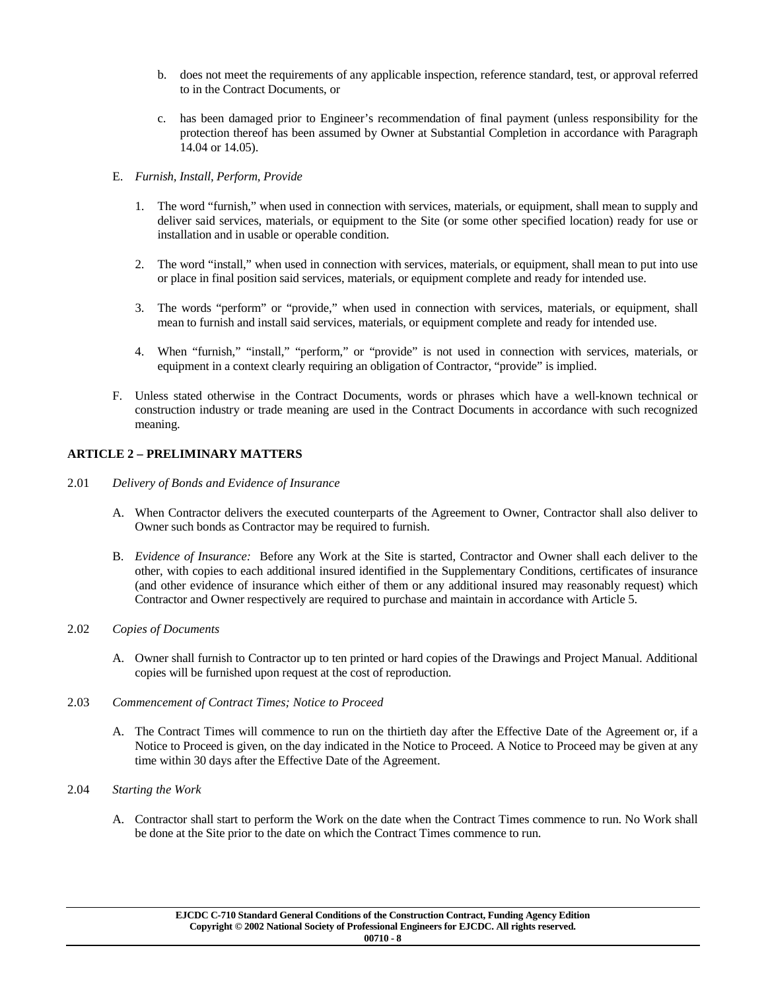- b. does not meet the requirements of any applicable inspection, reference standard, test, or approval referred to in the Contract Documents, or
- c. has been damaged prior to Engineer's recommendation of final payment (unless responsibility for the protection thereof has been assumed by Owner at Substantial Completion in accordance with Paragraph 14.04 or 14.05).
- E. *Furnish, Install, Perform, Provide*
	- 1. The word "furnish," when used in connection with services, materials, or equipment, shall mean to supply and deliver said services, materials, or equipment to the Site (or some other specified location) ready for use or installation and in usable or operable condition.
	- 2. The word "install," when used in connection with services, materials, or equipment, shall mean to put into use or place in final position said services, materials, or equipment complete and ready for intended use.
	- 3. The words "perform" or "provide," when used in connection with services, materials, or equipment, shall mean to furnish and install said services, materials, or equipment complete and ready for intended use.
	- 4. When "furnish," "install," "perform," or "provide" is not used in connection with services, materials, or equipment in a context clearly requiring an obligation of Contractor, "provide" is implied.
- F. Unless stated otherwise in the Contract Documents, words or phrases which have a well-known technical or construction industry or trade meaning are used in the Contract Documents in accordance with such recognized meaning.

### **ARTICLE 2 – PRELIMINARY MATTERS**

- 2.01 *Delivery of Bonds and Evidence of Insurance*
	- A. When Contractor delivers the executed counterparts of the Agreement to Owner, Contractor shall also deliver to Owner such bonds as Contractor may be required to furnish.
	- B. *Evidence of Insurance:* Before any Work at the Site is started, Contractor and Owner shall each deliver to the other, with copies to each additional insured identified in the Supplementary Conditions, certificates of insurance (and other evidence of insurance which either of them or any additional insured may reasonably request) which Contractor and Owner respectively are required to purchase and maintain in accordance with Article 5.
- 2.02 *Copies of Documents*
	- A. Owner shall furnish to Contractor up to ten printed or hard copies of the Drawings and Project Manual. Additional copies will be furnished upon request at the cost of reproduction.
- 2.03 *Commencement of Contract Times; Notice to Proceed*
	- A. The Contract Times will commence to run on the thirtieth day after the Effective Date of the Agreement or, if a Notice to Proceed is given, on the day indicated in the Notice to Proceed. A Notice to Proceed may be given at any time within 30 days after the Effective Date of the Agreement.
- 2.04 *Starting the Work*
	- A. Contractor shall start to perform the Work on the date when the Contract Times commence to run. No Work shall be done at the Site prior to the date on which the Contract Times commence to run.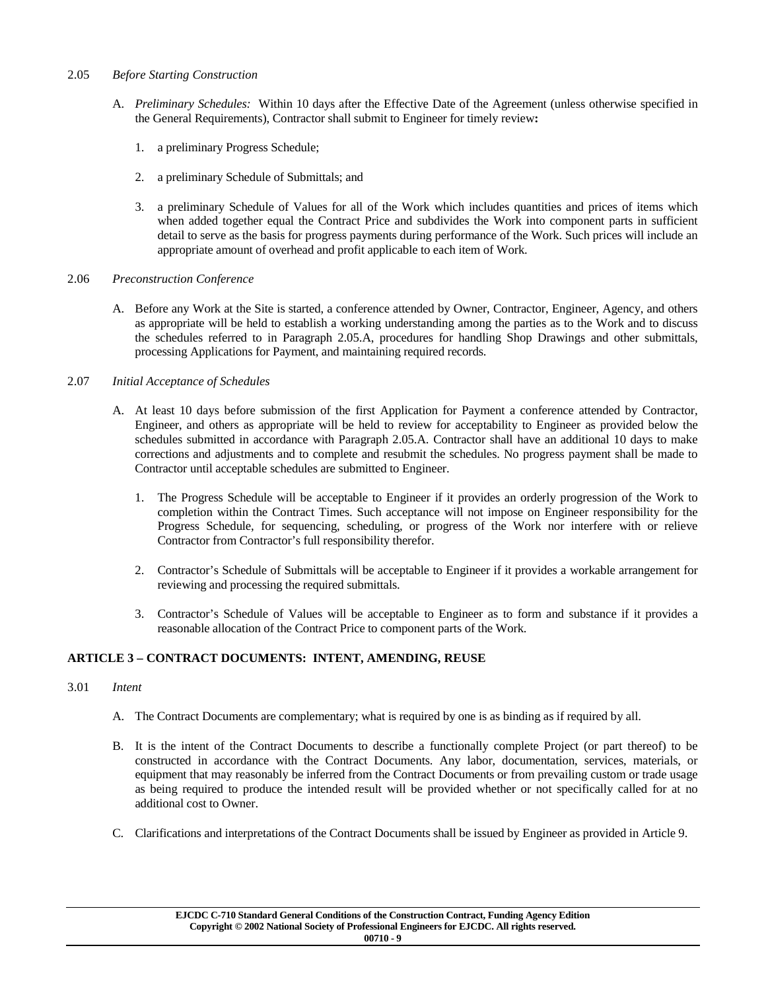#### 2.05 *Before Starting Construction*

- A. *Preliminary Schedules:* Within 10 days after the Effective Date of the Agreement (unless otherwise specified in the General Requirements), Contractor shall submit to Engineer for timely review**:**
	- 1. a preliminary Progress Schedule;
	- 2. a preliminary Schedule of Submittals; and
	- 3. a preliminary Schedule of Values for all of the Work which includes quantities and prices of items which when added together equal the Contract Price and subdivides the Work into component parts in sufficient detail to serve as the basis for progress payments during performance of the Work. Such prices will include an appropriate amount of overhead and profit applicable to each item of Work.

#### 2.06 *Preconstruction Conference*

A. Before any Work at the Site is started, a conference attended by Owner, Contractor, Engineer, Agency, and others as appropriate will be held to establish a working understanding among the parties as to the Work and to discuss the schedules referred to in Paragraph 2.05.A, procedures for handling Shop Drawings and other submittals, processing Applications for Payment, and maintaining required records.

#### 2.07 *Initial Acceptance of Schedules*

- A. At least 10 days before submission of the first Application for Payment a conference attended by Contractor, Engineer, and others as appropriate will be held to review for acceptability to Engineer as provided below the schedules submitted in accordance with Paragraph 2.05.A. Contractor shall have an additional 10 days to make corrections and adjustments and to complete and resubmit the schedules. No progress payment shall be made to Contractor until acceptable schedules are submitted to Engineer.
	- 1. The Progress Schedule will be acceptable to Engineer if it provides an orderly progression of the Work to completion within the Contract Times. Such acceptance will not impose on Engineer responsibility for the Progress Schedule, for sequencing, scheduling, or progress of the Work nor interfere with or relieve Contractor from Contractor's full responsibility therefor.
	- 2. Contractor's Schedule of Submittals will be acceptable to Engineer if it provides a workable arrangement for reviewing and processing the required submittals.
	- 3. Contractor's Schedule of Values will be acceptable to Engineer as to form and substance if it provides a reasonable allocation of the Contract Price to component parts of the Work.

#### **ARTICLE 3 – CONTRACT DOCUMENTS: INTENT, AMENDING, REUSE**

#### 3.01 *Intent*

- A. The Contract Documents are complementary; what is required by one is as binding as if required by all.
- B. It is the intent of the Contract Documents to describe a functionally complete Project (or part thereof) to be constructed in accordance with the Contract Documents. Any labor, documentation, services, materials, or equipment that may reasonably be inferred from the Contract Documents or from prevailing custom or trade usage as being required to produce the intended result will be provided whether or not specifically called for at no additional cost to Owner.
- C. Clarifications and interpretations of the Contract Documents shall be issued by Engineer as provided in Article 9.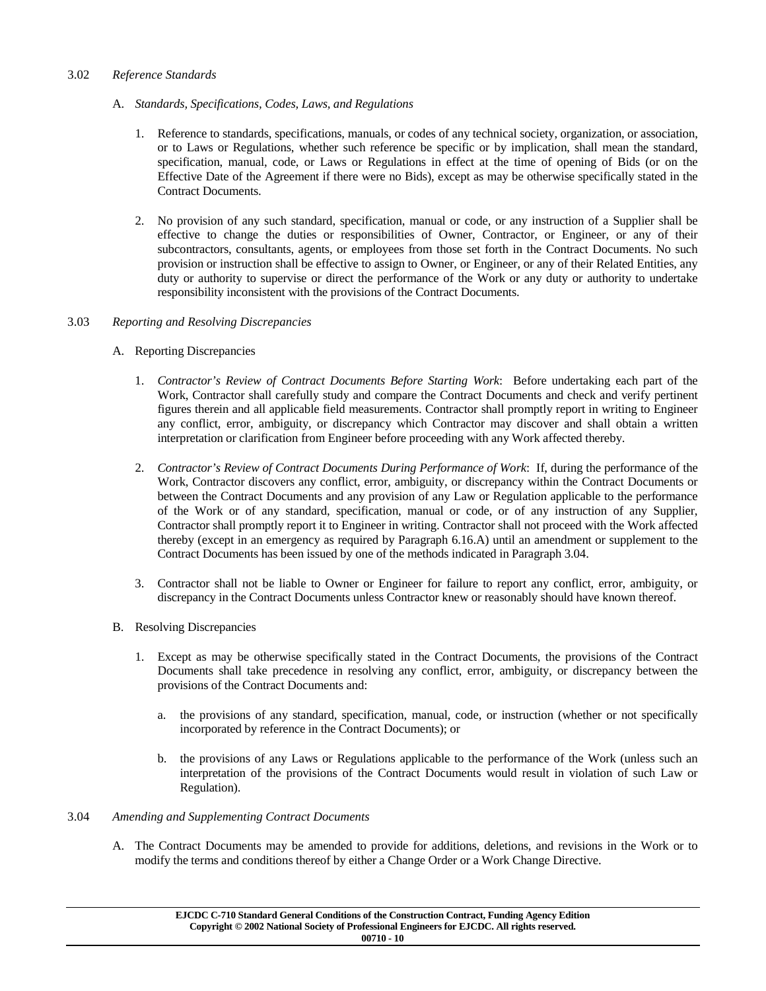#### 3.02 *Reference Standards*

- A. *Standards, Specifications, Codes, Laws, and Regulations*
	- 1. Reference to standards, specifications, manuals, or codes of any technical society, organization, or association, or to Laws or Regulations, whether such reference be specific or by implication, shall mean the standard, specification, manual, code, or Laws or Regulations in effect at the time of opening of Bids (or on the Effective Date of the Agreement if there were no Bids), except as may be otherwise specifically stated in the Contract Documents.
	- 2. No provision of any such standard, specification, manual or code, or any instruction of a Supplier shall be effective to change the duties or responsibilities of Owner, Contractor, or Engineer, or any of their subcontractors, consultants, agents, or employees from those set forth in the Contract Documents. No such provision or instruction shall be effective to assign to Owner, or Engineer, or any of their Related Entities, any duty or authority to supervise or direct the performance of the Work or any duty or authority to undertake responsibility inconsistent with the provisions of the Contract Documents.

#### 3.03 *Reporting and Resolving Discrepancies*

- A. Reporting Discrepancies
	- 1. *Contractor's Review of Contract Documents Before Starting Work*: Before undertaking each part of the Work, Contractor shall carefully study and compare the Contract Documents and check and verify pertinent figures therein and all applicable field measurements. Contractor shall promptly report in writing to Engineer any conflict, error, ambiguity, or discrepancy which Contractor may discover and shall obtain a written interpretation or clarification from Engineer before proceeding with any Work affected thereby.
	- 2. *Contractor's Review of Contract Documents During Performance of Work*: If, during the performance of the Work, Contractor discovers any conflict, error, ambiguity, or discrepancy within the Contract Documents or between the Contract Documents and any provision of any Law or Regulation applicable to the performance of the Work or of any standard, specification, manual or code, or of any instruction of any Supplier, Contractor shall promptly report it to Engineer in writing. Contractor shall not proceed with the Work affected thereby (except in an emergency as required by Paragraph 6.16.A) until an amendment or supplement to the Contract Documents has been issued by one of the methods indicated in Paragraph 3.04.
	- 3. Contractor shall not be liable to Owner or Engineer for failure to report any conflict, error, ambiguity, or discrepancy in the Contract Documents unless Contractor knew or reasonably should have known thereof.
- B. Resolving Discrepancies
	- 1. Except as may be otherwise specifically stated in the Contract Documents, the provisions of the Contract Documents shall take precedence in resolving any conflict, error, ambiguity, or discrepancy between the provisions of the Contract Documents and:
		- a. the provisions of any standard, specification, manual, code, or instruction (whether or not specifically incorporated by reference in the Contract Documents); or
		- b. the provisions of any Laws or Regulations applicable to the performance of the Work (unless such an interpretation of the provisions of the Contract Documents would result in violation of such Law or Regulation).

#### 3.04 *Amending and Supplementing Contract Documents*

A. The Contract Documents may be amended to provide for additions, deletions, and revisions in the Work or to modify the terms and conditions thereof by either a Change Order or a Work Change Directive.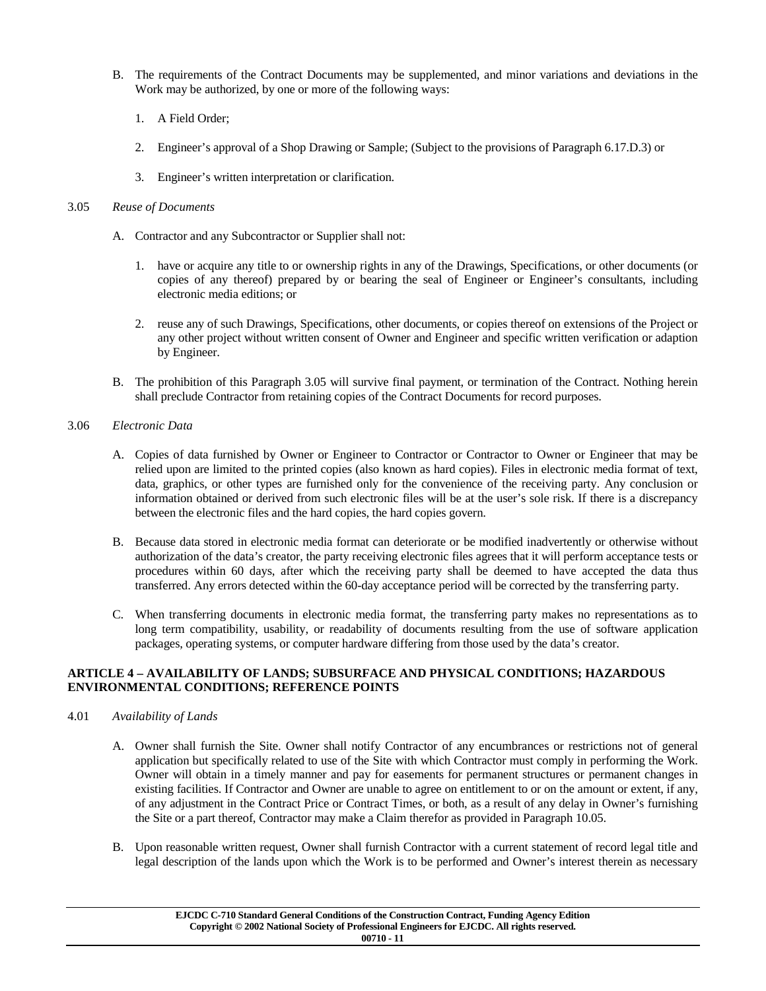- B. The requirements of the Contract Documents may be supplemented, and minor variations and deviations in the Work may be authorized, by one or more of the following ways:
	- 1. A Field Order;
	- 2. Engineer's approval of a Shop Drawing or Sample; (Subject to the provisions of Paragraph 6.17.D.3) or
	- 3. Engineer's written interpretation or clarification.

#### 3.05 *Reuse of Documents*

- A. Contractor and any Subcontractor or Supplier shall not:
	- 1. have or acquire any title to or ownership rights in any of the Drawings, Specifications, or other documents (or copies of any thereof) prepared by or bearing the seal of Engineer or Engineer's consultants, including electronic media editions; or
	- 2. reuse any of such Drawings, Specifications, other documents, or copies thereof on extensions of the Project or any other project without written consent of Owner and Engineer and specific written verification or adaption by Engineer.
- B. The prohibition of this Paragraph 3.05 will survive final payment, or termination of the Contract. Nothing herein shall preclude Contractor from retaining copies of the Contract Documents for record purposes.

#### 3.06 *Electronic Data*

- A. Copies of data furnished by Owner or Engineer to Contractor or Contractor to Owner or Engineer that may be relied upon are limited to the printed copies (also known as hard copies). Files in electronic media format of text, data, graphics, or other types are furnished only for the convenience of the receiving party. Any conclusion or information obtained or derived from such electronic files will be at the user's sole risk. If there is a discrepancy between the electronic files and the hard copies, the hard copies govern.
- B. Because data stored in electronic media format can deteriorate or be modified inadvertently or otherwise without authorization of the data's creator, the party receiving electronic files agrees that it will perform acceptance tests or procedures within 60 days, after which the receiving party shall be deemed to have accepted the data thus transferred. Any errors detected within the 60-day acceptance period will be corrected by the transferring party.
- C. When transferring documents in electronic media format, the transferring party makes no representations as to long term compatibility, usability, or readability of documents resulting from the use of software application packages, operating systems, or computer hardware differing from those used by the data's creator.

#### **ARTICLE 4 – AVAILABILITY OF LANDS; SUBSURFACE AND PHYSICAL CONDITIONS; HAZARDOUS ENVIRONMENTAL CONDITIONS; REFERENCE POINTS**

- 4.01 *Availability of Lands*
	- A. Owner shall furnish the Site. Owner shall notify Contractor of any encumbrances or restrictions not of general application but specifically related to use of the Site with which Contractor must comply in performing the Work. Owner will obtain in a timely manner and pay for easements for permanent structures or permanent changes in existing facilities. If Contractor and Owner are unable to agree on entitlement to or on the amount or extent, if any, of any adjustment in the Contract Price or Contract Times, or both, as a result of any delay in Owner's furnishing the Site or a part thereof, Contractor may make a Claim therefor as provided in Paragraph 10.05.
	- B. Upon reasonable written request, Owner shall furnish Contractor with a current statement of record legal title and legal description of the lands upon which the Work is to be performed and Owner's interest therein as necessary

**EJCDC C-710 Standard General Conditions of the Construction Contract, Funding Agency Edition Copyright © 2002 National Society of Professional Engineers for EJCDC. All rights reserved. 00710 - 11**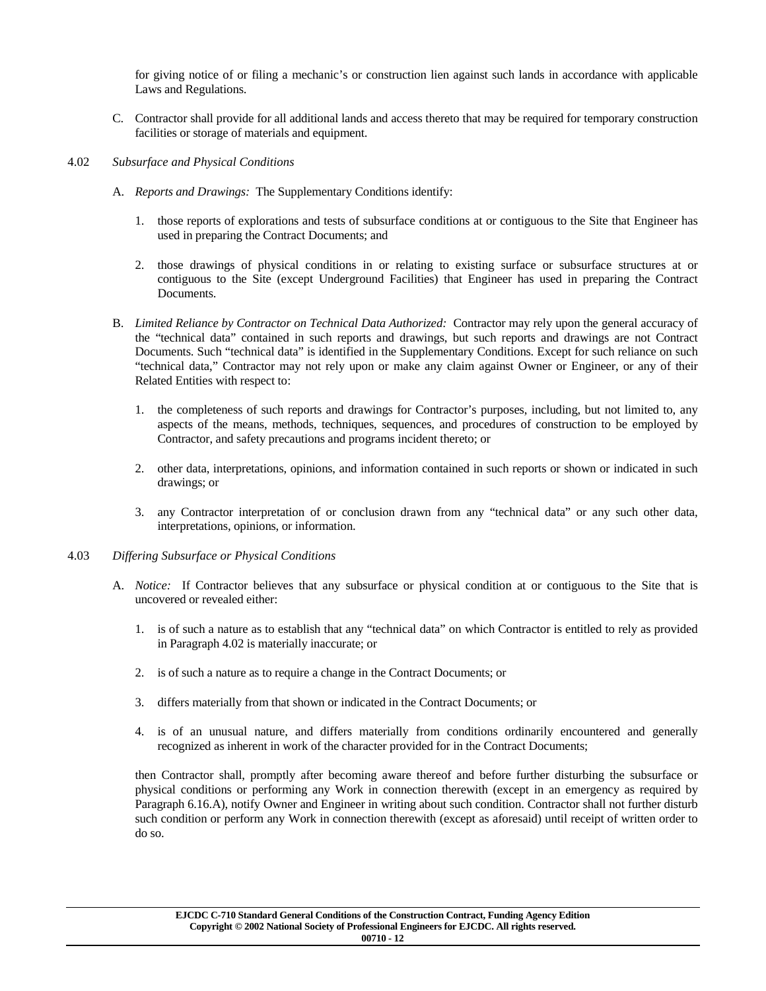for giving notice of or filing a mechanic's or construction lien against such lands in accordance with applicable Laws and Regulations.

C. Contractor shall provide for all additional lands and access thereto that may be required for temporary construction facilities or storage of materials and equipment.

#### 4.02 *Subsurface and Physical Conditions*

- A. *Reports and Drawings:* The Supplementary Conditions identify:
	- 1. those reports of explorations and tests of subsurface conditions at or contiguous to the Site that Engineer has used in preparing the Contract Documents; and
	- 2. those drawings of physical conditions in or relating to existing surface or subsurface structures at or contiguous to the Site (except Underground Facilities) that Engineer has used in preparing the Contract Documents.
- B. *Limited Reliance by Contractor on Technical Data Authorized:* Contractor may rely upon the general accuracy of the "technical data" contained in such reports and drawings, but such reports and drawings are not Contract Documents. Such "technical data" is identified in the Supplementary Conditions. Except for such reliance on such "technical data," Contractor may not rely upon or make any claim against Owner or Engineer, or any of their Related Entities with respect to:
	- 1. the completeness of such reports and drawings for Contractor's purposes, including, but not limited to, any aspects of the means, methods, techniques, sequences, and procedures of construction to be employed by Contractor, and safety precautions and programs incident thereto; or
	- 2. other data, interpretations, opinions, and information contained in such reports or shown or indicated in such drawings; or
	- 3. any Contractor interpretation of or conclusion drawn from any "technical data" or any such other data, interpretations, opinions, or information.
- 4.03 *Differing Subsurface or Physical Conditions*
	- A. *Notice:* If Contractor believes that any subsurface or physical condition at or contiguous to the Site that is uncovered or revealed either:
		- 1. is of such a nature as to establish that any "technical data" on which Contractor is entitled to rely as provided in Paragraph 4.02 is materially inaccurate; or
		- 2. is of such a nature as to require a change in the Contract Documents; or
		- 3. differs materially from that shown or indicated in the Contract Documents; or
		- 4. is of an unusual nature, and differs materially from conditions ordinarily encountered and generally recognized as inherent in work of the character provided for in the Contract Documents;

then Contractor shall, promptly after becoming aware thereof and before further disturbing the subsurface or physical conditions or performing any Work in connection therewith (except in an emergency as required by Paragraph 6.16.A), notify Owner and Engineer in writing about such condition. Contractor shall not further disturb such condition or perform any Work in connection therewith (except as aforesaid) until receipt of written order to do so.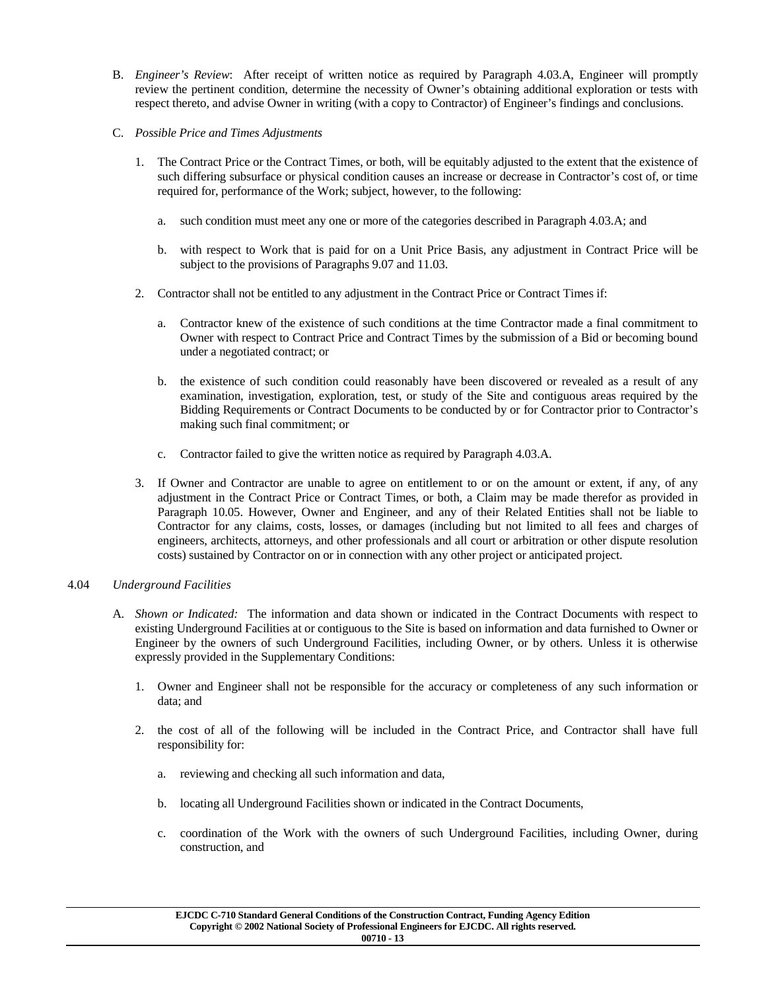- B. *Engineer's Review*: After receipt of written notice as required by Paragraph 4.03.A, Engineer will promptly review the pertinent condition, determine the necessity of Owner's obtaining additional exploration or tests with respect thereto, and advise Owner in writing (with a copy to Contractor) of Engineer's findings and conclusions.
- C. *Possible Price and Times Adjustments*
	- 1. The Contract Price or the Contract Times, or both, will be equitably adjusted to the extent that the existence of such differing subsurface or physical condition causes an increase or decrease in Contractor's cost of, or time required for, performance of the Work; subject, however, to the following:
		- a. such condition must meet any one or more of the categories described in Paragraph 4.03.A; and
		- b. with respect to Work that is paid for on a Unit Price Basis, any adjustment in Contract Price will be subject to the provisions of Paragraphs 9.07 and 11.03.
	- 2. Contractor shall not be entitled to any adjustment in the Contract Price or Contract Times if:
		- a. Contractor knew of the existence of such conditions at the time Contractor made a final commitment to Owner with respect to Contract Price and Contract Times by the submission of a Bid or becoming bound under a negotiated contract; or
		- b. the existence of such condition could reasonably have been discovered or revealed as a result of any examination, investigation, exploration, test, or study of the Site and contiguous areas required by the Bidding Requirements or Contract Documents to be conducted by or for Contractor prior to Contractor's making such final commitment; or
		- c. Contractor failed to give the written notice as required by Paragraph 4.03.A.
	- 3. If Owner and Contractor are unable to agree on entitlement to or on the amount or extent, if any, of any adjustment in the Contract Price or Contract Times, or both, a Claim may be made therefor as provided in Paragraph 10.05. However, Owner and Engineer, and any of their Related Entities shall not be liable to Contractor for any claims, costs, losses, or damages (including but not limited to all fees and charges of engineers, architects, attorneys, and other professionals and all court or arbitration or other dispute resolution costs) sustained by Contractor on or in connection with any other project or anticipated project.

#### 4.04 *Underground Facilities*

- A. *Shown or Indicated:* The information and data shown or indicated in the Contract Documents with respect to existing Underground Facilities at or contiguous to the Site is based on information and data furnished to Owner or Engineer by the owners of such Underground Facilities, including Owner, or by others. Unless it is otherwise expressly provided in the Supplementary Conditions:
	- 1. Owner and Engineer shall not be responsible for the accuracy or completeness of any such information or data; and
	- 2. the cost of all of the following will be included in the Contract Price, and Contractor shall have full responsibility for:
		- a. reviewing and checking all such information and data,
		- b. locating all Underground Facilities shown or indicated in the Contract Documents,
		- c. coordination of the Work with the owners of such Underground Facilities, including Owner, during construction, and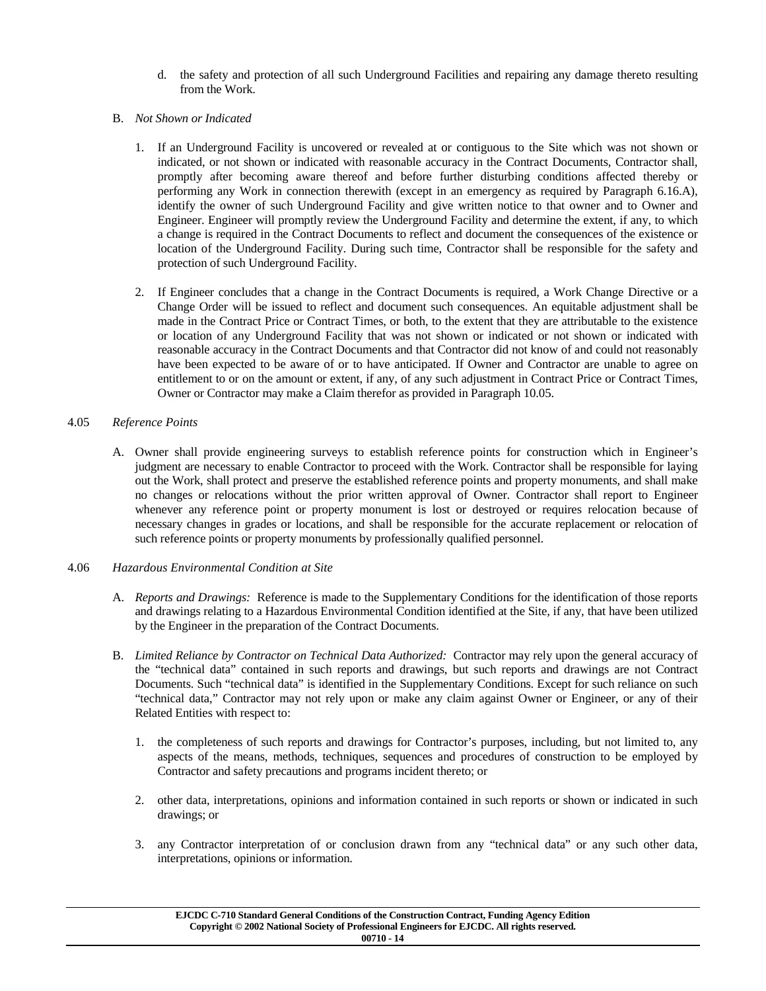- d. the safety and protection of all such Underground Facilities and repairing any damage thereto resulting from the Work.
- B. *Not Shown or Indicated*
	- 1. If an Underground Facility is uncovered or revealed at or contiguous to the Site which was not shown or indicated, or not shown or indicated with reasonable accuracy in the Contract Documents, Contractor shall, promptly after becoming aware thereof and before further disturbing conditions affected thereby or performing any Work in connection therewith (except in an emergency as required by Paragraph 6.16.A), identify the owner of such Underground Facility and give written notice to that owner and to Owner and Engineer. Engineer will promptly review the Underground Facility and determine the extent, if any, to which a change is required in the Contract Documents to reflect and document the consequences of the existence or location of the Underground Facility. During such time, Contractor shall be responsible for the safety and protection of such Underground Facility.
	- 2. If Engineer concludes that a change in the Contract Documents is required, a Work Change Directive or a Change Order will be issued to reflect and document such consequences. An equitable adjustment shall be made in the Contract Price or Contract Times, or both, to the extent that they are attributable to the existence or location of any Underground Facility that was not shown or indicated or not shown or indicated with reasonable accuracy in the Contract Documents and that Contractor did not know of and could not reasonably have been expected to be aware of or to have anticipated. If Owner and Contractor are unable to agree on entitlement to or on the amount or extent, if any, of any such adjustment in Contract Price or Contract Times, Owner or Contractor may make a Claim therefor as provided in Paragraph 10.05.
- 4.05 *Reference Points*
	- A. Owner shall provide engineering surveys to establish reference points for construction which in Engineer's judgment are necessary to enable Contractor to proceed with the Work. Contractor shall be responsible for laying out the Work, shall protect and preserve the established reference points and property monuments, and shall make no changes or relocations without the prior written approval of Owner. Contractor shall report to Engineer whenever any reference point or property monument is lost or destroyed or requires relocation because of necessary changes in grades or locations, and shall be responsible for the accurate replacement or relocation of such reference points or property monuments by professionally qualified personnel.
- 4.06 *Hazardous Environmental Condition at Site*
	- A. *Reports and Drawings:* Reference is made to the Supplementary Conditions for the identification of those reports and drawings relating to a Hazardous Environmental Condition identified at the Site, if any, that have been utilized by the Engineer in the preparation of the Contract Documents.
	- B. *Limited Reliance by Contractor on Technical Data Authorized:* Contractor may rely upon the general accuracy of the "technical data" contained in such reports and drawings, but such reports and drawings are not Contract Documents. Such "technical data" is identified in the Supplementary Conditions. Except for such reliance on such "technical data," Contractor may not rely upon or make any claim against Owner or Engineer, or any of their Related Entities with respect to:
		- 1. the completeness of such reports and drawings for Contractor's purposes, including, but not limited to, any aspects of the means, methods, techniques, sequences and procedures of construction to be employed by Contractor and safety precautions and programs incident thereto; or
		- 2. other data, interpretations, opinions and information contained in such reports or shown or indicated in such drawings; or
		- 3. any Contractor interpretation of or conclusion drawn from any "technical data" or any such other data, interpretations, opinions or information.

**EJCDC C-710 Standard General Conditions of the Construction Contract, Funding Agency Edition Copyright © 2002 National Society of Professional Engineers for EJCDC. All rights reserved. 00710 - 14**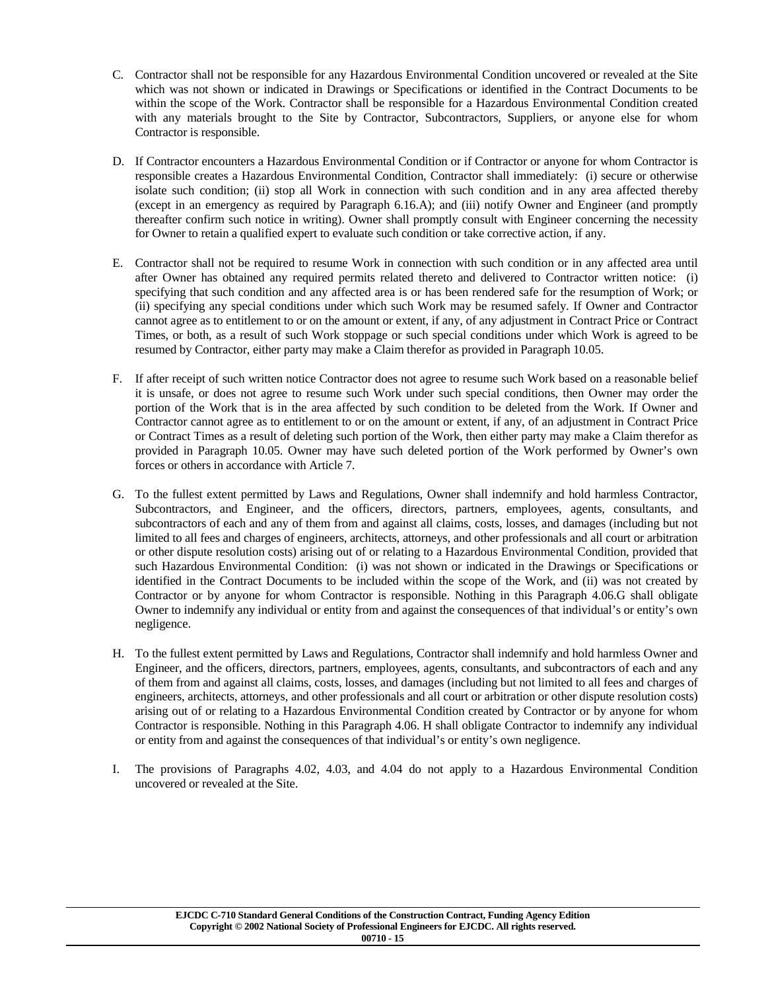- C. Contractor shall not be responsible for any Hazardous Environmental Condition uncovered or revealed at the Site which was not shown or indicated in Drawings or Specifications or identified in the Contract Documents to be within the scope of the Work. Contractor shall be responsible for a Hazardous Environmental Condition created with any materials brought to the Site by Contractor, Subcontractors, Suppliers, or anyone else for whom Contractor is responsible.
- D. If Contractor encounters a Hazardous Environmental Condition or if Contractor or anyone for whom Contractor is responsible creates a Hazardous Environmental Condition, Contractor shall immediately: (i) secure or otherwise isolate such condition; (ii) stop all Work in connection with such condition and in any area affected thereby (except in an emergency as required by Paragraph 6.16.A); and (iii) notify Owner and Engineer (and promptly thereafter confirm such notice in writing). Owner shall promptly consult with Engineer concerning the necessity for Owner to retain a qualified expert to evaluate such condition or take corrective action, if any.
- E. Contractor shall not be required to resume Work in connection with such condition or in any affected area until after Owner has obtained any required permits related thereto and delivered to Contractor written notice: (i) specifying that such condition and any affected area is or has been rendered safe for the resumption of Work; or (ii) specifying any special conditions under which such Work may be resumed safely. If Owner and Contractor cannot agree as to entitlement to or on the amount or extent, if any, of any adjustment in Contract Price or Contract Times, or both, as a result of such Work stoppage or such special conditions under which Work is agreed to be resumed by Contractor, either party may make a Claim therefor as provided in Paragraph 10.05.
- F. If after receipt of such written notice Contractor does not agree to resume such Work based on a reasonable belief it is unsafe, or does not agree to resume such Work under such special conditions, then Owner may order the portion of the Work that is in the area affected by such condition to be deleted from the Work. If Owner and Contractor cannot agree as to entitlement to or on the amount or extent, if any, of an adjustment in Contract Price or Contract Times as a result of deleting such portion of the Work, then either party may make a Claim therefor as provided in Paragraph 10.05. Owner may have such deleted portion of the Work performed by Owner's own forces or others in accordance with Article 7.
- G. To the fullest extent permitted by Laws and Regulations, Owner shall indemnify and hold harmless Contractor, Subcontractors, and Engineer, and the officers, directors, partners, employees, agents, consultants, and subcontractors of each and any of them from and against all claims, costs, losses, and damages (including but not limited to all fees and charges of engineers, architects, attorneys, and other professionals and all court or arbitration or other dispute resolution costs) arising out of or relating to a Hazardous Environmental Condition, provided that such Hazardous Environmental Condition: (i) was not shown or indicated in the Drawings or Specifications or identified in the Contract Documents to be included within the scope of the Work, and (ii) was not created by Contractor or by anyone for whom Contractor is responsible. Nothing in this Paragraph 4.06.G shall obligate Owner to indemnify any individual or entity from and against the consequences of that individual's or entity's own negligence.
- H. To the fullest extent permitted by Laws and Regulations, Contractor shall indemnify and hold harmless Owner and Engineer, and the officers, directors, partners, employees, agents, consultants, and subcontractors of each and any of them from and against all claims, costs, losses, and damages (including but not limited to all fees and charges of engineers, architects, attorneys, and other professionals and all court or arbitration or other dispute resolution costs) arising out of or relating to a Hazardous Environmental Condition created by Contractor or by anyone for whom Contractor is responsible. Nothing in this Paragraph 4.06. H shall obligate Contractor to indemnify any individual or entity from and against the consequences of that individual's or entity's own negligence.
- I. The provisions of Paragraphs 4.02, 4.03, and 4.04 do not apply to a Hazardous Environmental Condition uncovered or revealed at the Site.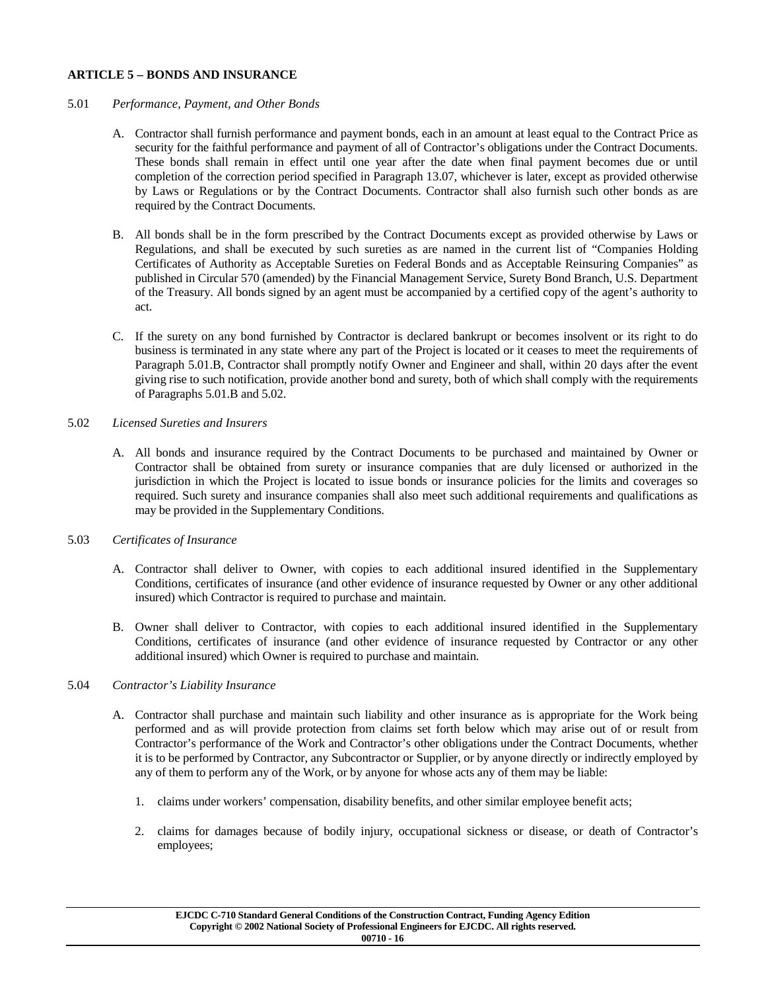#### **ARTICLE 5 – BONDS AND INSURANCE**

- 5.01 *Performance, Payment, and Other Bonds*
	- A. Contractor shall furnish performance and payment bonds, each in an amount at least equal to the Contract Price as security for the faithful performance and payment of all of Contractor's obligations under the Contract Documents. These bonds shall remain in effect until one year after the date when final payment becomes due or until completion of the correction period specified in Paragraph 13.07, whichever is later, except as provided otherwise by Laws or Regulations or by the Contract Documents. Contractor shall also furnish such other bonds as are required by the Contract Documents.
	- B. All bonds shall be in the form prescribed by the Contract Documents except as provided otherwise by Laws or Regulations, and shall be executed by such sureties as are named in the current list of "Companies Holding Certificates of Authority as Acceptable Sureties on Federal Bonds and as Acceptable Reinsuring Companies" as published in Circular 570 (amended) by the Financial Management Service, Surety Bond Branch, U.S. Department of the Treasury. All bonds signed by an agent must be accompanied by a certified copy of the agent's authority to act.
	- C. If the surety on any bond furnished by Contractor is declared bankrupt or becomes insolvent or its right to do business is terminated in any state where any part of the Project is located or it ceases to meet the requirements of Paragraph 5.01.B, Contractor shall promptly notify Owner and Engineer and shall, within 20 days after the event giving rise to such notification, provide another bond and surety, both of which shall comply with the requirements of Paragraphs 5.01.B and 5.02.
- 5.02 *Licensed Sureties and Insurers*
	- A. All bonds and insurance required by the Contract Documents to be purchased and maintained by Owner or Contractor shall be obtained from surety or insurance companies that are duly licensed or authorized in the jurisdiction in which the Project is located to issue bonds or insurance policies for the limits and coverages so required. Such surety and insurance companies shall also meet such additional requirements and qualifications as may be provided in the Supplementary Conditions.
- 5.03 *Certificates of Insurance*
	- A. Contractor shall deliver to Owner, with copies to each additional insured identified in the Supplementary Conditions, certificates of insurance (and other evidence of insurance requested by Owner or any other additional insured) which Contractor is required to purchase and maintain.
	- B. Owner shall deliver to Contractor, with copies to each additional insured identified in the Supplementary Conditions, certificates of insurance (and other evidence of insurance requested by Contractor or any other additional insured) which Owner is required to purchase and maintain.

#### 5.04 *Contractor's Liability Insurance*

- A. Contractor shall purchase and maintain such liability and other insurance as is appropriate for the Work being performed and as will provide protection from claims set forth below which may arise out of or result from Contractor's performance of the Work and Contractor's other obligations under the Contract Documents, whether it is to be performed by Contractor, any Subcontractor or Supplier, or by anyone directly or indirectly employed by any of them to perform any of the Work, or by anyone for whose acts any of them may be liable:
	- 1. claims under workers' compensation, disability benefits, and other similar employee benefit acts;
	- 2. claims for damages because of bodily injury, occupational sickness or disease, or death of Contractor's employees;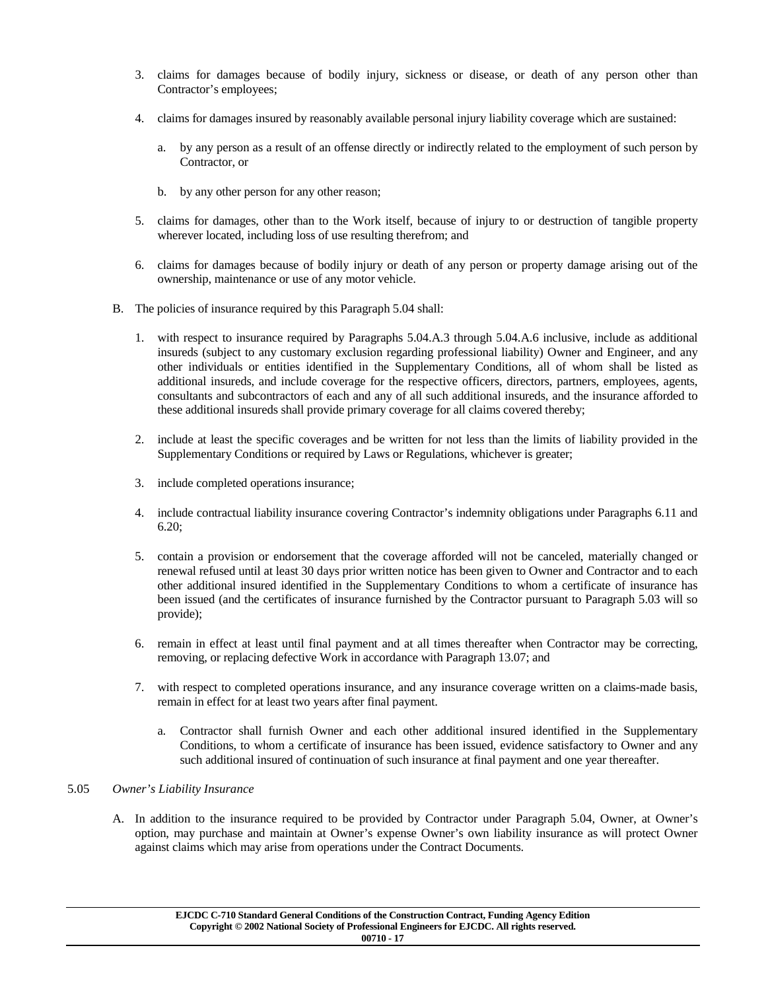- 3. claims for damages because of bodily injury, sickness or disease, or death of any person other than Contractor's employees;
- 4. claims for damages insured by reasonably available personal injury liability coverage which are sustained:
	- a. by any person as a result of an offense directly or indirectly related to the employment of such person by Contractor, or
	- b. by any other person for any other reason;
- 5. claims for damages, other than to the Work itself, because of injury to or destruction of tangible property wherever located, including loss of use resulting therefrom; and
- 6. claims for damages because of bodily injury or death of any person or property damage arising out of the ownership, maintenance or use of any motor vehicle.
- B. The policies of insurance required by this Paragraph 5.04 shall:
	- 1. with respect to insurance required by Paragraphs 5.04.A.3 through 5.04.A.6 inclusive, include as additional insureds (subject to any customary exclusion regarding professional liability) Owner and Engineer, and any other individuals or entities identified in the Supplementary Conditions, all of whom shall be listed as additional insureds, and include coverage for the respective officers, directors, partners, employees, agents, consultants and subcontractors of each and any of all such additional insureds, and the insurance afforded to these additional insureds shall provide primary coverage for all claims covered thereby;
	- 2. include at least the specific coverages and be written for not less than the limits of liability provided in the Supplementary Conditions or required by Laws or Regulations, whichever is greater;
	- 3. include completed operations insurance;
	- 4. include contractual liability insurance covering Contractor's indemnity obligations under Paragraphs 6.11 and 6.20;
	- 5. contain a provision or endorsement that the coverage afforded will not be canceled, materially changed or renewal refused until at least 30 days prior written notice has been given to Owner and Contractor and to each other additional insured identified in the Supplementary Conditions to whom a certificate of insurance has been issued (and the certificates of insurance furnished by the Contractor pursuant to Paragraph 5.03 will so provide);
	- 6. remain in effect at least until final payment and at all times thereafter when Contractor may be correcting, removing, or replacing defective Work in accordance with Paragraph 13.07; and
	- 7. with respect to completed operations insurance, and any insurance coverage written on a claims-made basis, remain in effect for at least two years after final payment.
		- a. Contractor shall furnish Owner and each other additional insured identified in the Supplementary Conditions, to whom a certificate of insurance has been issued, evidence satisfactory to Owner and any such additional insured of continuation of such insurance at final payment and one year thereafter.

#### 5.05 *Owner's Liability Insurance*

A. In addition to the insurance required to be provided by Contractor under Paragraph 5.04, Owner, at Owner's option, may purchase and maintain at Owner's expense Owner's own liability insurance as will protect Owner against claims which may arise from operations under the Contract Documents.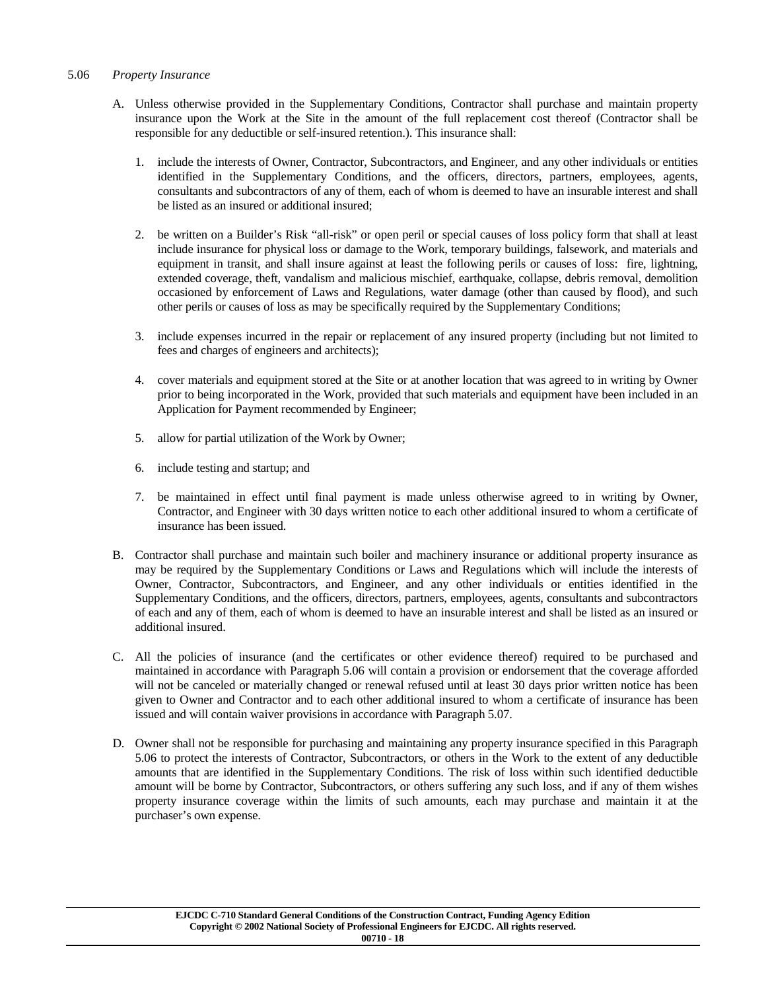#### 5.06 *Property Insurance*

- A. Unless otherwise provided in the Supplementary Conditions, Contractor shall purchase and maintain property insurance upon the Work at the Site in the amount of the full replacement cost thereof (Contractor shall be responsible for any deductible or self-insured retention.). This insurance shall:
	- 1. include the interests of Owner, Contractor, Subcontractors, and Engineer, and any other individuals or entities identified in the Supplementary Conditions, and the officers, directors, partners, employees, agents, consultants and subcontractors of any of them, each of whom is deemed to have an insurable interest and shall be listed as an insured or additional insured;
	- 2. be written on a Builder's Risk "all-risk" or open peril or special causes of loss policy form that shall at least include insurance for physical loss or damage to the Work, temporary buildings, falsework, and materials and equipment in transit, and shall insure against at least the following perils or causes of loss: fire, lightning, extended coverage, theft, vandalism and malicious mischief, earthquake, collapse, debris removal, demolition occasioned by enforcement of Laws and Regulations, water damage (other than caused by flood), and such other perils or causes of loss as may be specifically required by the Supplementary Conditions;
	- 3. include expenses incurred in the repair or replacement of any insured property (including but not limited to fees and charges of engineers and architects);
	- 4. cover materials and equipment stored at the Site or at another location that was agreed to in writing by Owner prior to being incorporated in the Work, provided that such materials and equipment have been included in an Application for Payment recommended by Engineer;
	- 5. allow for partial utilization of the Work by Owner;
	- 6. include testing and startup; and
	- 7. be maintained in effect until final payment is made unless otherwise agreed to in writing by Owner, Contractor, and Engineer with 30 days written notice to each other additional insured to whom a certificate of insurance has been issued.
- B. Contractor shall purchase and maintain such boiler and machinery insurance or additional property insurance as may be required by the Supplementary Conditions or Laws and Regulations which will include the interests of Owner, Contractor, Subcontractors, and Engineer, and any other individuals or entities identified in the Supplementary Conditions, and the officers, directors, partners, employees, agents, consultants and subcontractors of each and any of them, each of whom is deemed to have an insurable interest and shall be listed as an insured or additional insured.
- C. All the policies of insurance (and the certificates or other evidence thereof) required to be purchased and maintained in accordance with Paragraph 5.06 will contain a provision or endorsement that the coverage afforded will not be canceled or materially changed or renewal refused until at least 30 days prior written notice has been given to Owner and Contractor and to each other additional insured to whom a certificate of insurance has been issued and will contain waiver provisions in accordance with Paragraph 5.07.
- D. Owner shall not be responsible for purchasing and maintaining any property insurance specified in this Paragraph 5.06 to protect the interests of Contractor, Subcontractors, or others in the Work to the extent of any deductible amounts that are identified in the Supplementary Conditions. The risk of loss within such identified deductible amount will be borne by Contractor, Subcontractors, or others suffering any such loss, and if any of them wishes property insurance coverage within the limits of such amounts, each may purchase and maintain it at the purchaser's own expense.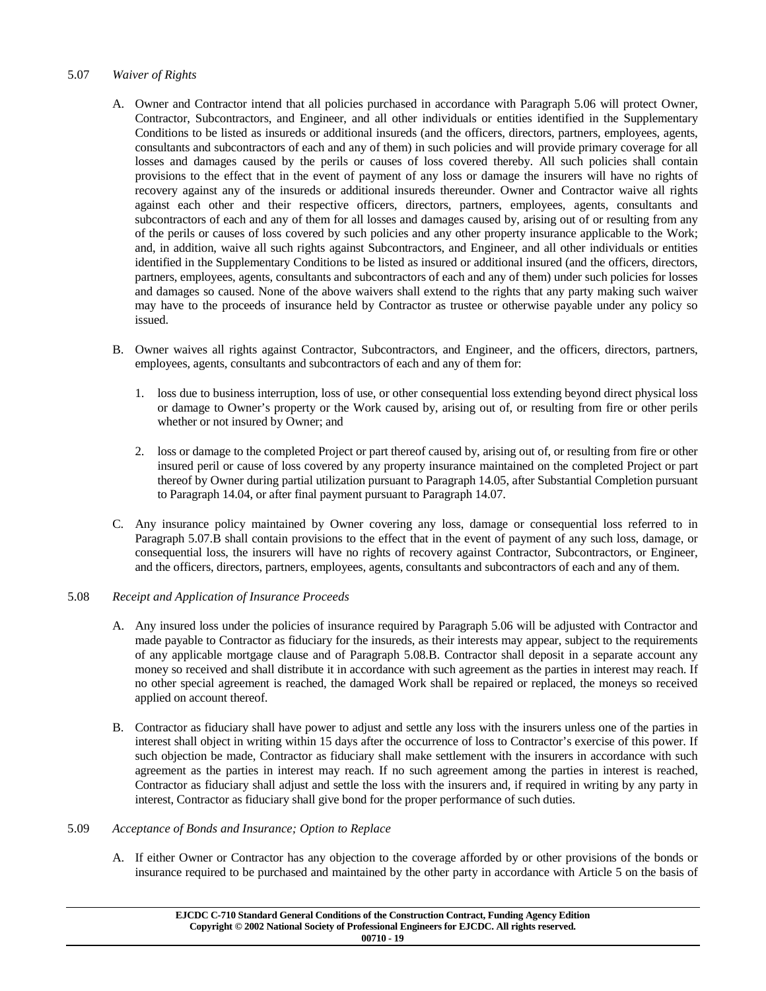#### 5.07 *Waiver of Rights*

- A. Owner and Contractor intend that all policies purchased in accordance with Paragraph 5.06 will protect Owner, Contractor, Subcontractors, and Engineer, and all other individuals or entities identified in the Supplementary Conditions to be listed as insureds or additional insureds (and the officers, directors, partners, employees, agents, consultants and subcontractors of each and any of them) in such policies and will provide primary coverage for all losses and damages caused by the perils or causes of loss covered thereby. All such policies shall contain provisions to the effect that in the event of payment of any loss or damage the insurers will have no rights of recovery against any of the insureds or additional insureds thereunder. Owner and Contractor waive all rights against each other and their respective officers, directors, partners, employees, agents, consultants and subcontractors of each and any of them for all losses and damages caused by, arising out of or resulting from any of the perils or causes of loss covered by such policies and any other property insurance applicable to the Work; and, in addition, waive all such rights against Subcontractors, and Engineer, and all other individuals or entities identified in the Supplementary Conditions to be listed as insured or additional insured (and the officers, directors, partners, employees, agents, consultants and subcontractors of each and any of them) under such policies for losses and damages so caused. None of the above waivers shall extend to the rights that any party making such waiver may have to the proceeds of insurance held by Contractor as trustee or otherwise payable under any policy so issued.
- B. Owner waives all rights against Contractor, Subcontractors, and Engineer, and the officers, directors, partners, employees, agents, consultants and subcontractors of each and any of them for:
	- 1. loss due to business interruption, loss of use, or other consequential loss extending beyond direct physical loss or damage to Owner's property or the Work caused by, arising out of, or resulting from fire or other perils whether or not insured by Owner; and
	- 2. loss or damage to the completed Project or part thereof caused by, arising out of, or resulting from fire or other insured peril or cause of loss covered by any property insurance maintained on the completed Project or part thereof by Owner during partial utilization pursuant to Paragraph 14.05, after Substantial Completion pursuant to Paragraph 14.04, or after final payment pursuant to Paragraph 14.07.
- C. Any insurance policy maintained by Owner covering any loss, damage or consequential loss referred to in Paragraph 5.07.B shall contain provisions to the effect that in the event of payment of any such loss, damage, or consequential loss, the insurers will have no rights of recovery against Contractor, Subcontractors, or Engineer, and the officers, directors, partners, employees, agents, consultants and subcontractors of each and any of them.

#### 5.08 *Receipt and Application of Insurance Proceeds*

- A. Any insured loss under the policies of insurance required by Paragraph 5.06 will be adjusted with Contractor and made payable to Contractor as fiduciary for the insureds, as their interests may appear, subject to the requirements of any applicable mortgage clause and of Paragraph 5.08.B. Contractor shall deposit in a separate account any money so received and shall distribute it in accordance with such agreement as the parties in interest may reach. If no other special agreement is reached, the damaged Work shall be repaired or replaced, the moneys so received applied on account thereof.
- B. Contractor as fiduciary shall have power to adjust and settle any loss with the insurers unless one of the parties in interest shall object in writing within 15 days after the occurrence of loss to Contractor's exercise of this power. If such objection be made, Contractor as fiduciary shall make settlement with the insurers in accordance with such agreement as the parties in interest may reach. If no such agreement among the parties in interest is reached, Contractor as fiduciary shall adjust and settle the loss with the insurers and, if required in writing by any party in interest, Contractor as fiduciary shall give bond for the proper performance of such duties.

#### 5.09 *Acceptance of Bonds and Insurance; Option to Replace*

A. If either Owner or Contractor has any objection to the coverage afforded by or other provisions of the bonds or insurance required to be purchased and maintained by the other party in accordance with Article 5 on the basis of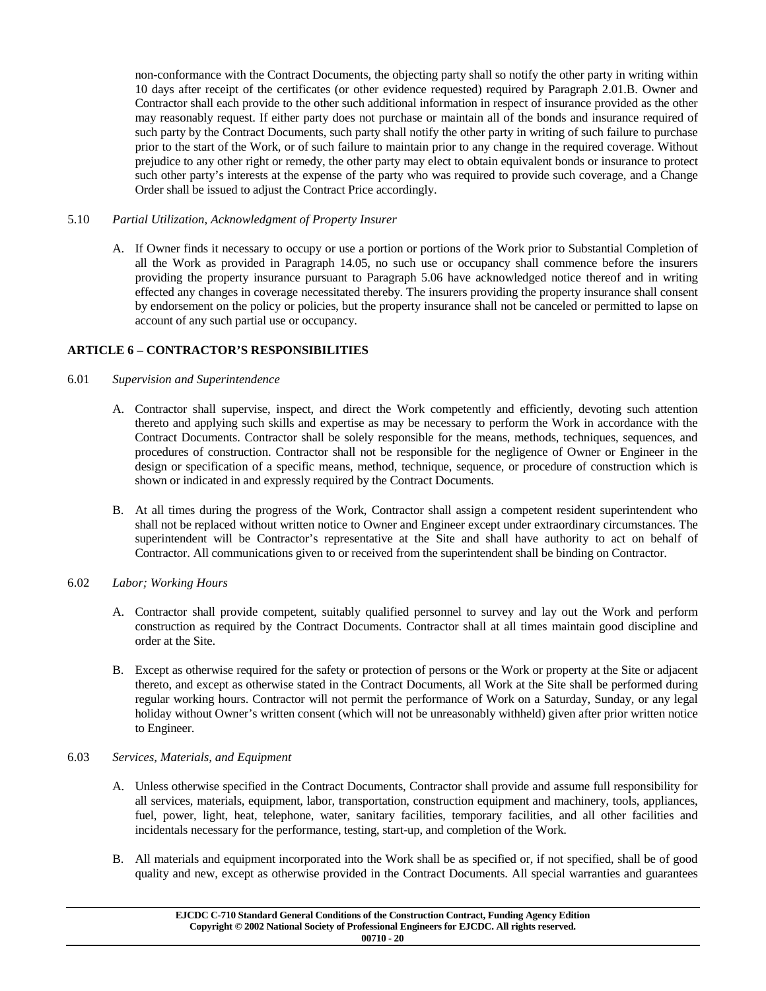non-conformance with the Contract Documents, the objecting party shall so notify the other party in writing within 10 days after receipt of the certificates (or other evidence requested) required by Paragraph 2.01.B. Owner and Contractor shall each provide to the other such additional information in respect of insurance provided as the other may reasonably request. If either party does not purchase or maintain all of the bonds and insurance required of such party by the Contract Documents, such party shall notify the other party in writing of such failure to purchase prior to the start of the Work, or of such failure to maintain prior to any change in the required coverage. Without prejudice to any other right or remedy, the other party may elect to obtain equivalent bonds or insurance to protect such other party's interests at the expense of the party who was required to provide such coverage, and a Change Order shall be issued to adjust the Contract Price accordingly.

#### 5.10 *Partial Utilization, Acknowledgment of Property Insurer*

A. If Owner finds it necessary to occupy or use a portion or portions of the Work prior to Substantial Completion of all the Work as provided in Paragraph 14.05, no such use or occupancy shall commence before the insurers providing the property insurance pursuant to Paragraph 5.06 have acknowledged notice thereof and in writing effected any changes in coverage necessitated thereby. The insurers providing the property insurance shall consent by endorsement on the policy or policies, but the property insurance shall not be canceled or permitted to lapse on account of any such partial use or occupancy.

#### **ARTICLE 6 – CONTRACTOR'S RESPONSIBILITIES**

#### 6.01 *Supervision and Superintendence*

- A. Contractor shall supervise, inspect, and direct the Work competently and efficiently, devoting such attention thereto and applying such skills and expertise as may be necessary to perform the Work in accordance with the Contract Documents. Contractor shall be solely responsible for the means, methods, techniques, sequences, and procedures of construction. Contractor shall not be responsible for the negligence of Owner or Engineer in the design or specification of a specific means, method, technique, sequence, or procedure of construction which is shown or indicated in and expressly required by the Contract Documents.
- B. At all times during the progress of the Work, Contractor shall assign a competent resident superintendent who shall not be replaced without written notice to Owner and Engineer except under extraordinary circumstances. The superintendent will be Contractor's representative at the Site and shall have authority to act on behalf of Contractor. All communications given to or received from the superintendent shall be binding on Contractor.

#### 6.02 *Labor; Working Hours*

- A. Contractor shall provide competent, suitably qualified personnel to survey and lay out the Work and perform construction as required by the Contract Documents. Contractor shall at all times maintain good discipline and order at the Site.
- B. Except as otherwise required for the safety or protection of persons or the Work or property at the Site or adjacent thereto, and except as otherwise stated in the Contract Documents, all Work at the Site shall be performed during regular working hours. Contractor will not permit the performance of Work on a Saturday, Sunday, or any legal holiday without Owner's written consent (which will not be unreasonably withheld) given after prior written notice to Engineer.

#### 6.03 *Services, Materials, and Equipment*

- A. Unless otherwise specified in the Contract Documents, Contractor shall provide and assume full responsibility for all services, materials, equipment, labor, transportation, construction equipment and machinery, tools, appliances, fuel, power, light, heat, telephone, water, sanitary facilities, temporary facilities, and all other facilities and incidentals necessary for the performance, testing, start-up, and completion of the Work.
- B. All materials and equipment incorporated into the Work shall be as specified or, if not specified, shall be of good quality and new, except as otherwise provided in the Contract Documents. All special warranties and guarantees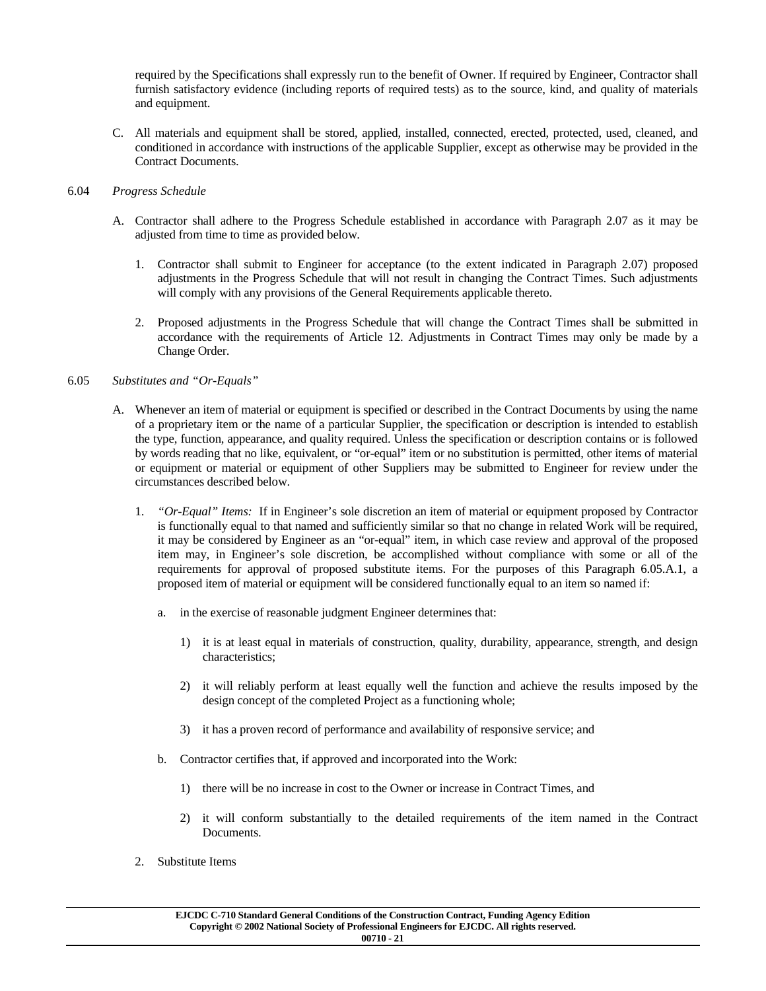required by the Specifications shall expressly run to the benefit of Owner. If required by Engineer, Contractor shall furnish satisfactory evidence (including reports of required tests) as to the source, kind, and quality of materials and equipment.

C. All materials and equipment shall be stored, applied, installed, connected, erected, protected, used, cleaned, and conditioned in accordance with instructions of the applicable Supplier, except as otherwise may be provided in the Contract Documents.

#### 6.04 *Progress Schedule*

- A. Contractor shall adhere to the Progress Schedule established in accordance with Paragraph 2.07 as it may be adjusted from time to time as provided below.
	- 1. Contractor shall submit to Engineer for acceptance (to the extent indicated in Paragraph 2.07) proposed adjustments in the Progress Schedule that will not result in changing the Contract Times. Such adjustments will comply with any provisions of the General Requirements applicable thereto.
	- 2. Proposed adjustments in the Progress Schedule that will change the Contract Times shall be submitted in accordance with the requirements of Article 12. Adjustments in Contract Times may only be made by a Change Order.

#### 6.05 *Substitutes and "Or-Equals"*

- A. Whenever an item of material or equipment is specified or described in the Contract Documents by using the name of a proprietary item or the name of a particular Supplier, the specification or description is intended to establish the type, function, appearance, and quality required. Unless the specification or description contains or is followed by words reading that no like, equivalent, or "or-equal" item or no substitution is permitted, other items of material or equipment or material or equipment of other Suppliers may be submitted to Engineer for review under the circumstances described below.
	- 1. *"Or-Equal" Items:* If in Engineer's sole discretion an item of material or equipment proposed by Contractor is functionally equal to that named and sufficiently similar so that no change in related Work will be required, it may be considered by Engineer as an "or-equal" item, in which case review and approval of the proposed item may, in Engineer's sole discretion, be accomplished without compliance with some or all of the requirements for approval of proposed substitute items. For the purposes of this Paragraph 6.05.A.1, a proposed item of material or equipment will be considered functionally equal to an item so named if:
		- a. in the exercise of reasonable judgment Engineer determines that:
			- 1) it is at least equal in materials of construction, quality, durability, appearance, strength, and design characteristics;
			- 2) it will reliably perform at least equally well the function and achieve the results imposed by the design concept of the completed Project as a functioning whole;
			- 3) it has a proven record of performance and availability of responsive service; and
		- b. Contractor certifies that, if approved and incorporated into the Work:
			- 1) there will be no increase in cost to the Owner or increase in Contract Times, and
			- 2) it will conform substantially to the detailed requirements of the item named in the Contract Documents.
	- 2. Substitute Items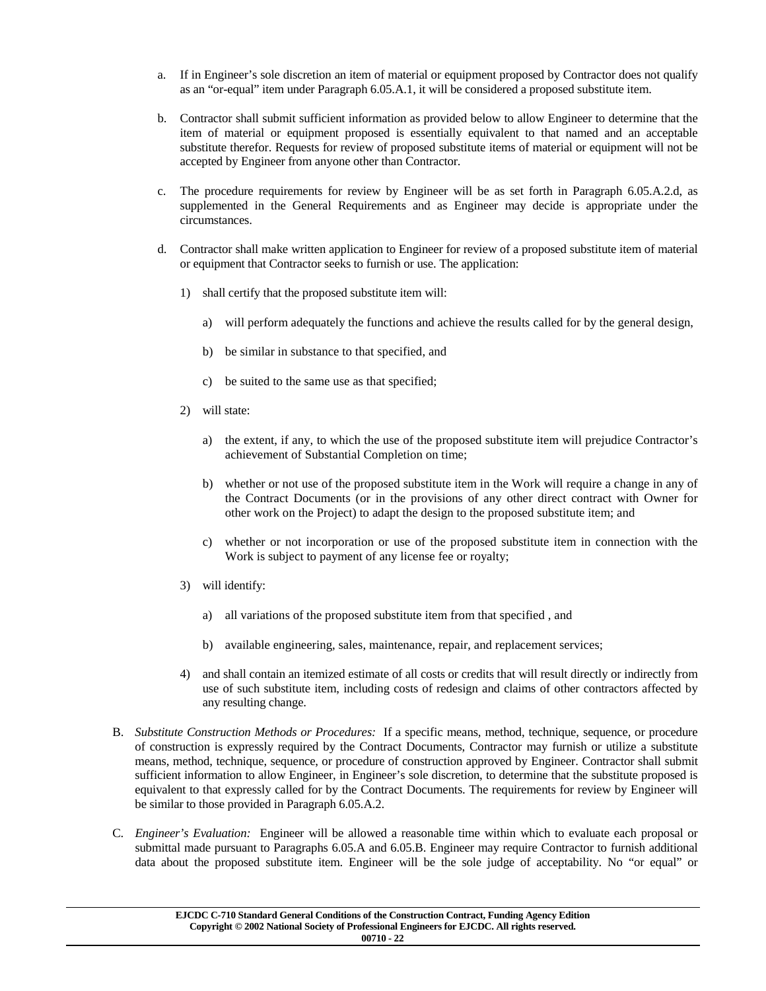- a. If in Engineer's sole discretion an item of material or equipment proposed by Contractor does not qualify as an "or-equal" item under Paragraph 6.05.A.1, it will be considered a proposed substitute item.
- b. Contractor shall submit sufficient information as provided below to allow Engineer to determine that the item of material or equipment proposed is essentially equivalent to that named and an acceptable substitute therefor. Requests for review of proposed substitute items of material or equipment will not be accepted by Engineer from anyone other than Contractor.
- c. The procedure requirements for review by Engineer will be as set forth in Paragraph 6.05.A.2.d, as supplemented in the General Requirements and as Engineer may decide is appropriate under the circumstances.
- d. Contractor shall make written application to Engineer for review of a proposed substitute item of material or equipment that Contractor seeks to furnish or use. The application:
	- 1) shall certify that the proposed substitute item will:
		- a) will perform adequately the functions and achieve the results called for by the general design,
		- b) be similar in substance to that specified, and
		- c) be suited to the same use as that specified;
	- 2) will state:
		- a) the extent, if any, to which the use of the proposed substitute item will prejudice Contractor's achievement of Substantial Completion on time;
		- b) whether or not use of the proposed substitute item in the Work will require a change in any of the Contract Documents (or in the provisions of any other direct contract with Owner for other work on the Project) to adapt the design to the proposed substitute item; and
		- c) whether or not incorporation or use of the proposed substitute item in connection with the Work is subject to payment of any license fee or royalty;
	- 3) will identify:
		- a) all variations of the proposed substitute item from that specified , and
		- b) available engineering, sales, maintenance, repair, and replacement services;
	- 4) and shall contain an itemized estimate of all costs or credits that will result directly or indirectly from use of such substitute item, including costs of redesign and claims of other contractors affected by any resulting change.
- B. *Substitute Construction Methods or Procedures:* If a specific means, method, technique, sequence, or procedure of construction is expressly required by the Contract Documents, Contractor may furnish or utilize a substitute means, method, technique, sequence, or procedure of construction approved by Engineer. Contractor shall submit sufficient information to allow Engineer, in Engineer's sole discretion, to determine that the substitute proposed is equivalent to that expressly called for by the Contract Documents. The requirements for review by Engineer will be similar to those provided in Paragraph 6.05.A.2.
- C. *Engineer's Evaluation:* Engineer will be allowed a reasonable time within which to evaluate each proposal or submittal made pursuant to Paragraphs 6.05.A and 6.05.B. Engineer may require Contractor to furnish additional data about the proposed substitute item. Engineer will be the sole judge of acceptability. No "or equal" or

**EJCDC C-710 Standard General Conditions of the Construction Contract, Funding Agency Edition Copyright © 2002 National Society of Professional Engineers for EJCDC. All rights reserved.**

#### **00710 - 22**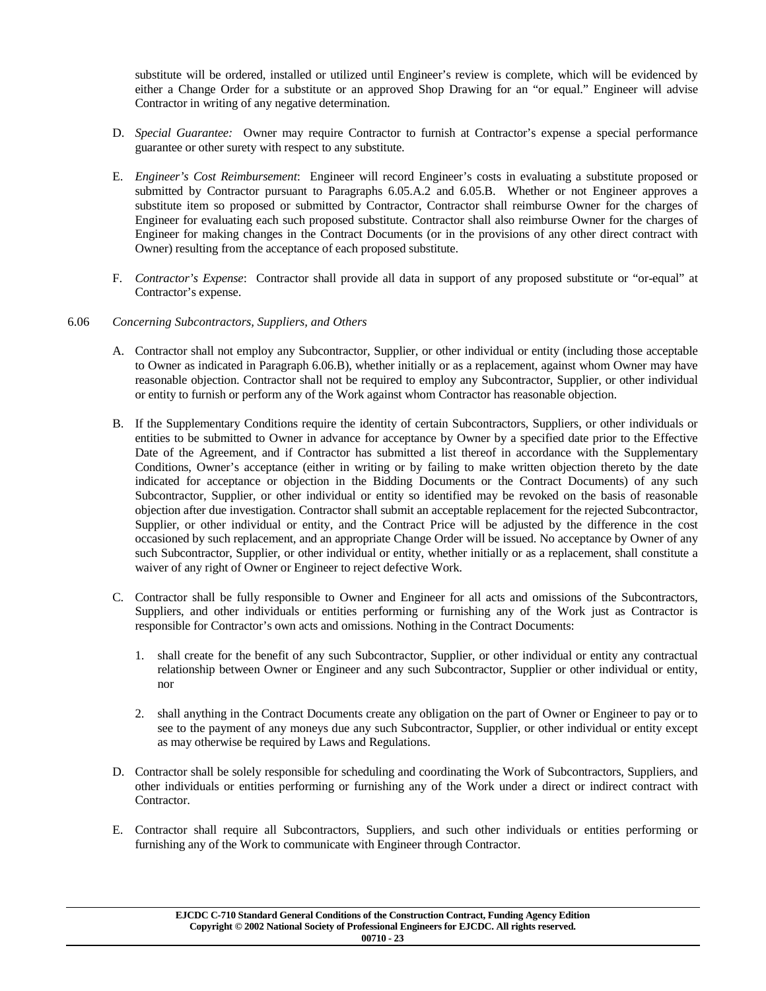substitute will be ordered, installed or utilized until Engineer's review is complete, which will be evidenced by either a Change Order for a substitute or an approved Shop Drawing for an "or equal." Engineer will advise Contractor in writing of any negative determination.

- D. *Special Guarantee:* Owner may require Contractor to furnish at Contractor's expense a special performance guarantee or other surety with respect to any substitute.
- E. *Engineer's Cost Reimbursement*: Engineer will record Engineer's costs in evaluating a substitute proposed or submitted by Contractor pursuant to Paragraphs 6.05.A.2 and 6.05.B. Whether or not Engineer approves a substitute item so proposed or submitted by Contractor, Contractor shall reimburse Owner for the charges of Engineer for evaluating each such proposed substitute. Contractor shall also reimburse Owner for the charges of Engineer for making changes in the Contract Documents (or in the provisions of any other direct contract with Owner) resulting from the acceptance of each proposed substitute.
- F. *Contractor's Expense*: Contractor shall provide all data in support of any proposed substitute or "or-equal" at Contractor's expense.
- 6.06 *Concerning Subcontractors, Suppliers, and Others*
	- A. Contractor shall not employ any Subcontractor, Supplier, or other individual or entity (including those acceptable to Owner as indicated in Paragraph 6.06.B), whether initially or as a replacement, against whom Owner may have reasonable objection. Contractor shall not be required to employ any Subcontractor, Supplier, or other individual or entity to furnish or perform any of the Work against whom Contractor has reasonable objection.
	- B. If the Supplementary Conditions require the identity of certain Subcontractors, Suppliers, or other individuals or entities to be submitted to Owner in advance for acceptance by Owner by a specified date prior to the Effective Date of the Agreement, and if Contractor has submitted a list thereof in accordance with the Supplementary Conditions, Owner's acceptance (either in writing or by failing to make written objection thereto by the date indicated for acceptance or objection in the Bidding Documents or the Contract Documents) of any such Subcontractor, Supplier, or other individual or entity so identified may be revoked on the basis of reasonable objection after due investigation. Contractor shall submit an acceptable replacement for the rejected Subcontractor, Supplier, or other individual or entity, and the Contract Price will be adjusted by the difference in the cost occasioned by such replacement, and an appropriate Change Order will be issued. No acceptance by Owner of any such Subcontractor, Supplier, or other individual or entity, whether initially or as a replacement, shall constitute a waiver of any right of Owner or Engineer to reject defective Work.
	- C. Contractor shall be fully responsible to Owner and Engineer for all acts and omissions of the Subcontractors, Suppliers, and other individuals or entities performing or furnishing any of the Work just as Contractor is responsible for Contractor's own acts and omissions. Nothing in the Contract Documents:
		- 1. shall create for the benefit of any such Subcontractor, Supplier, or other individual or entity any contractual relationship between Owner or Engineer and any such Subcontractor, Supplier or other individual or entity, nor
		- 2. shall anything in the Contract Documents create any obligation on the part of Owner or Engineer to pay or to see to the payment of any moneys due any such Subcontractor, Supplier, or other individual or entity except as may otherwise be required by Laws and Regulations.
	- D. Contractor shall be solely responsible for scheduling and coordinating the Work of Subcontractors, Suppliers, and other individuals or entities performing or furnishing any of the Work under a direct or indirect contract with Contractor.
	- E. Contractor shall require all Subcontractors, Suppliers, and such other individuals or entities performing or furnishing any of the Work to communicate with Engineer through Contractor.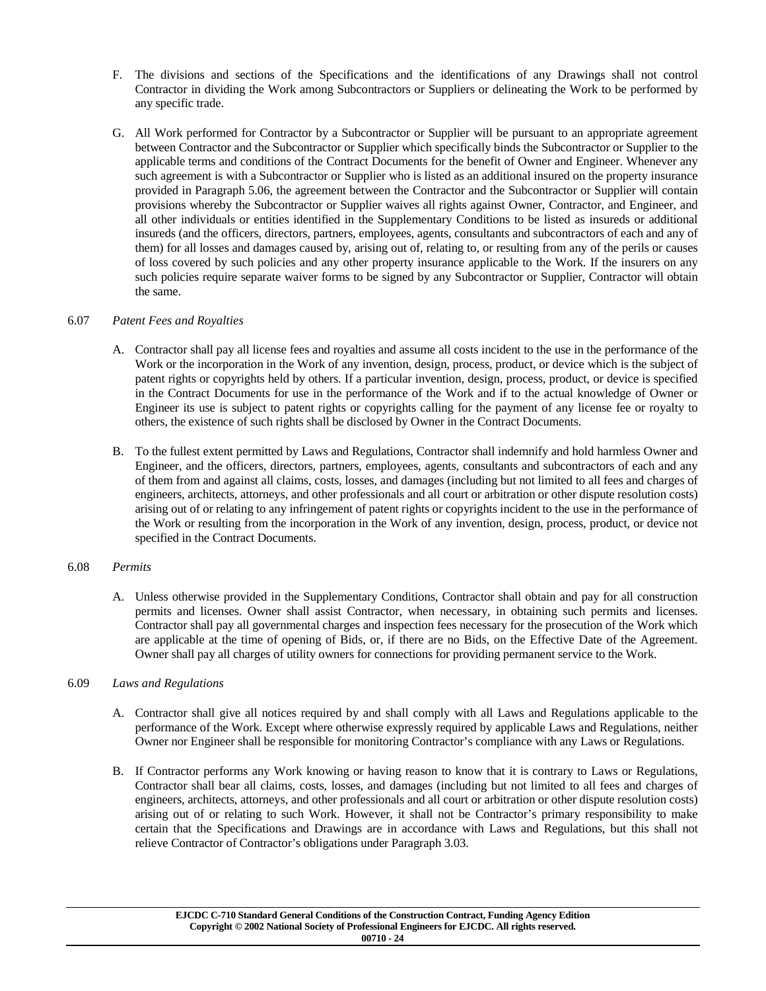- F. The divisions and sections of the Specifications and the identifications of any Drawings shall not control Contractor in dividing the Work among Subcontractors or Suppliers or delineating the Work to be performed by any specific trade.
- G. All Work performed for Contractor by a Subcontractor or Supplier will be pursuant to an appropriate agreement between Contractor and the Subcontractor or Supplier which specifically binds the Subcontractor or Supplier to the applicable terms and conditions of the Contract Documents for the benefit of Owner and Engineer. Whenever any such agreement is with a Subcontractor or Supplier who is listed as an additional insured on the property insurance provided in Paragraph 5.06, the agreement between the Contractor and the Subcontractor or Supplier will contain provisions whereby the Subcontractor or Supplier waives all rights against Owner, Contractor, and Engineer, and all other individuals or entities identified in the Supplementary Conditions to be listed as insureds or additional insureds (and the officers, directors, partners, employees, agents, consultants and subcontractors of each and any of them) for all losses and damages caused by, arising out of, relating to, or resulting from any of the perils or causes of loss covered by such policies and any other property insurance applicable to the Work. If the insurers on any such policies require separate waiver forms to be signed by any Subcontractor or Supplier, Contractor will obtain the same.

#### 6.07 *Patent Fees and Royalties*

- A. Contractor shall pay all license fees and royalties and assume all costs incident to the use in the performance of the Work or the incorporation in the Work of any invention, design, process, product, or device which is the subject of patent rights or copyrights held by others. If a particular invention, design, process, product, or device is specified in the Contract Documents for use in the performance of the Work and if to the actual knowledge of Owner or Engineer its use is subject to patent rights or copyrights calling for the payment of any license fee or royalty to others, the existence of such rights shall be disclosed by Owner in the Contract Documents.
- B. To the fullest extent permitted by Laws and Regulations, Contractor shall indemnify and hold harmless Owner and Engineer, and the officers, directors, partners, employees, agents, consultants and subcontractors of each and any of them from and against all claims, costs, losses, and damages (including but not limited to all fees and charges of engineers, architects, attorneys, and other professionals and all court or arbitration or other dispute resolution costs) arising out of or relating to any infringement of patent rights or copyrights incident to the use in the performance of the Work or resulting from the incorporation in the Work of any invention, design, process, product, or device not specified in the Contract Documents.

#### 6.08 *Permits*

A. Unless otherwise provided in the Supplementary Conditions, Contractor shall obtain and pay for all construction permits and licenses. Owner shall assist Contractor, when necessary, in obtaining such permits and licenses. Contractor shall pay all governmental charges and inspection fees necessary for the prosecution of the Work which are applicable at the time of opening of Bids, or, if there are no Bids, on the Effective Date of the Agreement. Owner shall pay all charges of utility owners for connections for providing permanent service to the Work.

#### 6.09 *Laws and Regulations*

- A. Contractor shall give all notices required by and shall comply with all Laws and Regulations applicable to the performance of the Work. Except where otherwise expressly required by applicable Laws and Regulations, neither Owner nor Engineer shall be responsible for monitoring Contractor's compliance with any Laws or Regulations.
- B. If Contractor performs any Work knowing or having reason to know that it is contrary to Laws or Regulations, Contractor shall bear all claims, costs, losses, and damages (including but not limited to all fees and charges of engineers, architects, attorneys, and other professionals and all court or arbitration or other dispute resolution costs) arising out of or relating to such Work. However, it shall not be Contractor's primary responsibility to make certain that the Specifications and Drawings are in accordance with Laws and Regulations, but this shall not relieve Contractor of Contractor's obligations under Paragraph 3.03.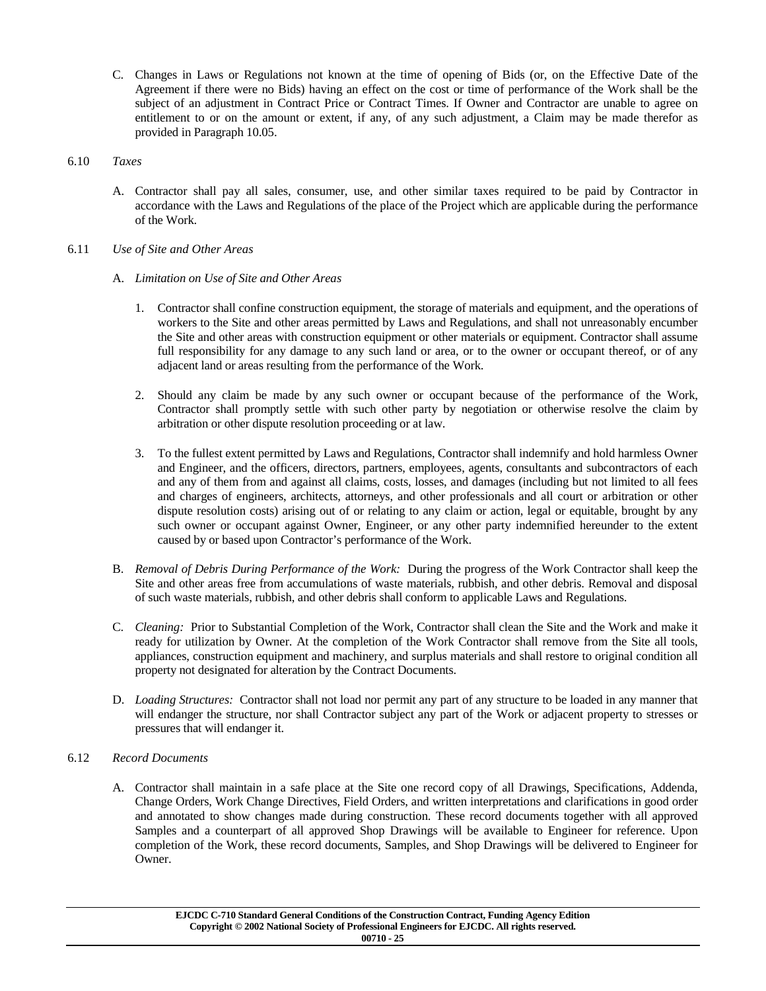C. Changes in Laws or Regulations not known at the time of opening of Bids (or, on the Effective Date of the Agreement if there were no Bids) having an effect on the cost or time of performance of the Work shall be the subject of an adjustment in Contract Price or Contract Times. If Owner and Contractor are unable to agree on entitlement to or on the amount or extent, if any, of any such adjustment, a Claim may be made therefor as provided in Paragraph 10.05.

#### 6.10 *Taxes*

A. Contractor shall pay all sales, consumer, use, and other similar taxes required to be paid by Contractor in accordance with the Laws and Regulations of the place of the Project which are applicable during the performance of the Work.

#### 6.11 *Use of Site and Other Areas*

#### A. *Limitation on Use of Site and Other Areas*

- 1. Contractor shall confine construction equipment, the storage of materials and equipment, and the operations of workers to the Site and other areas permitted by Laws and Regulations, and shall not unreasonably encumber the Site and other areas with construction equipment or other materials or equipment. Contractor shall assume full responsibility for any damage to any such land or area, or to the owner or occupant thereof, or of any adjacent land or areas resulting from the performance of the Work.
- 2. Should any claim be made by any such owner or occupant because of the performance of the Work, Contractor shall promptly settle with such other party by negotiation or otherwise resolve the claim by arbitration or other dispute resolution proceeding or at law.
- 3. To the fullest extent permitted by Laws and Regulations, Contractor shall indemnify and hold harmless Owner and Engineer, and the officers, directors, partners, employees, agents, consultants and subcontractors of each and any of them from and against all claims, costs, losses, and damages (including but not limited to all fees and charges of engineers, architects, attorneys, and other professionals and all court or arbitration or other dispute resolution costs) arising out of or relating to any claim or action, legal or equitable, brought by any such owner or occupant against Owner, Engineer, or any other party indemnified hereunder to the extent caused by or based upon Contractor's performance of the Work.
- B. *Removal of Debris During Performance of the Work:* During the progress of the Work Contractor shall keep the Site and other areas free from accumulations of waste materials, rubbish, and other debris. Removal and disposal of such waste materials, rubbish, and other debris shall conform to applicable Laws and Regulations.
- C. *Cleaning:* Prior to Substantial Completion of the Work, Contractor shall clean the Site and the Work and make it ready for utilization by Owner. At the completion of the Work Contractor shall remove from the Site all tools, appliances, construction equipment and machinery, and surplus materials and shall restore to original condition all property not designated for alteration by the Contract Documents.
- D. *Loading Structures:* Contractor shall not load nor permit any part of any structure to be loaded in any manner that will endanger the structure, nor shall Contractor subject any part of the Work or adjacent property to stresses or pressures that will endanger it.

#### 6.12 *Record Documents*

A. Contractor shall maintain in a safe place at the Site one record copy of all Drawings, Specifications, Addenda, Change Orders, Work Change Directives, Field Orders, and written interpretations and clarifications in good order and annotated to show changes made during construction. These record documents together with all approved Samples and a counterpart of all approved Shop Drawings will be available to Engineer for reference. Upon completion of the Work, these record documents, Samples, and Shop Drawings will be delivered to Engineer for Owner.

#### **00710 - 25**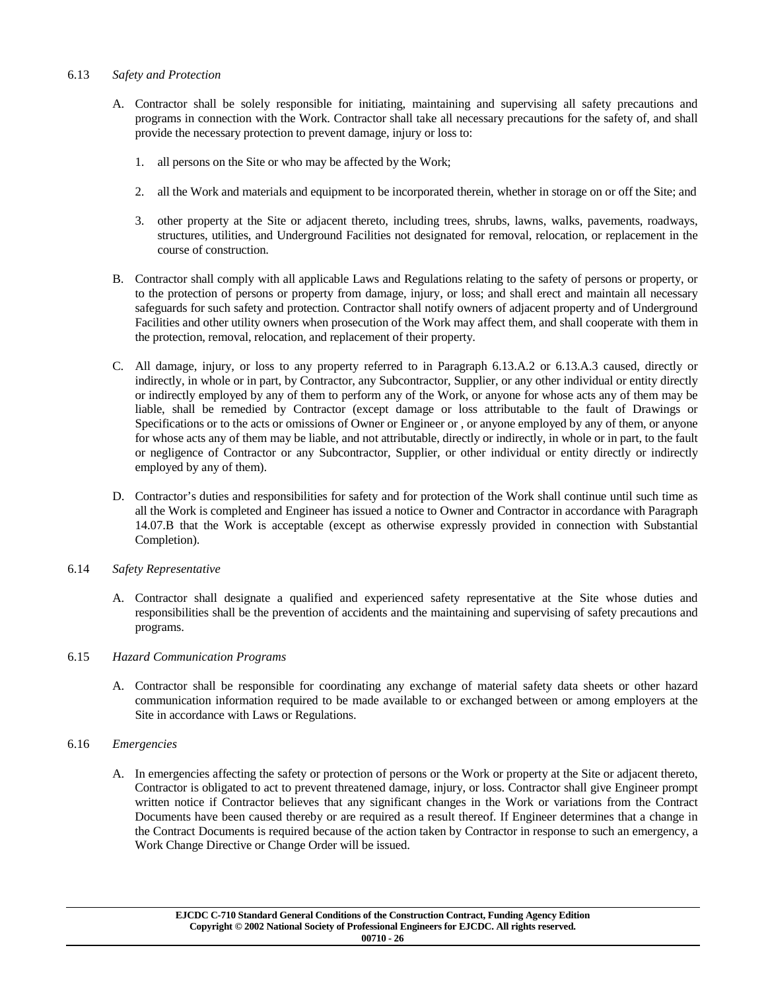#### 6.13 *Safety and Protection*

- A. Contractor shall be solely responsible for initiating, maintaining and supervising all safety precautions and programs in connection with the Work. Contractor shall take all necessary precautions for the safety of, and shall provide the necessary protection to prevent damage, injury or loss to:
	- 1. all persons on the Site or who may be affected by the Work;
	- 2. all the Work and materials and equipment to be incorporated therein, whether in storage on or off the Site; and
	- 3. other property at the Site or adjacent thereto, including trees, shrubs, lawns, walks, pavements, roadways, structures, utilities, and Underground Facilities not designated for removal, relocation, or replacement in the course of construction.
- B. Contractor shall comply with all applicable Laws and Regulations relating to the safety of persons or property, or to the protection of persons or property from damage, injury, or loss; and shall erect and maintain all necessary safeguards for such safety and protection. Contractor shall notify owners of adjacent property and of Underground Facilities and other utility owners when prosecution of the Work may affect them, and shall cooperate with them in the protection, removal, relocation, and replacement of their property.
- C. All damage, injury, or loss to any property referred to in Paragraph 6.13.A.2 or 6.13.A.3 caused, directly or indirectly, in whole or in part, by Contractor, any Subcontractor, Supplier, or any other individual or entity directly or indirectly employed by any of them to perform any of the Work, or anyone for whose acts any of them may be liable, shall be remedied by Contractor (except damage or loss attributable to the fault of Drawings or Specifications or to the acts or omissions of Owner or Engineer or , or anyone employed by any of them, or anyone for whose acts any of them may be liable, and not attributable, directly or indirectly, in whole or in part, to the fault or negligence of Contractor or any Subcontractor, Supplier, or other individual or entity directly or indirectly employed by any of them).
- D. Contractor's duties and responsibilities for safety and for protection of the Work shall continue until such time as all the Work is completed and Engineer has issued a notice to Owner and Contractor in accordance with Paragraph 14.07.B that the Work is acceptable (except as otherwise expressly provided in connection with Substantial Completion).
- 6.14 *Safety Representative*
	- A. Contractor shall designate a qualified and experienced safety representative at the Site whose duties and responsibilities shall be the prevention of accidents and the maintaining and supervising of safety precautions and programs.
- 6.15 *Hazard Communication Programs*
	- A. Contractor shall be responsible for coordinating any exchange of material safety data sheets or other hazard communication information required to be made available to or exchanged between or among employers at the Site in accordance with Laws or Regulations.

#### 6.16 *Emergencies*

A. In emergencies affecting the safety or protection of persons or the Work or property at the Site or adjacent thereto, Contractor is obligated to act to prevent threatened damage, injury, or loss. Contractor shall give Engineer prompt written notice if Contractor believes that any significant changes in the Work or variations from the Contract Documents have been caused thereby or are required as a result thereof. If Engineer determines that a change in the Contract Documents is required because of the action taken by Contractor in response to such an emergency, a Work Change Directive or Change Order will be issued.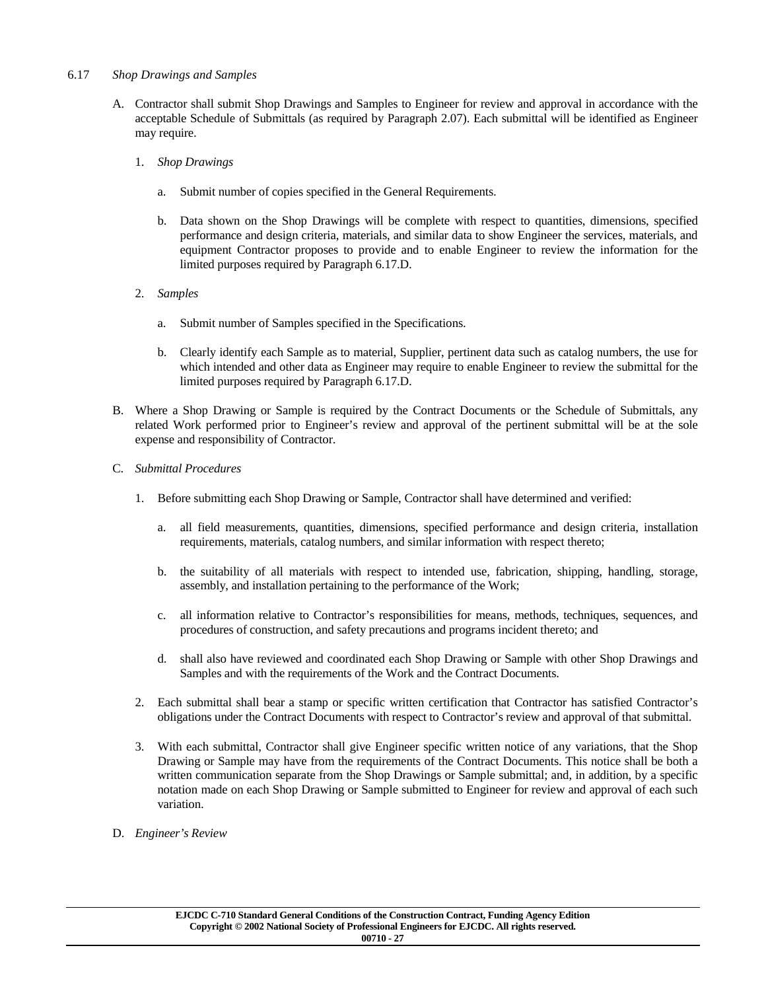#### 6.17 *Shop Drawings and Samples*

- A. Contractor shall submit Shop Drawings and Samples to Engineer for review and approval in accordance with the acceptable Schedule of Submittals (as required by Paragraph 2.07). Each submittal will be identified as Engineer may require.
	- 1. *Shop Drawings*
		- a. Submit number of copies specified in the General Requirements.
		- b. Data shown on the Shop Drawings will be complete with respect to quantities, dimensions, specified performance and design criteria, materials, and similar data to show Engineer the services, materials, and equipment Contractor proposes to provide and to enable Engineer to review the information for the limited purposes required by Paragraph 6.17.D.
	- 2. *Samples*
		- a. Submit number of Samples specified in the Specifications.
		- b. Clearly identify each Sample as to material, Supplier, pertinent data such as catalog numbers, the use for which intended and other data as Engineer may require to enable Engineer to review the submittal for the limited purposes required by Paragraph 6.17.D.
- B. Where a Shop Drawing or Sample is required by the Contract Documents or the Schedule of Submittals, any related Work performed prior to Engineer's review and approval of the pertinent submittal will be at the sole expense and responsibility of Contractor.
- C. *Submittal Procedures*
	- 1. Before submitting each Shop Drawing or Sample, Contractor shall have determined and verified:
		- a. all field measurements, quantities, dimensions, specified performance and design criteria, installation requirements, materials, catalog numbers, and similar information with respect thereto;
		- b. the suitability of all materials with respect to intended use, fabrication, shipping, handling, storage, assembly, and installation pertaining to the performance of the Work;
		- c. all information relative to Contractor's responsibilities for means, methods, techniques, sequences, and procedures of construction, and safety precautions and programs incident thereto; and
		- d. shall also have reviewed and coordinated each Shop Drawing or Sample with other Shop Drawings and Samples and with the requirements of the Work and the Contract Documents.
	- 2. Each submittal shall bear a stamp or specific written certification that Contractor has satisfied Contractor's obligations under the Contract Documents with respect to Contractor's review and approval of that submittal.
	- 3. With each submittal, Contractor shall give Engineer specific written notice of any variations, that the Shop Drawing or Sample may have from the requirements of the Contract Documents. This notice shall be both a written communication separate from the Shop Drawings or Sample submittal; and, in addition, by a specific notation made on each Shop Drawing or Sample submitted to Engineer for review and approval of each such variation.
- D. *Engineer's Review*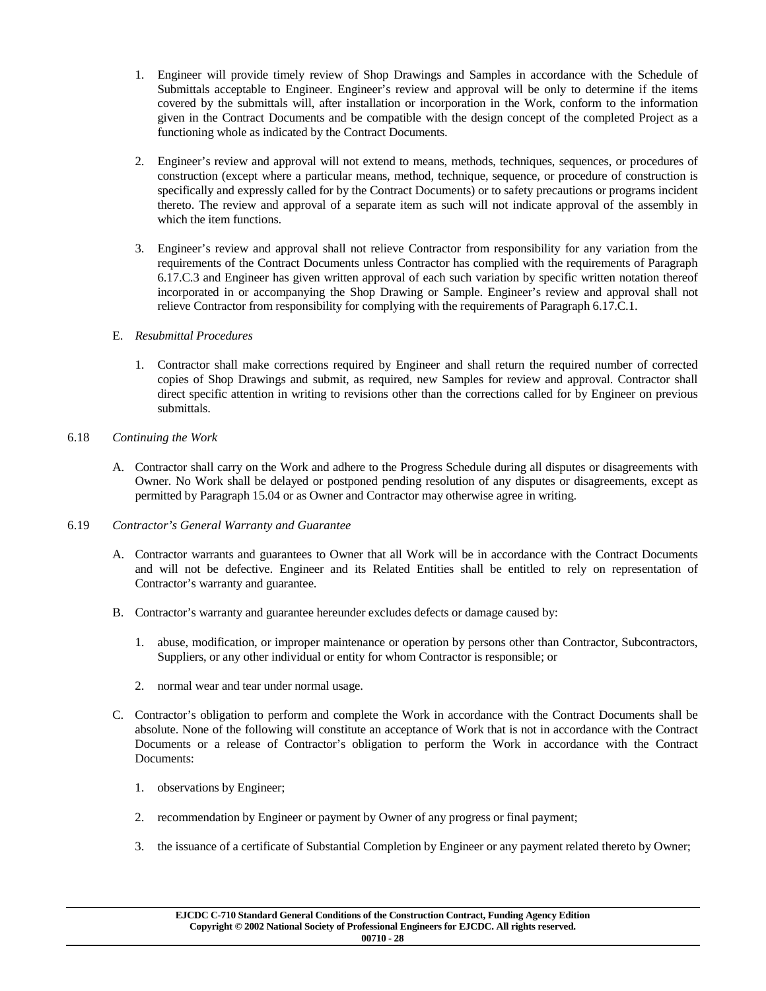- 1. Engineer will provide timely review of Shop Drawings and Samples in accordance with the Schedule of Submittals acceptable to Engineer. Engineer's review and approval will be only to determine if the items covered by the submittals will, after installation or incorporation in the Work, conform to the information given in the Contract Documents and be compatible with the design concept of the completed Project as a functioning whole as indicated by the Contract Documents.
- 2. Engineer's review and approval will not extend to means, methods, techniques, sequences, or procedures of construction (except where a particular means, method, technique, sequence, or procedure of construction is specifically and expressly called for by the Contract Documents) or to safety precautions or programs incident thereto. The review and approval of a separate item as such will not indicate approval of the assembly in which the item functions.
- 3. Engineer's review and approval shall not relieve Contractor from responsibility for any variation from the requirements of the Contract Documents unless Contractor has complied with the requirements of Paragraph 6.17.C.3 and Engineer has given written approval of each such variation by specific written notation thereof incorporated in or accompanying the Shop Drawing or Sample. Engineer's review and approval shall not relieve Contractor from responsibility for complying with the requirements of Paragraph 6.17.C.1.

#### E. *Resubmittal Procedures*

- 1. Contractor shall make corrections required by Engineer and shall return the required number of corrected copies of Shop Drawings and submit, as required, new Samples for review and approval. Contractor shall direct specific attention in writing to revisions other than the corrections called for by Engineer on previous submittals.
- 6.18 *Continuing the Work*
	- A. Contractor shall carry on the Work and adhere to the Progress Schedule during all disputes or disagreements with Owner. No Work shall be delayed or postponed pending resolution of any disputes or disagreements, except as permitted by Paragraph 15.04 or as Owner and Contractor may otherwise agree in writing.
- 6.19 *Contractor's General Warranty and Guarantee* 
	- A. Contractor warrants and guarantees to Owner that all Work will be in accordance with the Contract Documents and will not be defective. Engineer and its Related Entities shall be entitled to rely on representation of Contractor's warranty and guarantee.
	- B. Contractor's warranty and guarantee hereunder excludes defects or damage caused by:
		- 1. abuse, modification, or improper maintenance or operation by persons other than Contractor, Subcontractors, Suppliers, or any other individual or entity for whom Contractor is responsible; or
		- 2. normal wear and tear under normal usage.
	- C. Contractor's obligation to perform and complete the Work in accordance with the Contract Documents shall be absolute. None of the following will constitute an acceptance of Work that is not in accordance with the Contract Documents or a release of Contractor's obligation to perform the Work in accordance with the Contract Documents:
		- 1. observations by Engineer;
		- 2. recommendation by Engineer or payment by Owner of any progress or final payment;
		- 3. the issuance of a certificate of Substantial Completion by Engineer or any payment related thereto by Owner;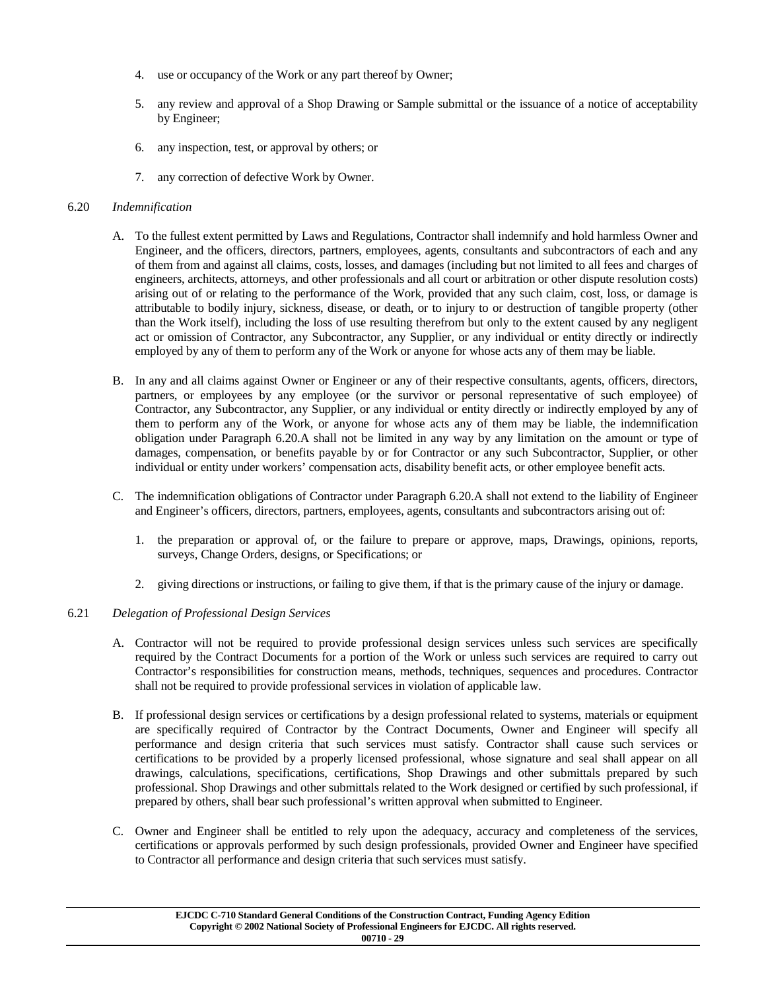- 4. use or occupancy of the Work or any part thereof by Owner;
- 5. any review and approval of a Shop Drawing or Sample submittal or the issuance of a notice of acceptability by Engineer;
- 6. any inspection, test, or approval by others; or
- 7. any correction of defective Work by Owner.

#### 6.20 *Indemnification*

- A. To the fullest extent permitted by Laws and Regulations, Contractor shall indemnify and hold harmless Owner and Engineer, and the officers, directors, partners, employees, agents, consultants and subcontractors of each and any of them from and against all claims, costs, losses, and damages (including but not limited to all fees and charges of engineers, architects, attorneys, and other professionals and all court or arbitration or other dispute resolution costs) arising out of or relating to the performance of the Work, provided that any such claim, cost, loss, or damage is attributable to bodily injury, sickness, disease, or death, or to injury to or destruction of tangible property (other than the Work itself), including the loss of use resulting therefrom but only to the extent caused by any negligent act or omission of Contractor, any Subcontractor, any Supplier, or any individual or entity directly or indirectly employed by any of them to perform any of the Work or anyone for whose acts any of them may be liable.
- B. In any and all claims against Owner or Engineer or any of their respective consultants, agents, officers, directors, partners, or employees by any employee (or the survivor or personal representative of such employee) of Contractor, any Subcontractor, any Supplier, or any individual or entity directly or indirectly employed by any of them to perform any of the Work, or anyone for whose acts any of them may be liable, the indemnification obligation under Paragraph 6.20.A shall not be limited in any way by any limitation on the amount or type of damages, compensation, or benefits payable by or for Contractor or any such Subcontractor, Supplier, or other individual or entity under workers' compensation acts, disability benefit acts, or other employee benefit acts.
- C. The indemnification obligations of Contractor under Paragraph 6.20.A shall not extend to the liability of Engineer and Engineer's officers, directors, partners, employees, agents, consultants and subcontractors arising out of:
	- 1. the preparation or approval of, or the failure to prepare or approve, maps, Drawings, opinions, reports, surveys, Change Orders, designs, or Specifications; or
	- 2. giving directions or instructions, or failing to give them, if that is the primary cause of the injury or damage.

#### 6.21 *Delegation of Professional Design Services*

- A. Contractor will not be required to provide professional design services unless such services are specifically required by the Contract Documents for a portion of the Work or unless such services are required to carry out Contractor's responsibilities for construction means, methods, techniques, sequences and procedures. Contractor shall not be required to provide professional services in violation of applicable law.
- B. If professional design services or certifications by a design professional related to systems, materials or equipment are specifically required of Contractor by the Contract Documents, Owner and Engineer will specify all performance and design criteria that such services must satisfy. Contractor shall cause such services or certifications to be provided by a properly licensed professional, whose signature and seal shall appear on all drawings, calculations, specifications, certifications, Shop Drawings and other submittals prepared by such professional. Shop Drawings and other submittals related to the Work designed or certified by such professional, if prepared by others, shall bear such professional's written approval when submitted to Engineer.
- C. Owner and Engineer shall be entitled to rely upon the adequacy, accuracy and completeness of the services, certifications or approvals performed by such design professionals, provided Owner and Engineer have specified to Contractor all performance and design criteria that such services must satisfy.

**EJCDC C-710 Standard General Conditions of the Construction Contract, Funding Agency Edition Copyright © 2002 National Society of Professional Engineers for EJCDC. All rights reserved.**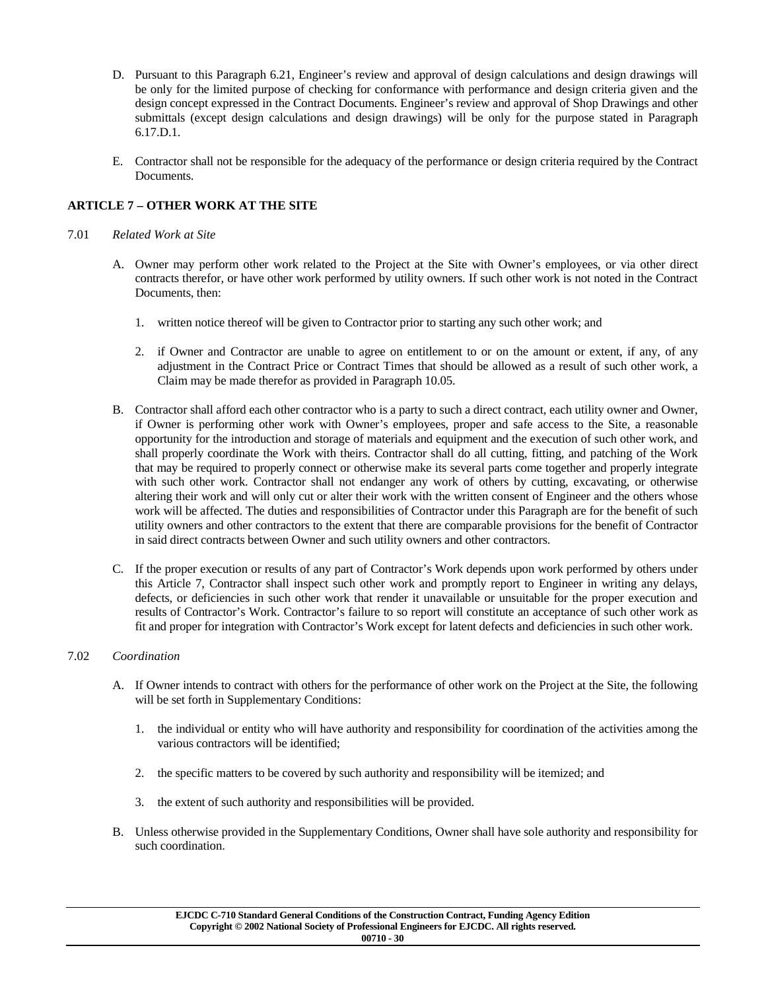- D. Pursuant to this Paragraph 6.21, Engineer's review and approval of design calculations and design drawings will be only for the limited purpose of checking for conformance with performance and design criteria given and the design concept expressed in the Contract Documents. Engineer's review and approval of Shop Drawings and other submittals (except design calculations and design drawings) will be only for the purpose stated in Paragraph 6.17.D.1.
- E. Contractor shall not be responsible for the adequacy of the performance or design criteria required by the Contract Documents.

### **ARTICLE 7 – OTHER WORK AT THE SITE**

- 7.01 *Related Work at Site*
	- A. Owner may perform other work related to the Project at the Site with Owner's employees, or via other direct contracts therefor, or have other work performed by utility owners. If such other work is not noted in the Contract Documents, then:
		- 1. written notice thereof will be given to Contractor prior to starting any such other work; and
		- 2. if Owner and Contractor are unable to agree on entitlement to or on the amount or extent, if any, of any adjustment in the Contract Price or Contract Times that should be allowed as a result of such other work, a Claim may be made therefor as provided in Paragraph 10.05.
	- B. Contractor shall afford each other contractor who is a party to such a direct contract, each utility owner and Owner, if Owner is performing other work with Owner's employees, proper and safe access to the Site, a reasonable opportunity for the introduction and storage of materials and equipment and the execution of such other work, and shall properly coordinate the Work with theirs. Contractor shall do all cutting, fitting, and patching of the Work that may be required to properly connect or otherwise make its several parts come together and properly integrate with such other work. Contractor shall not endanger any work of others by cutting, excavating, or otherwise altering their work and will only cut or alter their work with the written consent of Engineer and the others whose work will be affected. The duties and responsibilities of Contractor under this Paragraph are for the benefit of such utility owners and other contractors to the extent that there are comparable provisions for the benefit of Contractor in said direct contracts between Owner and such utility owners and other contractors.
	- C. If the proper execution or results of any part of Contractor's Work depends upon work performed by others under this Article 7, Contractor shall inspect such other work and promptly report to Engineer in writing any delays, defects, or deficiencies in such other work that render it unavailable or unsuitable for the proper execution and results of Contractor's Work. Contractor's failure to so report will constitute an acceptance of such other work as fit and proper for integration with Contractor's Work except for latent defects and deficiencies in such other work.

#### 7.02 *Coordination*

- A. If Owner intends to contract with others for the performance of other work on the Project at the Site, the following will be set forth in Supplementary Conditions:
	- 1. the individual or entity who will have authority and responsibility for coordination of the activities among the various contractors will be identified;
	- 2. the specific matters to be covered by such authority and responsibility will be itemized; and
	- 3. the extent of such authority and responsibilities will be provided.
- B. Unless otherwise provided in the Supplementary Conditions, Owner shall have sole authority and responsibility for such coordination.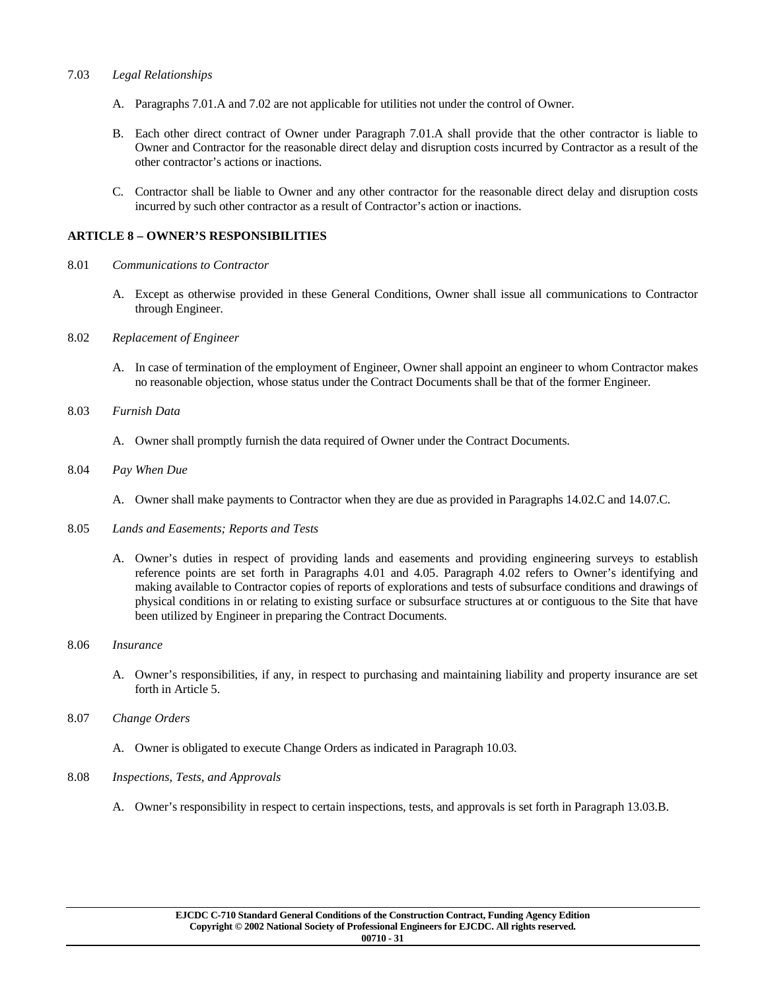#### 7.03 *Legal Relationships*

- A. Paragraphs 7.01.A and 7.02 are not applicable for utilities not under the control of Owner.
- B. Each other direct contract of Owner under Paragraph 7.01.A shall provide that the other contractor is liable to Owner and Contractor for the reasonable direct delay and disruption costs incurred by Contractor as a result of the other contractor's actions or inactions.
- C. Contractor shall be liable to Owner and any other contractor for the reasonable direct delay and disruption costs incurred by such other contractor as a result of Contractor's action or inactions.

#### **ARTICLE 8 – OWNER'S RESPONSIBILITIES**

- 8.01 *Communications to Contractor*
	- A. Except as otherwise provided in these General Conditions, Owner shall issue all communications to Contractor through Engineer.
- 8.02 *Replacement of Engineer*
	- A. In case of termination of the employment of Engineer, Owner shall appoint an engineer to whom Contractor makes no reasonable objection, whose status under the Contract Documents shall be that of the former Engineer.
- 8.03 *Furnish Data*
	- A. Owner shall promptly furnish the data required of Owner under the Contract Documents.
- 8.04 *Pay When Due*
	- A. Owner shall make payments to Contractor when they are due as provided in Paragraphs 14.02.C and 14.07.C.
- 8.05 *Lands and Easements; Reports and Tests*
	- A. Owner's duties in respect of providing lands and easements and providing engineering surveys to establish reference points are set forth in Paragraphs 4.01 and 4.05. Paragraph 4.02 refers to Owner's identifying and making available to Contractor copies of reports of explorations and tests of subsurface conditions and drawings of physical conditions in or relating to existing surface or subsurface structures at or contiguous to the Site that have been utilized by Engineer in preparing the Contract Documents.
- 8.06 *Insurance*
	- A. Owner's responsibilities, if any, in respect to purchasing and maintaining liability and property insurance are set forth in Article 5.
- 8.07 *Change Orders*
	- A. Owner is obligated to execute Change Orders as indicated in Paragraph 10.03.
- 8.08 *Inspections, Tests, and Approvals*
	- A. Owner's responsibility in respect to certain inspections, tests, and approvals is set forth in Paragraph 13.03.B.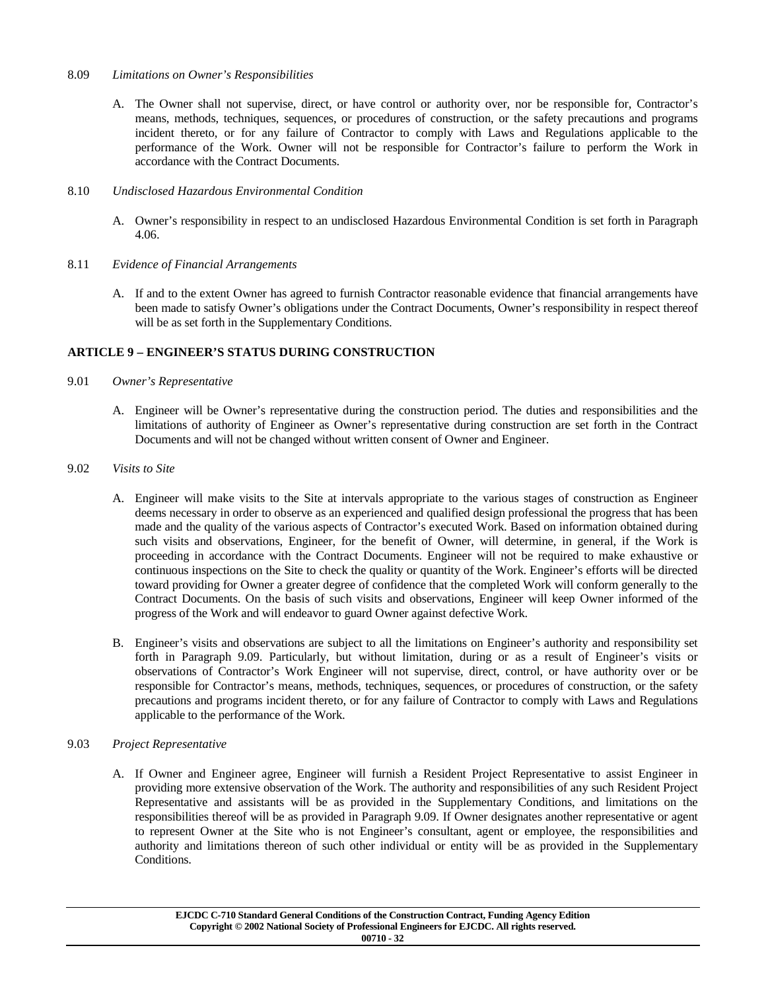#### 8.09 *Limitations on Owner's Responsibilities*

A. The Owner shall not supervise, direct, or have control or authority over, nor be responsible for, Contractor's means, methods, techniques, sequences, or procedures of construction, or the safety precautions and programs incident thereto, or for any failure of Contractor to comply with Laws and Regulations applicable to the performance of the Work. Owner will not be responsible for Contractor's failure to perform the Work in accordance with the Contract Documents.

#### 8.10 *Undisclosed Hazardous Environmental Condition*

- A. Owner's responsibility in respect to an undisclosed Hazardous Environmental Condition is set forth in Paragraph 4.06.
- 8.11 *Evidence of Financial Arrangements*
	- A. If and to the extent Owner has agreed to furnish Contractor reasonable evidence that financial arrangements have been made to satisfy Owner's obligations under the Contract Documents, Owner's responsibility in respect thereof will be as set forth in the Supplementary Conditions.

#### **ARTICLE 9 – ENGINEER'S STATUS DURING CONSTRUCTION**

- 9.01 *Owner's Representative*
	- A. Engineer will be Owner's representative during the construction period. The duties and responsibilities and the limitations of authority of Engineer as Owner's representative during construction are set forth in the Contract Documents and will not be changed without written consent of Owner and Engineer.
- 9.02 *Visits to Site*
	- A. Engineer will make visits to the Site at intervals appropriate to the various stages of construction as Engineer deems necessary in order to observe as an experienced and qualified design professional the progress that has been made and the quality of the various aspects of Contractor's executed Work. Based on information obtained during such visits and observations, Engineer, for the benefit of Owner, will determine, in general, if the Work is proceeding in accordance with the Contract Documents. Engineer will not be required to make exhaustive or continuous inspections on the Site to check the quality or quantity of the Work. Engineer's efforts will be directed toward providing for Owner a greater degree of confidence that the completed Work will conform generally to the Contract Documents. On the basis of such visits and observations, Engineer will keep Owner informed of the progress of the Work and will endeavor to guard Owner against defective Work.
	- B. Engineer's visits and observations are subject to all the limitations on Engineer's authority and responsibility set forth in Paragraph 9.09. Particularly, but without limitation, during or as a result of Engineer's visits or observations of Contractor's Work Engineer will not supervise, direct, control, or have authority over or be responsible for Contractor's means, methods, techniques, sequences, or procedures of construction, or the safety precautions and programs incident thereto, or for any failure of Contractor to comply with Laws and Regulations applicable to the performance of the Work.

#### 9.03 *Project Representative*

A. If Owner and Engineer agree, Engineer will furnish a Resident Project Representative to assist Engineer in providing more extensive observation of the Work. The authority and responsibilities of any such Resident Project Representative and assistants will be as provided in the Supplementary Conditions, and limitations on the responsibilities thereof will be as provided in Paragraph 9.09. If Owner designates another representative or agent to represent Owner at the Site who is not Engineer's consultant, agent or employee, the responsibilities and authority and limitations thereon of such other individual or entity will be as provided in the Supplementary Conditions.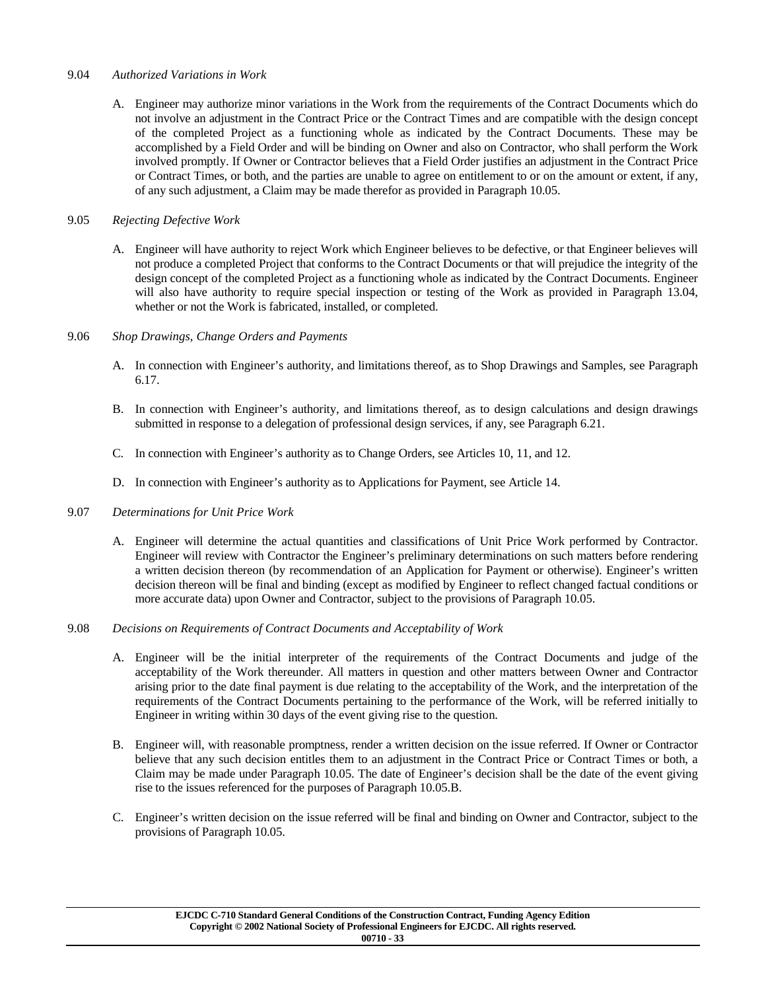#### 9.04 *Authorized Variations in Work*

A. Engineer may authorize minor variations in the Work from the requirements of the Contract Documents which do not involve an adjustment in the Contract Price or the Contract Times and are compatible with the design concept of the completed Project as a functioning whole as indicated by the Contract Documents. These may be accomplished by a Field Order and will be binding on Owner and also on Contractor, who shall perform the Work involved promptly. If Owner or Contractor believes that a Field Order justifies an adjustment in the Contract Price or Contract Times, or both, and the parties are unable to agree on entitlement to or on the amount or extent, if any, of any such adjustment, a Claim may be made therefor as provided in Paragraph 10.05.

#### 9.05 *Rejecting Defective Work*

A. Engineer will have authority to reject Work which Engineer believes to be defective, or that Engineer believes will not produce a completed Project that conforms to the Contract Documents or that will prejudice the integrity of the design concept of the completed Project as a functioning whole as indicated by the Contract Documents. Engineer will also have authority to require special inspection or testing of the Work as provided in Paragraph 13.04, whether or not the Work is fabricated, installed, or completed.

#### 9.06 *Shop Drawings, Change Orders and Payments*

- A. In connection with Engineer's authority, and limitations thereof, as to Shop Drawings and Samples, see Paragraph 6.17.
- B. In connection with Engineer's authority, and limitations thereof, as to design calculations and design drawings submitted in response to a delegation of professional design services, if any, see Paragraph 6.21.
- C. In connection with Engineer's authority as to Change Orders, see Articles 10, 11, and 12.
- D. In connection with Engineer's authority as to Applications for Payment, see Article 14.
- 9.07 *Determinations for Unit Price Work*
	- A. Engineer will determine the actual quantities and classifications of Unit Price Work performed by Contractor. Engineer will review with Contractor the Engineer's preliminary determinations on such matters before rendering a written decision thereon (by recommendation of an Application for Payment or otherwise). Engineer's written decision thereon will be final and binding (except as modified by Engineer to reflect changed factual conditions or more accurate data) upon Owner and Contractor, subject to the provisions of Paragraph 10.05.
- 9.08 *Decisions on Requirements of Contract Documents and Acceptability of Work*
	- A. Engineer will be the initial interpreter of the requirements of the Contract Documents and judge of the acceptability of the Work thereunder. All matters in question and other matters between Owner and Contractor arising prior to the date final payment is due relating to the acceptability of the Work, and the interpretation of the requirements of the Contract Documents pertaining to the performance of the Work, will be referred initially to Engineer in writing within 30 days of the event giving rise to the question.
	- B. Engineer will, with reasonable promptness, render a written decision on the issue referred. If Owner or Contractor believe that any such decision entitles them to an adjustment in the Contract Price or Contract Times or both, a Claim may be made under Paragraph 10.05. The date of Engineer's decision shall be the date of the event giving rise to the issues referenced for the purposes of Paragraph 10.05.B.
	- C. Engineer's written decision on the issue referred will be final and binding on Owner and Contractor, subject to the provisions of Paragraph 10.05.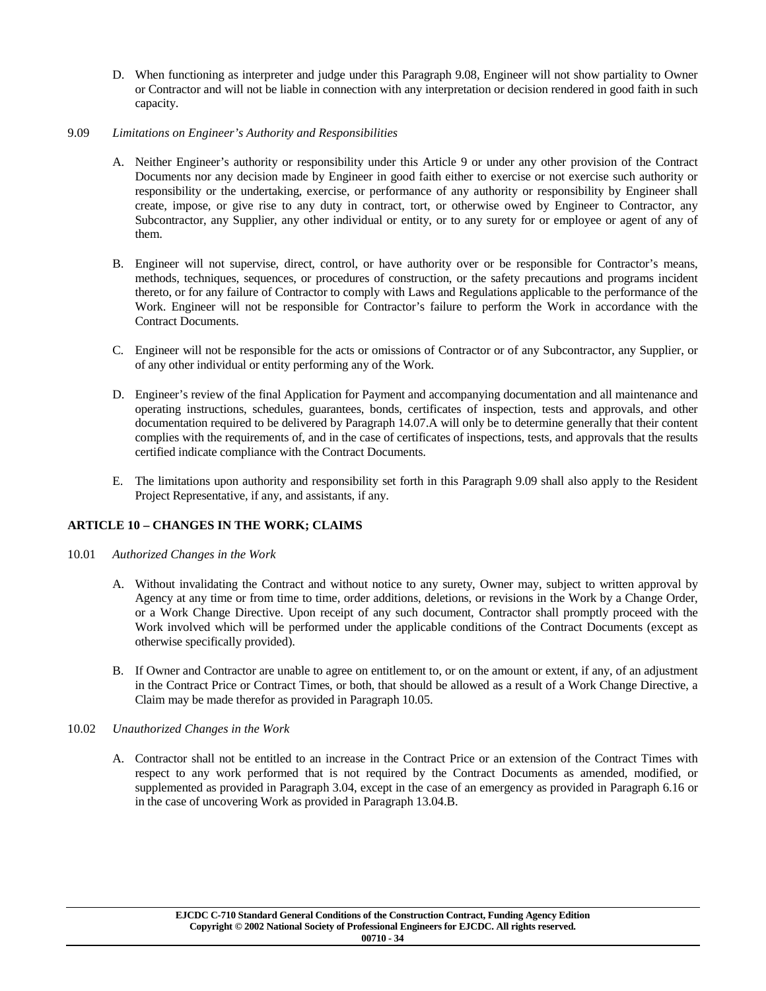- D. When functioning as interpreter and judge under this Paragraph 9.08, Engineer will not show partiality to Owner or Contractor and will not be liable in connection with any interpretation or decision rendered in good faith in such capacity.
- 9.09 *Limitations on Engineer's Authority and Responsibilities*
	- A. Neither Engineer's authority or responsibility under this Article 9 or under any other provision of the Contract Documents nor any decision made by Engineer in good faith either to exercise or not exercise such authority or responsibility or the undertaking, exercise, or performance of any authority or responsibility by Engineer shall create, impose, or give rise to any duty in contract, tort, or otherwise owed by Engineer to Contractor, any Subcontractor, any Supplier, any other individual or entity, or to any surety for or employee or agent of any of them.
	- B. Engineer will not supervise, direct, control, or have authority over or be responsible for Contractor's means, methods, techniques, sequences, or procedures of construction, or the safety precautions and programs incident thereto, or for any failure of Contractor to comply with Laws and Regulations applicable to the performance of the Work. Engineer will not be responsible for Contractor's failure to perform the Work in accordance with the Contract Documents.
	- C. Engineer will not be responsible for the acts or omissions of Contractor or of any Subcontractor, any Supplier, or of any other individual or entity performing any of the Work.
	- D. Engineer's review of the final Application for Payment and accompanying documentation and all maintenance and operating instructions, schedules, guarantees, bonds, certificates of inspection, tests and approvals, and other documentation required to be delivered by Paragraph 14.07.A will only be to determine generally that their content complies with the requirements of, and in the case of certificates of inspections, tests, and approvals that the results certified indicate compliance with the Contract Documents.
	- E. The limitations upon authority and responsibility set forth in this Paragraph 9.09 shall also apply to the Resident Project Representative, if any, and assistants, if any.

#### **ARTICLE 10 – CHANGES IN THE WORK; CLAIMS**

- 10.01 *Authorized Changes in the Work*
	- A. Without invalidating the Contract and without notice to any surety, Owner may, subject to written approval by Agency at any time or from time to time, order additions, deletions, or revisions in the Work by a Change Order, or a Work Change Directive. Upon receipt of any such document, Contractor shall promptly proceed with the Work involved which will be performed under the applicable conditions of the Contract Documents (except as otherwise specifically provided).
	- B. If Owner and Contractor are unable to agree on entitlement to, or on the amount or extent, if any, of an adjustment in the Contract Price or Contract Times, or both, that should be allowed as a result of a Work Change Directive, a Claim may be made therefor as provided in Paragraph 10.05.
- 10.02 *Unauthorized Changes in the Work*
	- A. Contractor shall not be entitled to an increase in the Contract Price or an extension of the Contract Times with respect to any work performed that is not required by the Contract Documents as amended, modified, or supplemented as provided in Paragraph 3.04, except in the case of an emergency as provided in Paragraph 6.16 or in the case of uncovering Work as provided in Paragraph 13.04.B.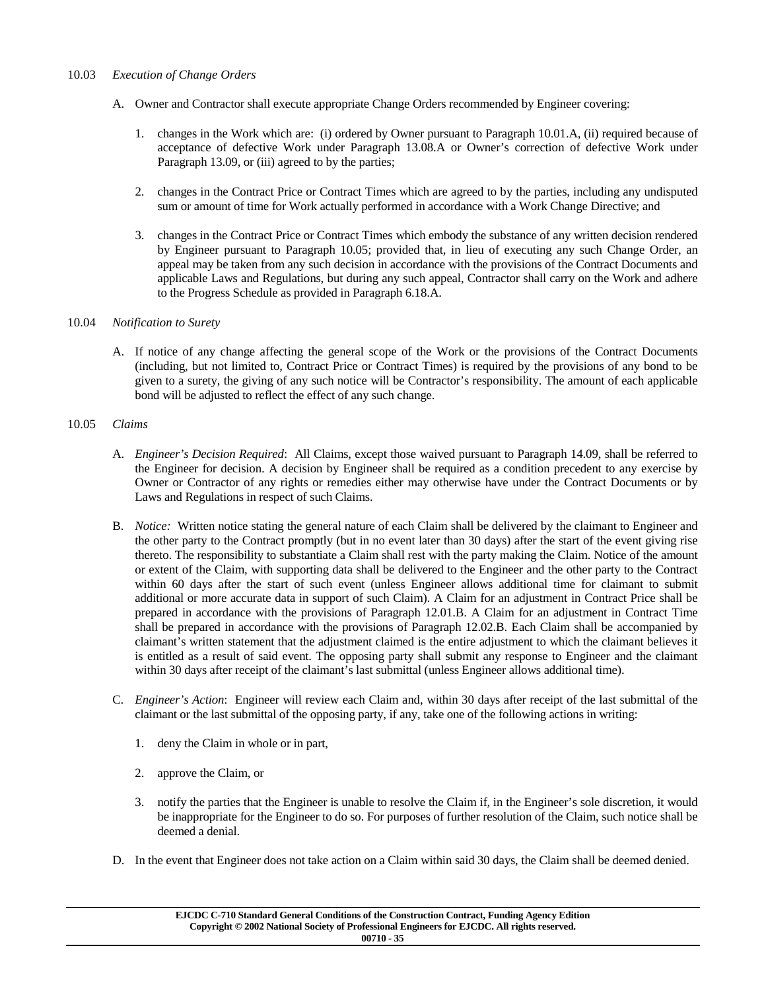#### 10.03 *Execution of Change Orders*

- A. Owner and Contractor shall execute appropriate Change Orders recommended by Engineer covering:
	- 1. changes in the Work which are: (i) ordered by Owner pursuant to Paragraph 10.01.A, (ii) required because of acceptance of defective Work under Paragraph 13.08.A or Owner's correction of defective Work under Paragraph 13.09, or (iii) agreed to by the parties;
	- 2. changes in the Contract Price or Contract Times which are agreed to by the parties, including any undisputed sum or amount of time for Work actually performed in accordance with a Work Change Directive; and
	- 3. changes in the Contract Price or Contract Times which embody the substance of any written decision rendered by Engineer pursuant to Paragraph 10.05; provided that, in lieu of executing any such Change Order, an appeal may be taken from any such decision in accordance with the provisions of the Contract Documents and applicable Laws and Regulations, but during any such appeal, Contractor shall carry on the Work and adhere to the Progress Schedule as provided in Paragraph 6.18.A.

#### 10.04 *Notification to Surety*

A. If notice of any change affecting the general scope of the Work or the provisions of the Contract Documents (including, but not limited to, Contract Price or Contract Times) is required by the provisions of any bond to be given to a surety, the giving of any such notice will be Contractor's responsibility. The amount of each applicable bond will be adjusted to reflect the effect of any such change.

#### 10.05 *Claims*

- A. *Engineer's Decision Required*: All Claims, except those waived pursuant to Paragraph 14.09, shall be referred to the Engineer for decision. A decision by Engineer shall be required as a condition precedent to any exercise by Owner or Contractor of any rights or remedies either may otherwise have under the Contract Documents or by Laws and Regulations in respect of such Claims.
- B. *Notice:* Written notice stating the general nature of each Claim shall be delivered by the claimant to Engineer and the other party to the Contract promptly (but in no event later than 30 days) after the start of the event giving rise thereto. The responsibility to substantiate a Claim shall rest with the party making the Claim. Notice of the amount or extent of the Claim, with supporting data shall be delivered to the Engineer and the other party to the Contract within 60 days after the start of such event (unless Engineer allows additional time for claimant to submit additional or more accurate data in support of such Claim). A Claim for an adjustment in Contract Price shall be prepared in accordance with the provisions of Paragraph 12.01.B. A Claim for an adjustment in Contract Time shall be prepared in accordance with the provisions of Paragraph 12.02.B. Each Claim shall be accompanied by claimant's written statement that the adjustment claimed is the entire adjustment to which the claimant believes it is entitled as a result of said event. The opposing party shall submit any response to Engineer and the claimant within 30 days after receipt of the claimant's last submittal (unless Engineer allows additional time).
- C. *Engineer's Action*: Engineer will review each Claim and, within 30 days after receipt of the last submittal of the claimant or the last submittal of the opposing party, if any, take one of the following actions in writing:
	- 1. deny the Claim in whole or in part,
	- 2. approve the Claim, or
	- 3. notify the parties that the Engineer is unable to resolve the Claim if, in the Engineer's sole discretion, it would be inappropriate for the Engineer to do so. For purposes of further resolution of the Claim, such notice shall be deemed a denial.
- D. In the event that Engineer does not take action on a Claim within said 30 days, the Claim shall be deemed denied.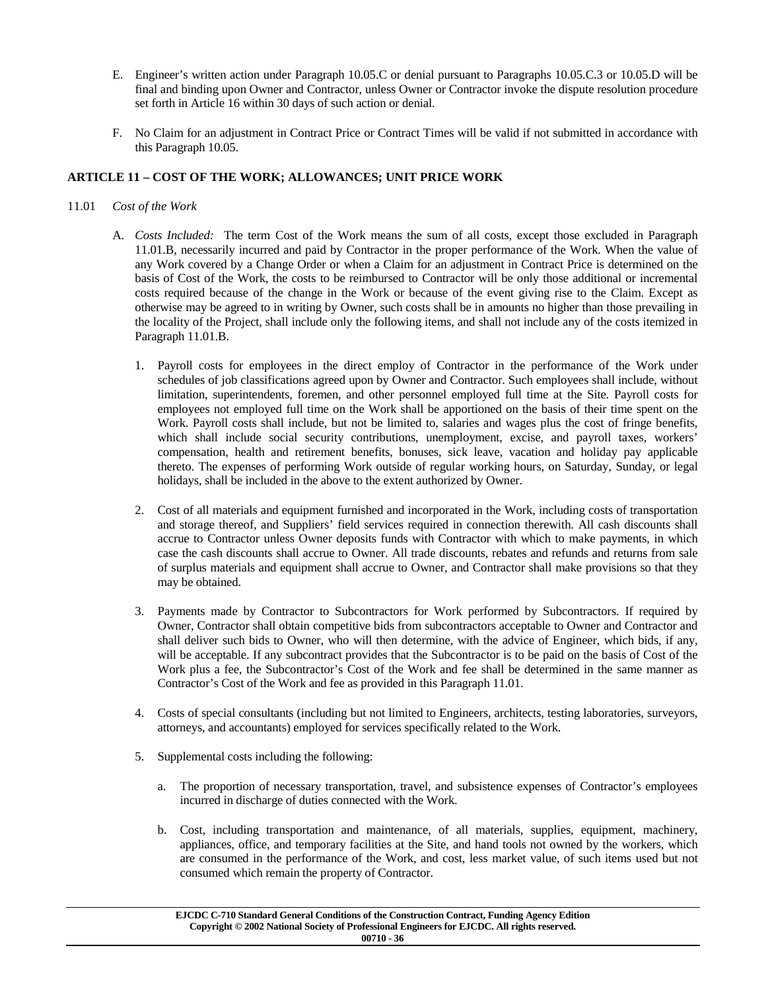- E. Engineer's written action under Paragraph 10.05.C or denial pursuant to Paragraphs 10.05.C.3 or 10.05.D will be final and binding upon Owner and Contractor, unless Owner or Contractor invoke the dispute resolution procedure set forth in Article 16 within 30 days of such action or denial.
- F. No Claim for an adjustment in Contract Price or Contract Times will be valid if not submitted in accordance with this Paragraph 10.05.

#### **ARTICLE 11 – COST OF THE WORK; ALLOWANCES; UNIT PRICE WORK**

#### 11.01 *Cost of the Work*

- A. *Costs Included:* The term Cost of the Work means the sum of all costs, except those excluded in Paragraph 11.01.B, necessarily incurred and paid by Contractor in the proper performance of the Work. When the value of any Work covered by a Change Order or when a Claim for an adjustment in Contract Price is determined on the basis of Cost of the Work, the costs to be reimbursed to Contractor will be only those additional or incremental costs required because of the change in the Work or because of the event giving rise to the Claim. Except as otherwise may be agreed to in writing by Owner, such costs shall be in amounts no higher than those prevailing in the locality of the Project, shall include only the following items, and shall not include any of the costs itemized in Paragraph 11.01.B.
	- 1. Payroll costs for employees in the direct employ of Contractor in the performance of the Work under schedules of job classifications agreed upon by Owner and Contractor. Such employees shall include, without limitation, superintendents, foremen, and other personnel employed full time at the Site. Payroll costs for employees not employed full time on the Work shall be apportioned on the basis of their time spent on the Work. Payroll costs shall include, but not be limited to, salaries and wages plus the cost of fringe benefits, which shall include social security contributions, unemployment, excise, and payroll taxes, workers' compensation, health and retirement benefits, bonuses, sick leave, vacation and holiday pay applicable thereto. The expenses of performing Work outside of regular working hours, on Saturday, Sunday, or legal holidays, shall be included in the above to the extent authorized by Owner.
	- 2. Cost of all materials and equipment furnished and incorporated in the Work, including costs of transportation and storage thereof, and Suppliers' field services required in connection therewith. All cash discounts shall accrue to Contractor unless Owner deposits funds with Contractor with which to make payments, in which case the cash discounts shall accrue to Owner. All trade discounts, rebates and refunds and returns from sale of surplus materials and equipment shall accrue to Owner, and Contractor shall make provisions so that they may be obtained.
	- 3. Payments made by Contractor to Subcontractors for Work performed by Subcontractors. If required by Owner, Contractor shall obtain competitive bids from subcontractors acceptable to Owner and Contractor and shall deliver such bids to Owner, who will then determine, with the advice of Engineer, which bids, if any, will be acceptable. If any subcontract provides that the Subcontractor is to be paid on the basis of Cost of the Work plus a fee, the Subcontractor's Cost of the Work and fee shall be determined in the same manner as Contractor's Cost of the Work and fee as provided in this Paragraph 11.01.
	- 4. Costs of special consultants (including but not limited to Engineers, architects, testing laboratories, surveyors, attorneys, and accountants) employed for services specifically related to the Work.
	- 5. Supplemental costs including the following:
		- a. The proportion of necessary transportation, travel, and subsistence expenses of Contractor's employees incurred in discharge of duties connected with the Work.
		- b. Cost, including transportation and maintenance, of all materials, supplies, equipment, machinery, appliances, office, and temporary facilities at the Site, and hand tools not owned by the workers, which are consumed in the performance of the Work, and cost, less market value, of such items used but not consumed which remain the property of Contractor.

**EJCDC C-710 Standard General Conditions of the Construction Contract, Funding Agency Edition Copyright © 2002 National Society of Professional Engineers for EJCDC. All rights reserved.**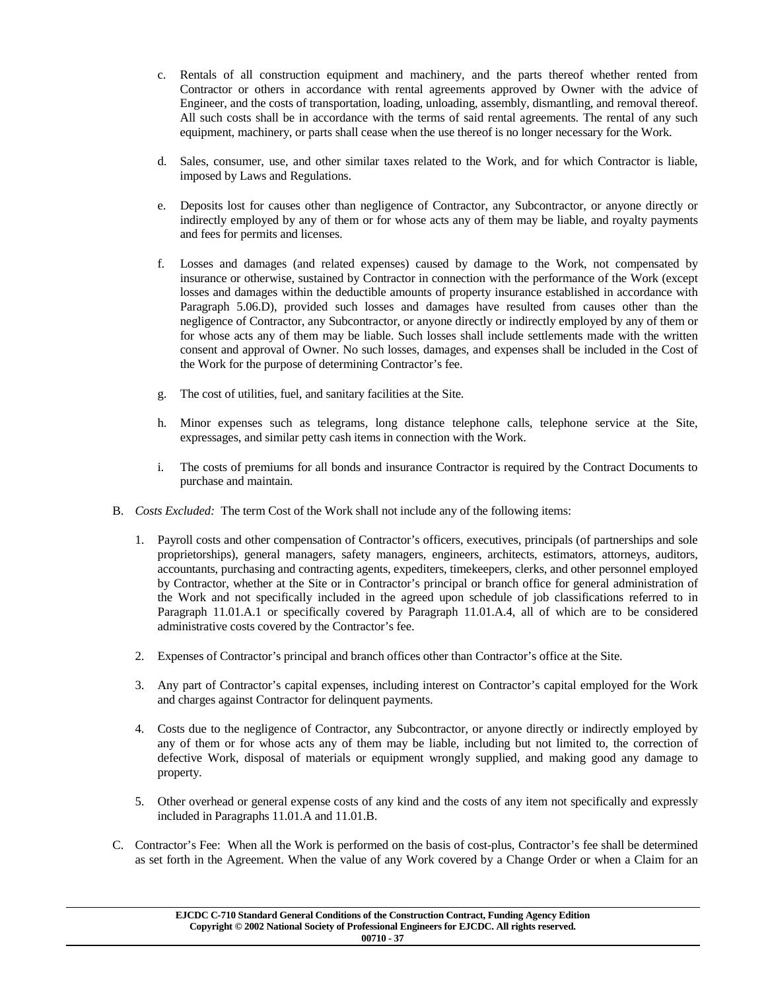- c. Rentals of all construction equipment and machinery, and the parts thereof whether rented from Contractor or others in accordance with rental agreements approved by Owner with the advice of Engineer, and the costs of transportation, loading, unloading, assembly, dismantling, and removal thereof. All such costs shall be in accordance with the terms of said rental agreements. The rental of any such equipment, machinery, or parts shall cease when the use thereof is no longer necessary for the Work.
- d. Sales, consumer, use, and other similar taxes related to the Work, and for which Contractor is liable, imposed by Laws and Regulations.
- e. Deposits lost for causes other than negligence of Contractor, any Subcontractor, or anyone directly or indirectly employed by any of them or for whose acts any of them may be liable, and royalty payments and fees for permits and licenses.
- f. Losses and damages (and related expenses) caused by damage to the Work, not compensated by insurance or otherwise, sustained by Contractor in connection with the performance of the Work (except losses and damages within the deductible amounts of property insurance established in accordance with Paragraph 5.06.D), provided such losses and damages have resulted from causes other than the negligence of Contractor, any Subcontractor, or anyone directly or indirectly employed by any of them or for whose acts any of them may be liable. Such losses shall include settlements made with the written consent and approval of Owner. No such losses, damages, and expenses shall be included in the Cost of the Work for the purpose of determining Contractor's fee.
- g. The cost of utilities, fuel, and sanitary facilities at the Site.
- h. Minor expenses such as telegrams, long distance telephone calls, telephone service at the Site, expressages, and similar petty cash items in connection with the Work.
- i. The costs of premiums for all bonds and insurance Contractor is required by the Contract Documents to purchase and maintain.
- B. *Costs Excluded:* The term Cost of the Work shall not include any of the following items:
	- 1. Payroll costs and other compensation of Contractor's officers, executives, principals (of partnerships and sole proprietorships), general managers, safety managers, engineers, architects, estimators, attorneys, auditors, accountants, purchasing and contracting agents, expediters, timekeepers, clerks, and other personnel employed by Contractor, whether at the Site or in Contractor's principal or branch office for general administration of the Work and not specifically included in the agreed upon schedule of job classifications referred to in Paragraph 11.01.A.1 or specifically covered by Paragraph 11.01.A.4, all of which are to be considered administrative costs covered by the Contractor's fee.
	- 2. Expenses of Contractor's principal and branch offices other than Contractor's office at the Site.
	- 3. Any part of Contractor's capital expenses, including interest on Contractor's capital employed for the Work and charges against Contractor for delinquent payments.
	- 4. Costs due to the negligence of Contractor, any Subcontractor, or anyone directly or indirectly employed by any of them or for whose acts any of them may be liable, including but not limited to, the correction of defective Work, disposal of materials or equipment wrongly supplied, and making good any damage to property.
	- 5. Other overhead or general expense costs of any kind and the costs of any item not specifically and expressly included in Paragraphs 11.01.A and 11.01.B.
- C. Contractor's Fee: When all the Work is performed on the basis of cost-plus, Contractor's fee shall be determined as set forth in the Agreement. When the value of any Work covered by a Change Order or when a Claim for an

**EJCDC C-710 Standard General Conditions of the Construction Contract, Funding Agency Edition Copyright © 2002 National Society of Professional Engineers for EJCDC. All rights reserved.**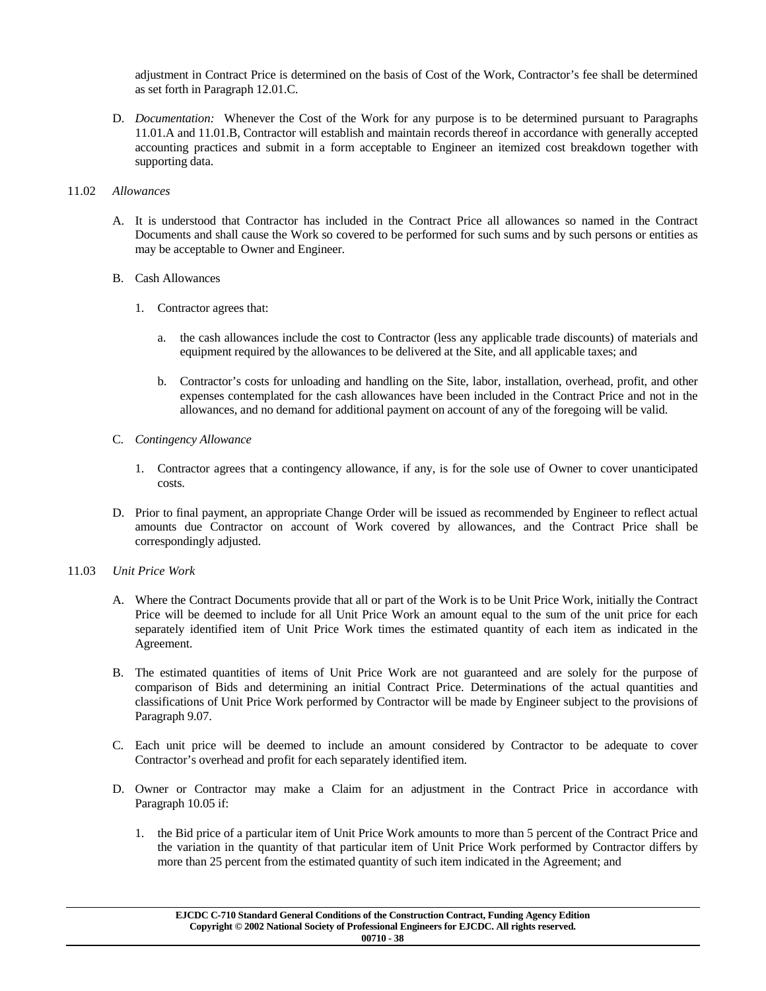adjustment in Contract Price is determined on the basis of Cost of the Work, Contractor's fee shall be determined as set forth in Paragraph 12.01.C.

D. *Documentation:* Whenever the Cost of the Work for any purpose is to be determined pursuant to Paragraphs 11.01.A and 11.01.B, Contractor will establish and maintain records thereof in accordance with generally accepted accounting practices and submit in a form acceptable to Engineer an itemized cost breakdown together with supporting data.

#### 11.02 *Allowances*

- A. It is understood that Contractor has included in the Contract Price all allowances so named in the Contract Documents and shall cause the Work so covered to be performed for such sums and by such persons or entities as may be acceptable to Owner and Engineer.
- B. Cash Allowances
	- 1. Contractor agrees that:
		- a. the cash allowances include the cost to Contractor (less any applicable trade discounts) of materials and equipment required by the allowances to be delivered at the Site, and all applicable taxes; and
		- b. Contractor's costs for unloading and handling on the Site, labor, installation, overhead, profit, and other expenses contemplated for the cash allowances have been included in the Contract Price and not in the allowances, and no demand for additional payment on account of any of the foregoing will be valid.
- C. *Contingency Allowance*
	- 1. Contractor agrees that a contingency allowance, if any, is for the sole use of Owner to cover unanticipated costs.
- D. Prior to final payment, an appropriate Change Order will be issued as recommended by Engineer to reflect actual amounts due Contractor on account of Work covered by allowances, and the Contract Price shall be correspondingly adjusted.

#### 11.03 *Unit Price Work*

- A. Where the Contract Documents provide that all or part of the Work is to be Unit Price Work, initially the Contract Price will be deemed to include for all Unit Price Work an amount equal to the sum of the unit price for each separately identified item of Unit Price Work times the estimated quantity of each item as indicated in the Agreement.
- B. The estimated quantities of items of Unit Price Work are not guaranteed and are solely for the purpose of comparison of Bids and determining an initial Contract Price. Determinations of the actual quantities and classifications of Unit Price Work performed by Contractor will be made by Engineer subject to the provisions of Paragraph 9.07.
- C. Each unit price will be deemed to include an amount considered by Contractor to be adequate to cover Contractor's overhead and profit for each separately identified item.
- D. Owner or Contractor may make a Claim for an adjustment in the Contract Price in accordance with Paragraph 10.05 if:
	- 1. the Bid price of a particular item of Unit Price Work amounts to more than 5 percent of the Contract Price and the variation in the quantity of that particular item of Unit Price Work performed by Contractor differs by more than 25 percent from the estimated quantity of such item indicated in the Agreement; and

**EJCDC C-710 Standard General Conditions of the Construction Contract, Funding Agency Edition Copyright © 2002 National Society of Professional Engineers for EJCDC. All rights reserved. 00710 - 38**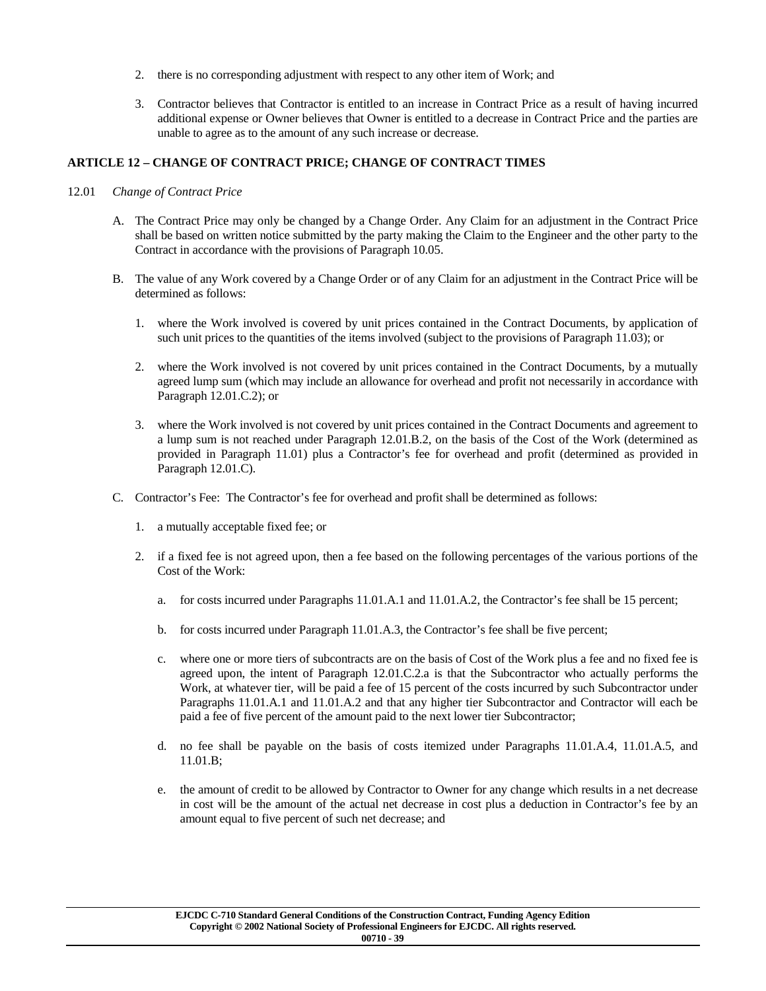- 2. there is no corresponding adjustment with respect to any other item of Work; and
- 3. Contractor believes that Contractor is entitled to an increase in Contract Price as a result of having incurred additional expense or Owner believes that Owner is entitled to a decrease in Contract Price and the parties are unable to agree as to the amount of any such increase or decrease.

#### **ARTICLE 12 – CHANGE OF CONTRACT PRICE; CHANGE OF CONTRACT TIMES**

- 12.01 *Change of Contract Price*
	- A. The Contract Price may only be changed by a Change Order. Any Claim for an adjustment in the Contract Price shall be based on written notice submitted by the party making the Claim to the Engineer and the other party to the Contract in accordance with the provisions of Paragraph 10.05.
	- B. The value of any Work covered by a Change Order or of any Claim for an adjustment in the Contract Price will be determined as follows:
		- 1. where the Work involved is covered by unit prices contained in the Contract Documents, by application of such unit prices to the quantities of the items involved (subject to the provisions of Paragraph 11.03); or
		- 2. where the Work involved is not covered by unit prices contained in the Contract Documents, by a mutually agreed lump sum (which may include an allowance for overhead and profit not necessarily in accordance with Paragraph 12.01.C.2); or
		- 3. where the Work involved is not covered by unit prices contained in the Contract Documents and agreement to a lump sum is not reached under Paragraph 12.01.B.2, on the basis of the Cost of the Work (determined as provided in Paragraph 11.01) plus a Contractor's fee for overhead and profit (determined as provided in Paragraph 12.01.C).
	- C. Contractor's Fee: The Contractor's fee for overhead and profit shall be determined as follows:
		- 1. a mutually acceptable fixed fee; or
		- 2. if a fixed fee is not agreed upon, then a fee based on the following percentages of the various portions of the Cost of the Work:
			- a. for costs incurred under Paragraphs 11.01.A.1 and 11.01.A.2, the Contractor's fee shall be 15 percent;
			- b. for costs incurred under Paragraph 11.01.A.3, the Contractor's fee shall be five percent;
			- c. where one or more tiers of subcontracts are on the basis of Cost of the Work plus a fee and no fixed fee is agreed upon, the intent of Paragraph 12.01.C.2.a is that the Subcontractor who actually performs the Work, at whatever tier, will be paid a fee of 15 percent of the costs incurred by such Subcontractor under Paragraphs 11.01.A.1 and 11.01.A.2 and that any higher tier Subcontractor and Contractor will each be paid a fee of five percent of the amount paid to the next lower tier Subcontractor;
			- d. no fee shall be payable on the basis of costs itemized under Paragraphs 11.01.A.4, 11.01.A.5, and 11.01.B;
			- e. the amount of credit to be allowed by Contractor to Owner for any change which results in a net decrease in cost will be the amount of the actual net decrease in cost plus a deduction in Contractor's fee by an amount equal to five percent of such net decrease; and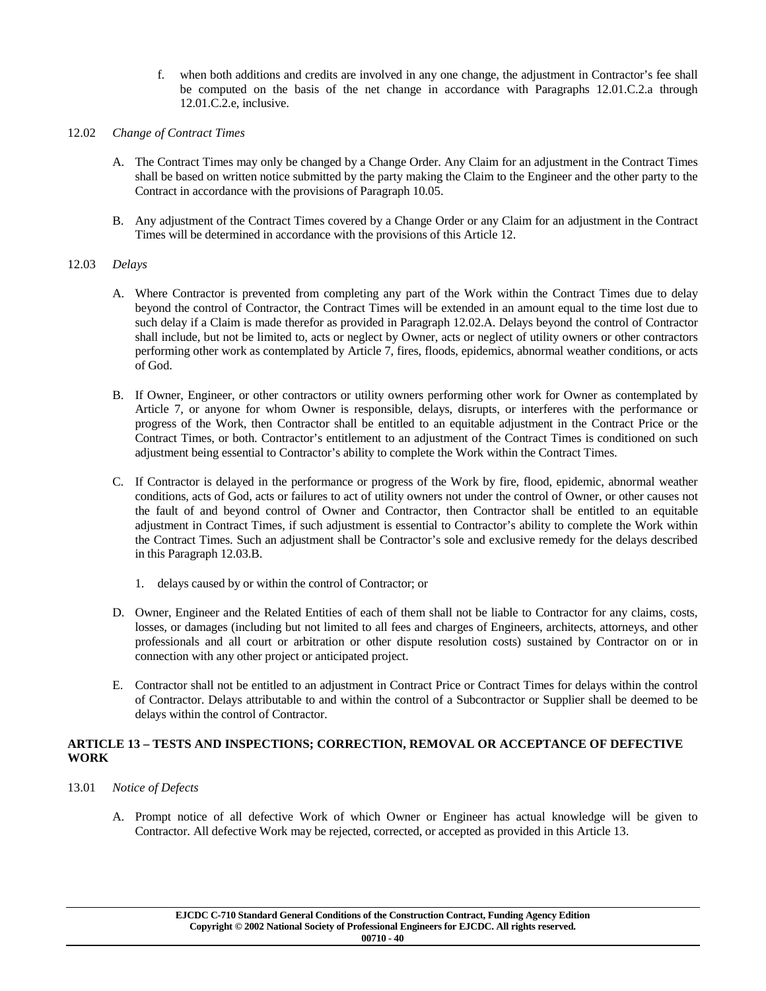- f. when both additions and credits are involved in any one change, the adjustment in Contractor's fee shall be computed on the basis of the net change in accordance with Paragraphs 12.01.C.2.a through 12.01.C.2.e, inclusive.
- 12.02 *Change of Contract Times*
	- A. The Contract Times may only be changed by a Change Order. Any Claim for an adjustment in the Contract Times shall be based on written notice submitted by the party making the Claim to the Engineer and the other party to the Contract in accordance with the provisions of Paragraph 10.05.
	- B. Any adjustment of the Contract Times covered by a Change Order or any Claim for an adjustment in the Contract Times will be determined in accordance with the provisions of this Article 12.

#### 12.03 *Delays*

- A. Where Contractor is prevented from completing any part of the Work within the Contract Times due to delay beyond the control of Contractor, the Contract Times will be extended in an amount equal to the time lost due to such delay if a Claim is made therefor as provided in Paragraph 12.02.A. Delays beyond the control of Contractor shall include, but not be limited to, acts or neglect by Owner, acts or neglect of utility owners or other contractors performing other work as contemplated by Article 7, fires, floods, epidemics, abnormal weather conditions, or acts of God.
- B. If Owner, Engineer, or other contractors or utility owners performing other work for Owner as contemplated by Article 7, or anyone for whom Owner is responsible, delays, disrupts, or interferes with the performance or progress of the Work, then Contractor shall be entitled to an equitable adjustment in the Contract Price or the Contract Times, or both. Contractor's entitlement to an adjustment of the Contract Times is conditioned on such adjustment being essential to Contractor's ability to complete the Work within the Contract Times.
- C. If Contractor is delayed in the performance or progress of the Work by fire, flood, epidemic, abnormal weather conditions, acts of God, acts or failures to act of utility owners not under the control of Owner, or other causes not the fault of and beyond control of Owner and Contractor, then Contractor shall be entitled to an equitable adjustment in Contract Times, if such adjustment is essential to Contractor's ability to complete the Work within the Contract Times. Such an adjustment shall be Contractor's sole and exclusive remedy for the delays described in this Paragraph 12.03.B.
	- 1. delays caused by or within the control of Contractor; or
- D. Owner, Engineer and the Related Entities of each of them shall not be liable to Contractor for any claims, costs, losses, or damages (including but not limited to all fees and charges of Engineers, architects, attorneys, and other professionals and all court or arbitration or other dispute resolution costs) sustained by Contractor on or in connection with any other project or anticipated project.
- E. Contractor shall not be entitled to an adjustment in Contract Price or Contract Times for delays within the control of Contractor. Delays attributable to and within the control of a Subcontractor or Supplier shall be deemed to be delays within the control of Contractor.

#### **ARTICLE 13 – TESTS AND INSPECTIONS; CORRECTION, REMOVAL OR ACCEPTANCE OF DEFECTIVE WORK**

- 13.01 *Notice of Defects*
	- A. Prompt notice of all defective Work of which Owner or Engineer has actual knowledge will be given to Contractor. All defective Work may be rejected, corrected, or accepted as provided in this Article 13.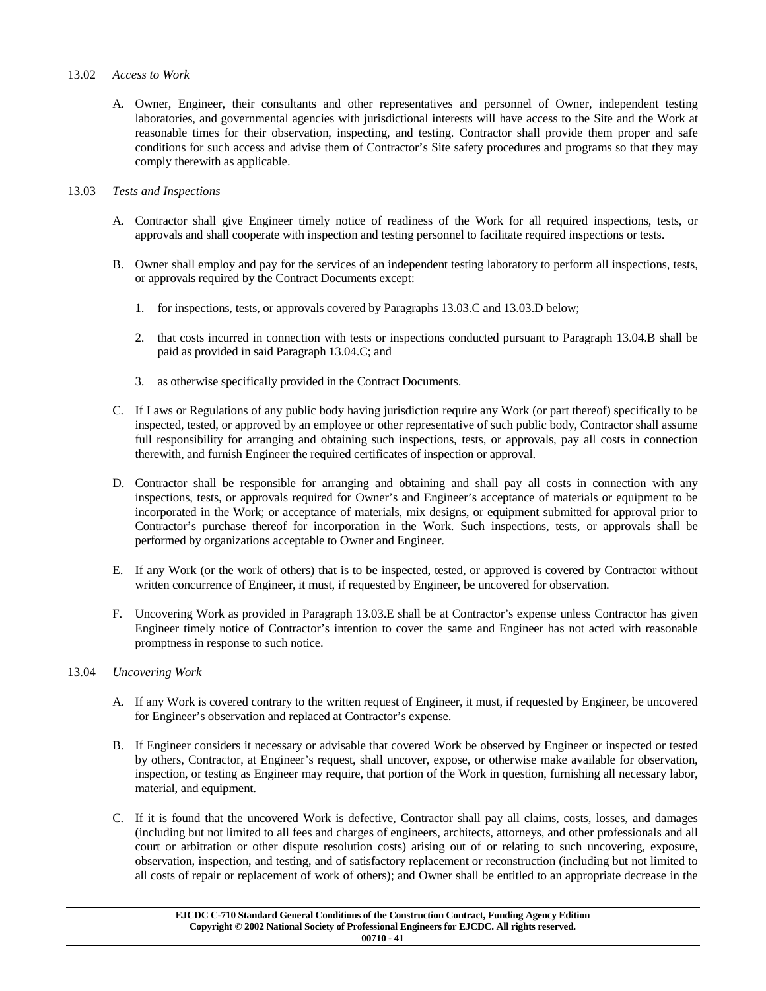#### 13.02 *Access to Work*

A. Owner, Engineer, their consultants and other representatives and personnel of Owner, independent testing laboratories, and governmental agencies with jurisdictional interests will have access to the Site and the Work at reasonable times for their observation, inspecting, and testing. Contractor shall provide them proper and safe conditions for such access and advise them of Contractor's Site safety procedures and programs so that they may comply therewith as applicable.

#### 13.03 *Tests and Inspections*

- A. Contractor shall give Engineer timely notice of readiness of the Work for all required inspections, tests, or approvals and shall cooperate with inspection and testing personnel to facilitate required inspections or tests.
- B. Owner shall employ and pay for the services of an independent testing laboratory to perform all inspections, tests, or approvals required by the Contract Documents except:
	- 1. for inspections, tests, or approvals covered by Paragraphs 13.03.C and 13.03.D below;
	- 2. that costs incurred in connection with tests or inspections conducted pursuant to Paragraph 13.04.B shall be paid as provided in said Paragraph 13.04.C; and
	- 3. as otherwise specifically provided in the Contract Documents.
- C. If Laws or Regulations of any public body having jurisdiction require any Work (or part thereof) specifically to be inspected, tested, or approved by an employee or other representative of such public body, Contractor shall assume full responsibility for arranging and obtaining such inspections, tests, or approvals, pay all costs in connection therewith, and furnish Engineer the required certificates of inspection or approval.
- D. Contractor shall be responsible for arranging and obtaining and shall pay all costs in connection with any inspections, tests, or approvals required for Owner's and Engineer's acceptance of materials or equipment to be incorporated in the Work; or acceptance of materials, mix designs, or equipment submitted for approval prior to Contractor's purchase thereof for incorporation in the Work. Such inspections, tests, or approvals shall be performed by organizations acceptable to Owner and Engineer.
- E. If any Work (or the work of others) that is to be inspected, tested, or approved is covered by Contractor without written concurrence of Engineer, it must, if requested by Engineer, be uncovered for observation.
- F. Uncovering Work as provided in Paragraph 13.03.E shall be at Contractor's expense unless Contractor has given Engineer timely notice of Contractor's intention to cover the same and Engineer has not acted with reasonable promptness in response to such notice.

#### 13.04 *Uncovering Work*

- A. If any Work is covered contrary to the written request of Engineer, it must, if requested by Engineer, be uncovered for Engineer's observation and replaced at Contractor's expense.
- B. If Engineer considers it necessary or advisable that covered Work be observed by Engineer or inspected or tested by others, Contractor, at Engineer's request, shall uncover, expose, or otherwise make available for observation, inspection, or testing as Engineer may require, that portion of the Work in question, furnishing all necessary labor, material, and equipment.
- C. If it is found that the uncovered Work is defective, Contractor shall pay all claims, costs, losses, and damages (including but not limited to all fees and charges of engineers, architects, attorneys, and other professionals and all court or arbitration or other dispute resolution costs) arising out of or relating to such uncovering, exposure, observation, inspection, and testing, and of satisfactory replacement or reconstruction (including but not limited to all costs of repair or replacement of work of others); and Owner shall be entitled to an appropriate decrease in the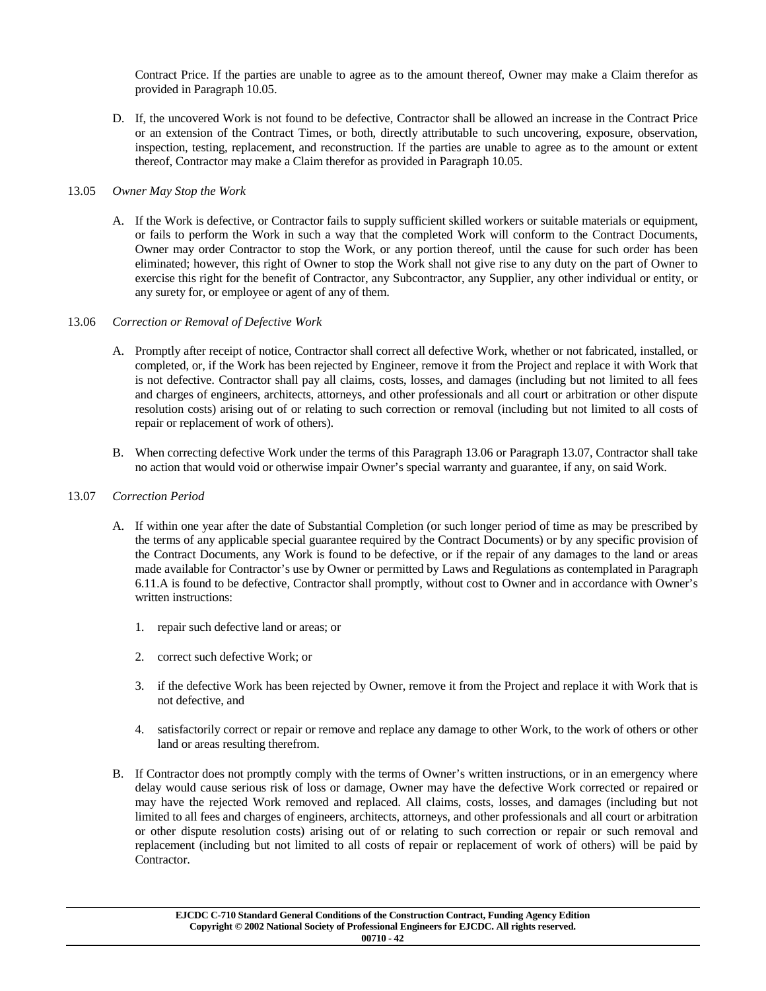Contract Price. If the parties are unable to agree as to the amount thereof, Owner may make a Claim therefor as provided in Paragraph 10.05.

D. If, the uncovered Work is not found to be defective, Contractor shall be allowed an increase in the Contract Price or an extension of the Contract Times, or both, directly attributable to such uncovering, exposure, observation, inspection, testing, replacement, and reconstruction. If the parties are unable to agree as to the amount or extent thereof, Contractor may make a Claim therefor as provided in Paragraph 10.05.

#### 13.05 *Owner May Stop the Work*

A. If the Work is defective, or Contractor fails to supply sufficient skilled workers or suitable materials or equipment, or fails to perform the Work in such a way that the completed Work will conform to the Contract Documents, Owner may order Contractor to stop the Work, or any portion thereof, until the cause for such order has been eliminated; however, this right of Owner to stop the Work shall not give rise to any duty on the part of Owner to exercise this right for the benefit of Contractor, any Subcontractor, any Supplier, any other individual or entity, or any surety for, or employee or agent of any of them.

#### 13.06 *Correction or Removal of Defective Work*

- A. Promptly after receipt of notice, Contractor shall correct all defective Work, whether or not fabricated, installed, or completed, or, if the Work has been rejected by Engineer, remove it from the Project and replace it with Work that is not defective. Contractor shall pay all claims, costs, losses, and damages (including but not limited to all fees and charges of engineers, architects, attorneys, and other professionals and all court or arbitration or other dispute resolution costs) arising out of or relating to such correction or removal (including but not limited to all costs of repair or replacement of work of others).
- B. When correcting defective Work under the terms of this Paragraph 13.06 or Paragraph 13.07, Contractor shall take no action that would void or otherwise impair Owner's special warranty and guarantee, if any, on said Work.

#### 13.07 *Correction Period*

- A. If within one year after the date of Substantial Completion (or such longer period of time as may be prescribed by the terms of any applicable special guarantee required by the Contract Documents) or by any specific provision of the Contract Documents, any Work is found to be defective, or if the repair of any damages to the land or areas made available for Contractor's use by Owner or permitted by Laws and Regulations as contemplated in Paragraph 6.11.A is found to be defective, Contractor shall promptly, without cost to Owner and in accordance with Owner's written instructions:
	- 1. repair such defective land or areas; or
	- 2. correct such defective Work; or
	- 3. if the defective Work has been rejected by Owner, remove it from the Project and replace it with Work that is not defective, and
	- 4. satisfactorily correct or repair or remove and replace any damage to other Work, to the work of others or other land or areas resulting therefrom.
- B. If Contractor does not promptly comply with the terms of Owner's written instructions, or in an emergency where delay would cause serious risk of loss or damage, Owner may have the defective Work corrected or repaired or may have the rejected Work removed and replaced. All claims, costs, losses, and damages (including but not limited to all fees and charges of engineers, architects, attorneys, and other professionals and all court or arbitration or other dispute resolution costs) arising out of or relating to such correction or repair or such removal and replacement (including but not limited to all costs of repair or replacement of work of others) will be paid by Contractor.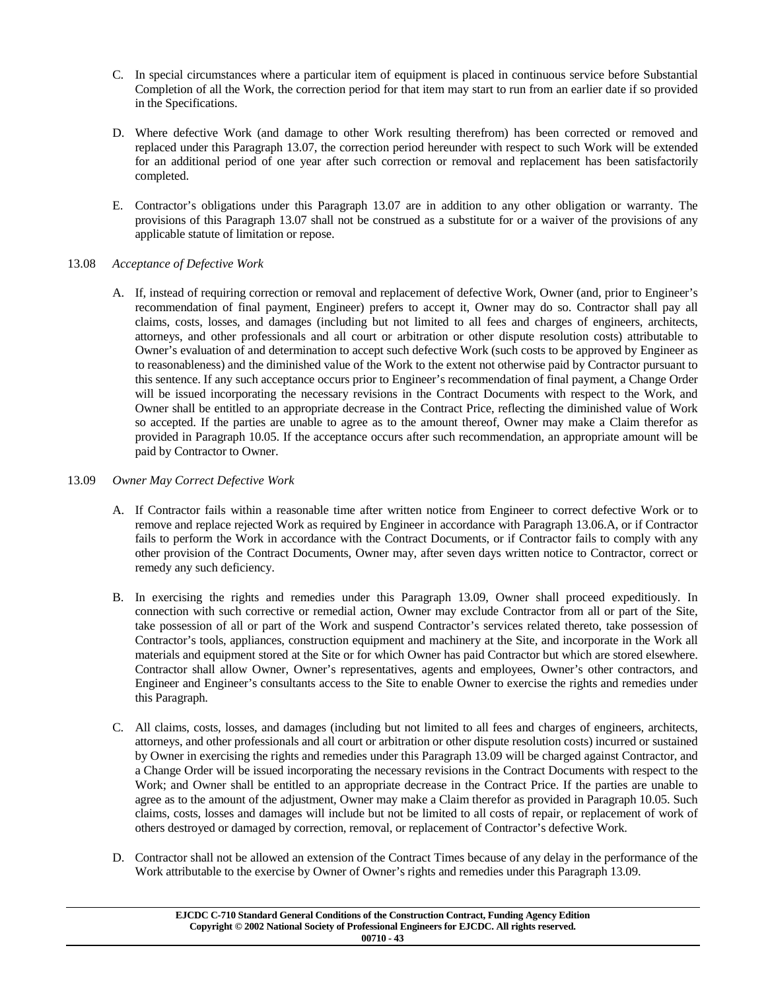- C. In special circumstances where a particular item of equipment is placed in continuous service before Substantial Completion of all the Work, the correction period for that item may start to run from an earlier date if so provided in the Specifications.
- D. Where defective Work (and damage to other Work resulting therefrom) has been corrected or removed and replaced under this Paragraph 13.07, the correction period hereunder with respect to such Work will be extended for an additional period of one year after such correction or removal and replacement has been satisfactorily completed.
- E. Contractor's obligations under this Paragraph 13.07 are in addition to any other obligation or warranty. The provisions of this Paragraph 13.07 shall not be construed as a substitute for or a waiver of the provisions of any applicable statute of limitation or repose.

#### 13.08 *Acceptance of Defective Work*

A. If, instead of requiring correction or removal and replacement of defective Work, Owner (and, prior to Engineer's recommendation of final payment, Engineer) prefers to accept it, Owner may do so. Contractor shall pay all claims, costs, losses, and damages (including but not limited to all fees and charges of engineers, architects, attorneys, and other professionals and all court or arbitration or other dispute resolution costs) attributable to Owner's evaluation of and determination to accept such defective Work (such costs to be approved by Engineer as to reasonableness) and the diminished value of the Work to the extent not otherwise paid by Contractor pursuant to this sentence. If any such acceptance occurs prior to Engineer's recommendation of final payment, a Change Order will be issued incorporating the necessary revisions in the Contract Documents with respect to the Work, and Owner shall be entitled to an appropriate decrease in the Contract Price, reflecting the diminished value of Work so accepted. If the parties are unable to agree as to the amount thereof, Owner may make a Claim therefor as provided in Paragraph 10.05. If the acceptance occurs after such recommendation, an appropriate amount will be paid by Contractor to Owner.

#### 13.09 *Owner May Correct Defective Work*

- A. If Contractor fails within a reasonable time after written notice from Engineer to correct defective Work or to remove and replace rejected Work as required by Engineer in accordance with Paragraph 13.06.A, or if Contractor fails to perform the Work in accordance with the Contract Documents, or if Contractor fails to comply with any other provision of the Contract Documents, Owner may, after seven days written notice to Contractor, correct or remedy any such deficiency.
- B. In exercising the rights and remedies under this Paragraph 13.09, Owner shall proceed expeditiously. In connection with such corrective or remedial action, Owner may exclude Contractor from all or part of the Site, take possession of all or part of the Work and suspend Contractor's services related thereto, take possession of Contractor's tools, appliances, construction equipment and machinery at the Site, and incorporate in the Work all materials and equipment stored at the Site or for which Owner has paid Contractor but which are stored elsewhere. Contractor shall allow Owner, Owner's representatives, agents and employees, Owner's other contractors, and Engineer and Engineer's consultants access to the Site to enable Owner to exercise the rights and remedies under this Paragraph.
- C. All claims, costs, losses, and damages (including but not limited to all fees and charges of engineers, architects, attorneys, and other professionals and all court or arbitration or other dispute resolution costs) incurred or sustained by Owner in exercising the rights and remedies under this Paragraph 13.09 will be charged against Contractor, and a Change Order will be issued incorporating the necessary revisions in the Contract Documents with respect to the Work; and Owner shall be entitled to an appropriate decrease in the Contract Price. If the parties are unable to agree as to the amount of the adjustment, Owner may make a Claim therefor as provided in Paragraph 10.05. Such claims, costs, losses and damages will include but not be limited to all costs of repair, or replacement of work of others destroyed or damaged by correction, removal, or replacement of Contractor's defective Work.
- D. Contractor shall not be allowed an extension of the Contract Times because of any delay in the performance of the Work attributable to the exercise by Owner of Owner's rights and remedies under this Paragraph 13.09.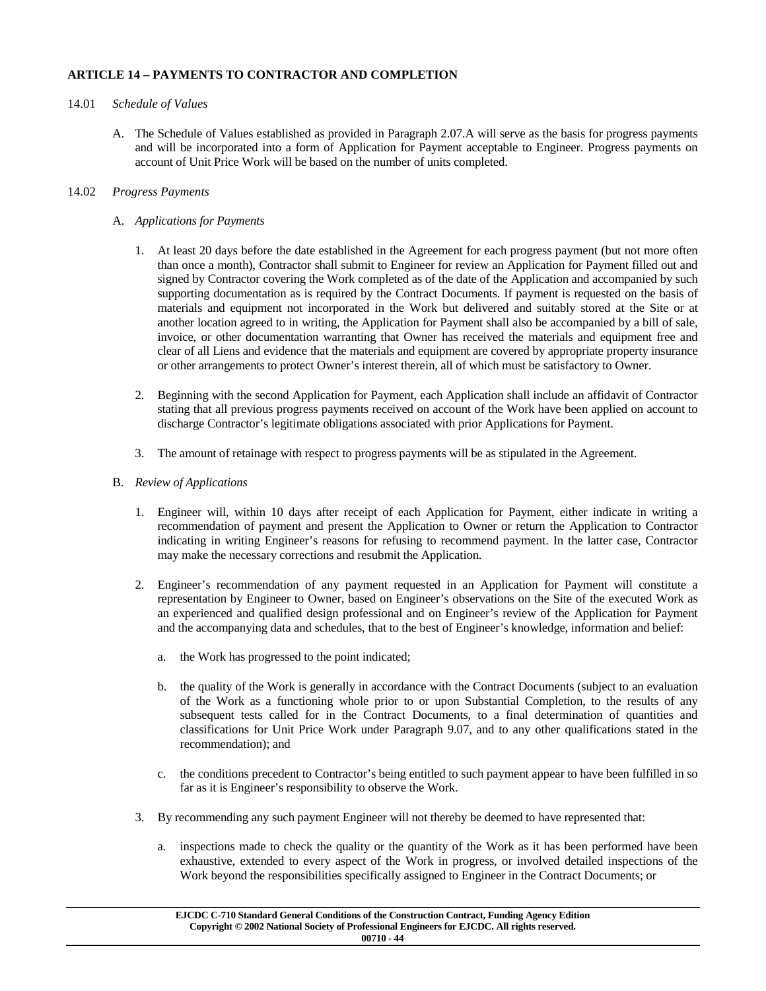#### **ARTICLE 14 – PAYMENTS TO CONTRACTOR AND COMPLETION**

#### 14.01 *Schedule of Values*

A. The Schedule of Values established as provided in Paragraph 2.07.A will serve as the basis for progress payments and will be incorporated into a form of Application for Payment acceptable to Engineer. Progress payments on account of Unit Price Work will be based on the number of units completed.

#### 14.02 *Progress Payments*

#### A. *Applications for Payments*

- 1. At least 20 days before the date established in the Agreement for each progress payment (but not more often than once a month), Contractor shall submit to Engineer for review an Application for Payment filled out and signed by Contractor covering the Work completed as of the date of the Application and accompanied by such supporting documentation as is required by the Contract Documents. If payment is requested on the basis of materials and equipment not incorporated in the Work but delivered and suitably stored at the Site or at another location agreed to in writing, the Application for Payment shall also be accompanied by a bill of sale, invoice, or other documentation warranting that Owner has received the materials and equipment free and clear of all Liens and evidence that the materials and equipment are covered by appropriate property insurance or other arrangements to protect Owner's interest therein, all of which must be satisfactory to Owner.
- 2. Beginning with the second Application for Payment, each Application shall include an affidavit of Contractor stating that all previous progress payments received on account of the Work have been applied on account to discharge Contractor's legitimate obligations associated with prior Applications for Payment.
- 3. The amount of retainage with respect to progress payments will be as stipulated in the Agreement.

#### B. *Review of Applications*

- 1. Engineer will, within 10 days after receipt of each Application for Payment, either indicate in writing a recommendation of payment and present the Application to Owner or return the Application to Contractor indicating in writing Engineer's reasons for refusing to recommend payment. In the latter case, Contractor may make the necessary corrections and resubmit the Application.
- 2. Engineer's recommendation of any payment requested in an Application for Payment will constitute a representation by Engineer to Owner, based on Engineer's observations on the Site of the executed Work as an experienced and qualified design professional and on Engineer's review of the Application for Payment and the accompanying data and schedules, that to the best of Engineer's knowledge, information and belief:
	- a. the Work has progressed to the point indicated;
	- b. the quality of the Work is generally in accordance with the Contract Documents (subject to an evaluation of the Work as a functioning whole prior to or upon Substantial Completion, to the results of any subsequent tests called for in the Contract Documents, to a final determination of quantities and classifications for Unit Price Work under Paragraph 9.07, and to any other qualifications stated in the recommendation); and
	- c. the conditions precedent to Contractor's being entitled to such payment appear to have been fulfilled in so far as it is Engineer's responsibility to observe the Work.
- 3. By recommending any such payment Engineer will not thereby be deemed to have represented that:
	- a. inspections made to check the quality or the quantity of the Work as it has been performed have been exhaustive, extended to every aspect of the Work in progress, or involved detailed inspections of the Work beyond the responsibilities specifically assigned to Engineer in the Contract Documents; or

**EJCDC C-710 Standard General Conditions of the Construction Contract, Funding Agency Edition Copyright © 2002 National Society of Professional Engineers for EJCDC. All rights reserved.**

#### **00710 - 44**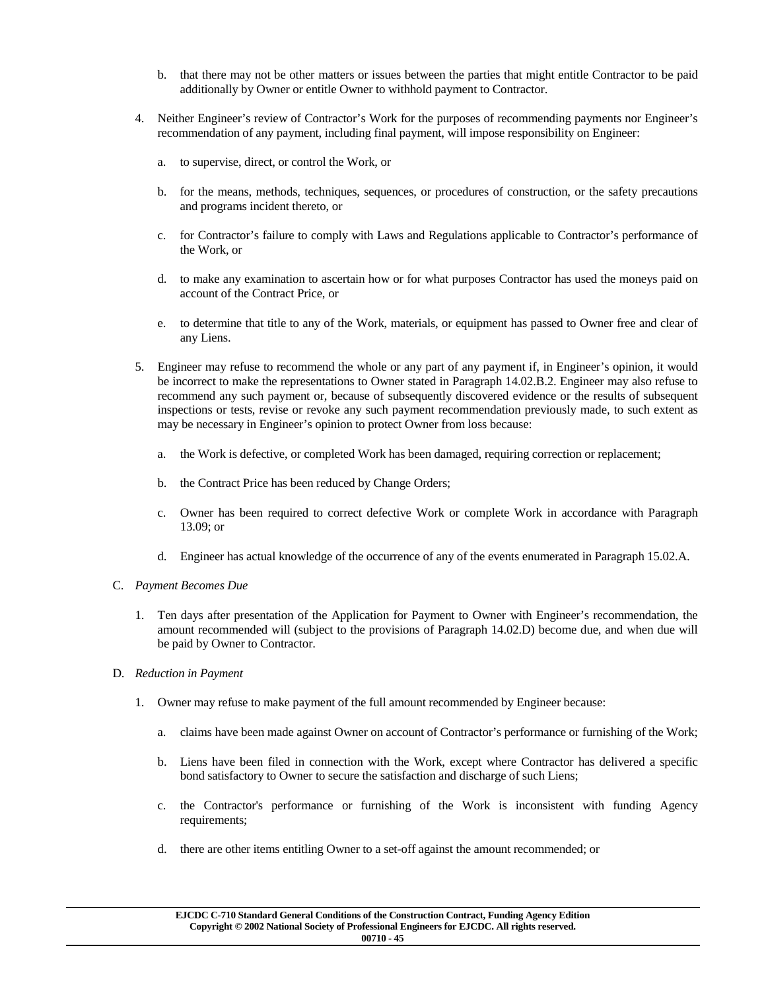- b. that there may not be other matters or issues between the parties that might entitle Contractor to be paid additionally by Owner or entitle Owner to withhold payment to Contractor.
- 4. Neither Engineer's review of Contractor's Work for the purposes of recommending payments nor Engineer's recommendation of any payment, including final payment, will impose responsibility on Engineer:
	- a. to supervise, direct, or control the Work, or
	- b. for the means, methods, techniques, sequences, or procedures of construction, or the safety precautions and programs incident thereto, or
	- c. for Contractor's failure to comply with Laws and Regulations applicable to Contractor's performance of the Work, or
	- d. to make any examination to ascertain how or for what purposes Contractor has used the moneys paid on account of the Contract Price, or
	- e. to determine that title to any of the Work, materials, or equipment has passed to Owner free and clear of any Liens.
- 5. Engineer may refuse to recommend the whole or any part of any payment if, in Engineer's opinion, it would be incorrect to make the representations to Owner stated in Paragraph 14.02.B.2. Engineer may also refuse to recommend any such payment or, because of subsequently discovered evidence or the results of subsequent inspections or tests, revise or revoke any such payment recommendation previously made, to such extent as may be necessary in Engineer's opinion to protect Owner from loss because:
	- a. the Work is defective, or completed Work has been damaged, requiring correction or replacement;
	- b. the Contract Price has been reduced by Change Orders;
	- c. Owner has been required to correct defective Work or complete Work in accordance with Paragraph 13.09; or
	- d. Engineer has actual knowledge of the occurrence of any of the events enumerated in Paragraph 15.02.A.
- C. *Payment Becomes Due*
	- 1. Ten days after presentation of the Application for Payment to Owner with Engineer's recommendation, the amount recommended will (subject to the provisions of Paragraph 14.02.D) become due, and when due will be paid by Owner to Contractor.
- D. *Reduction in Payment*
	- 1. Owner may refuse to make payment of the full amount recommended by Engineer because:
		- a. claims have been made against Owner on account of Contractor's performance or furnishing of the Work;
		- b. Liens have been filed in connection with the Work, except where Contractor has delivered a specific bond satisfactory to Owner to secure the satisfaction and discharge of such Liens;
		- c. the Contractor's performance or furnishing of the Work is inconsistent with funding Agency requirements;
		- d. there are other items entitling Owner to a set-off against the amount recommended; or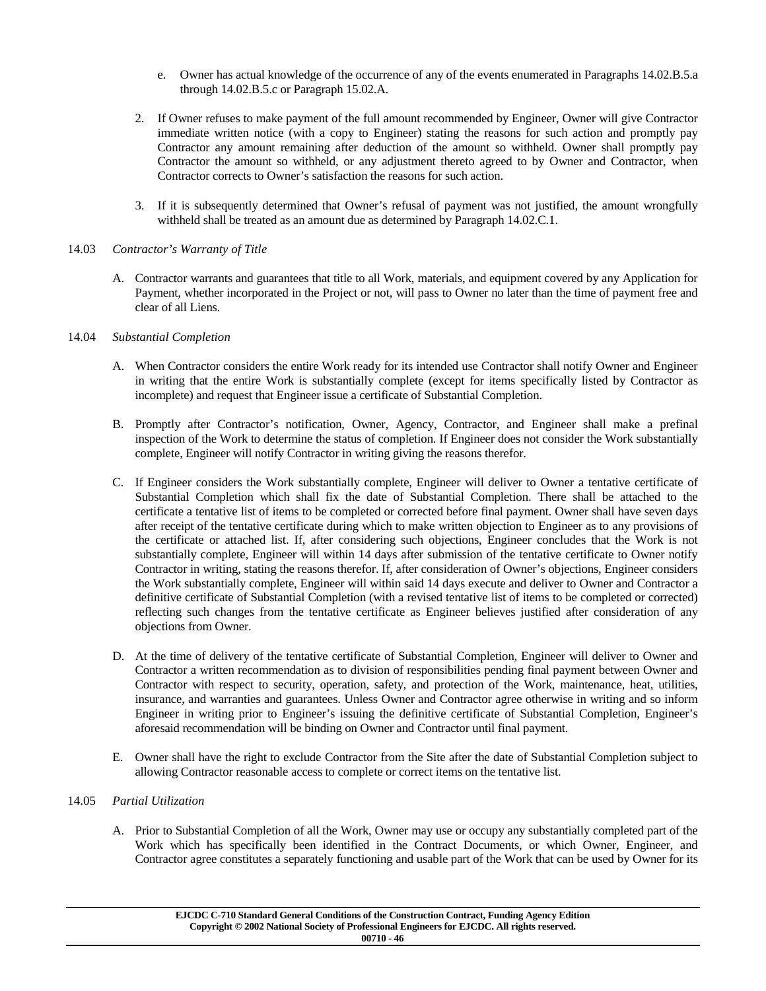- e. Owner has actual knowledge of the occurrence of any of the events enumerated in Paragraphs 14.02.B.5.a through 14.02.B.5.c or Paragraph 15.02.A.
- 2. If Owner refuses to make payment of the full amount recommended by Engineer, Owner will give Contractor immediate written notice (with a copy to Engineer) stating the reasons for such action and promptly pay Contractor any amount remaining after deduction of the amount so withheld. Owner shall promptly pay Contractor the amount so withheld, or any adjustment thereto agreed to by Owner and Contractor, when Contractor corrects to Owner's satisfaction the reasons for such action.
- 3. If it is subsequently determined that Owner's refusal of payment was not justified, the amount wrongfully withheld shall be treated as an amount due as determined by Paragraph 14.02.C.1.
- 14.03 *Contractor's Warranty of Title*
	- A. Contractor warrants and guarantees that title to all Work, materials, and equipment covered by any Application for Payment, whether incorporated in the Project or not, will pass to Owner no later than the time of payment free and clear of all Liens.
- 14.04 *Substantial Completion*
	- A. When Contractor considers the entire Work ready for its intended use Contractor shall notify Owner and Engineer in writing that the entire Work is substantially complete (except for items specifically listed by Contractor as incomplete) and request that Engineer issue a certificate of Substantial Completion.
	- B. Promptly after Contractor's notification, Owner, Agency, Contractor, and Engineer shall make a prefinal inspection of the Work to determine the status of completion. If Engineer does not consider the Work substantially complete, Engineer will notify Contractor in writing giving the reasons therefor.
	- C. If Engineer considers the Work substantially complete, Engineer will deliver to Owner a tentative certificate of Substantial Completion which shall fix the date of Substantial Completion. There shall be attached to the certificate a tentative list of items to be completed or corrected before final payment. Owner shall have seven days after receipt of the tentative certificate during which to make written objection to Engineer as to any provisions of the certificate or attached list. If, after considering such objections, Engineer concludes that the Work is not substantially complete, Engineer will within 14 days after submission of the tentative certificate to Owner notify Contractor in writing, stating the reasons therefor. If, after consideration of Owner's objections, Engineer considers the Work substantially complete, Engineer will within said 14 days execute and deliver to Owner and Contractor a definitive certificate of Substantial Completion (with a revised tentative list of items to be completed or corrected) reflecting such changes from the tentative certificate as Engineer believes justified after consideration of any objections from Owner.
	- D. At the time of delivery of the tentative certificate of Substantial Completion, Engineer will deliver to Owner and Contractor a written recommendation as to division of responsibilities pending final payment between Owner and Contractor with respect to security, operation, safety, and protection of the Work, maintenance, heat, utilities, insurance, and warranties and guarantees. Unless Owner and Contractor agree otherwise in writing and so inform Engineer in writing prior to Engineer's issuing the definitive certificate of Substantial Completion, Engineer's aforesaid recommendation will be binding on Owner and Contractor until final payment.
	- E. Owner shall have the right to exclude Contractor from the Site after the date of Substantial Completion subject to allowing Contractor reasonable access to complete or correct items on the tentative list.
- 14.05 *Partial Utilization*
	- A. Prior to Substantial Completion of all the Work, Owner may use or occupy any substantially completed part of the Work which has specifically been identified in the Contract Documents, or which Owner, Engineer, and Contractor agree constitutes a separately functioning and usable part of the Work that can be used by Owner for its

#### **00710 - 46**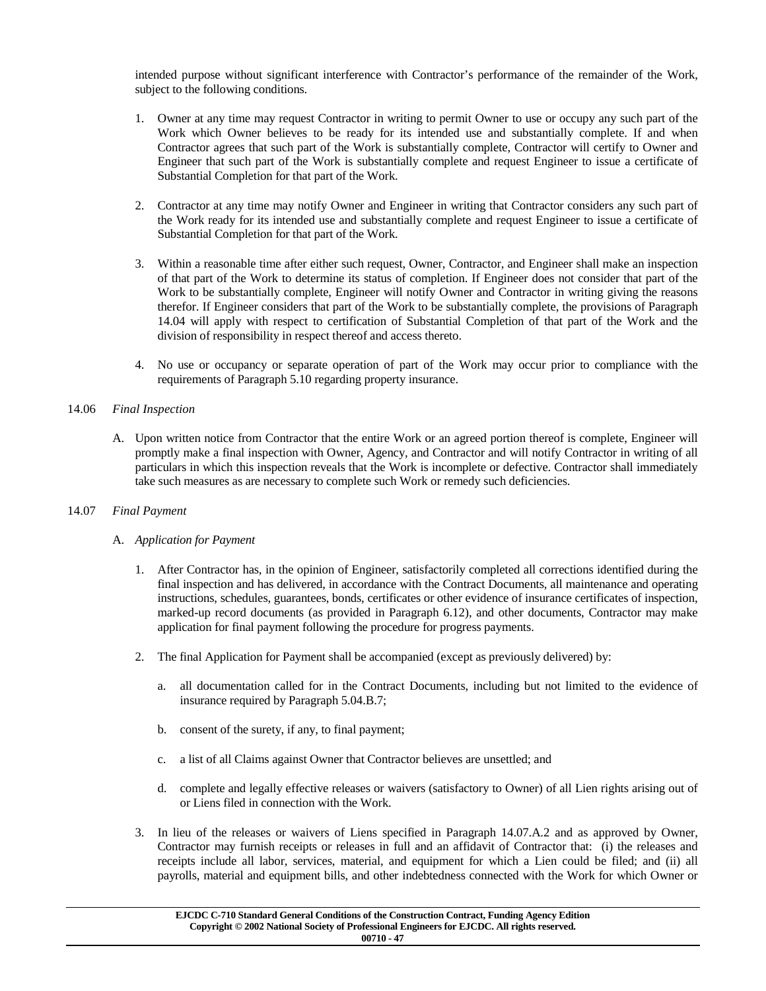intended purpose without significant interference with Contractor's performance of the remainder of the Work, subject to the following conditions.

- 1. Owner at any time may request Contractor in writing to permit Owner to use or occupy any such part of the Work which Owner believes to be ready for its intended use and substantially complete. If and when Contractor agrees that such part of the Work is substantially complete, Contractor will certify to Owner and Engineer that such part of the Work is substantially complete and request Engineer to issue a certificate of Substantial Completion for that part of the Work.
- 2. Contractor at any time may notify Owner and Engineer in writing that Contractor considers any such part of the Work ready for its intended use and substantially complete and request Engineer to issue a certificate of Substantial Completion for that part of the Work.
- 3. Within a reasonable time after either such request, Owner, Contractor, and Engineer shall make an inspection of that part of the Work to determine its status of completion. If Engineer does not consider that part of the Work to be substantially complete, Engineer will notify Owner and Contractor in writing giving the reasons therefor. If Engineer considers that part of the Work to be substantially complete, the provisions of Paragraph 14.04 will apply with respect to certification of Substantial Completion of that part of the Work and the division of responsibility in respect thereof and access thereto.
- 4. No use or occupancy or separate operation of part of the Work may occur prior to compliance with the requirements of Paragraph 5.10 regarding property insurance.

#### 14.06 *Final Inspection*

A. Upon written notice from Contractor that the entire Work or an agreed portion thereof is complete, Engineer will promptly make a final inspection with Owner, Agency, and Contractor and will notify Contractor in writing of all particulars in which this inspection reveals that the Work is incomplete or defective. Contractor shall immediately take such measures as are necessary to complete such Work or remedy such deficiencies.

#### 14.07 *Final Payment*

#### A. *Application for Payment*

- 1. After Contractor has, in the opinion of Engineer, satisfactorily completed all corrections identified during the final inspection and has delivered, in accordance with the Contract Documents, all maintenance and operating instructions, schedules, guarantees, bonds, certificates or other evidence of insurance certificates of inspection, marked-up record documents (as provided in Paragraph 6.12), and other documents, Contractor may make application for final payment following the procedure for progress payments.
- 2. The final Application for Payment shall be accompanied (except as previously delivered) by:
	- a. all documentation called for in the Contract Documents, including but not limited to the evidence of insurance required by Paragraph 5.04.B.7;
	- b. consent of the surety, if any, to final payment;
	- c. a list of all Claims against Owner that Contractor believes are unsettled; and
	- d. complete and legally effective releases or waivers (satisfactory to Owner) of all Lien rights arising out of or Liens filed in connection with the Work.
- 3. In lieu of the releases or waivers of Liens specified in Paragraph 14.07.A.2 and as approved by Owner, Contractor may furnish receipts or releases in full and an affidavit of Contractor that: (i) the releases and receipts include all labor, services, material, and equipment for which a Lien could be filed; and (ii) all payrolls, material and equipment bills, and other indebtedness connected with the Work for which Owner or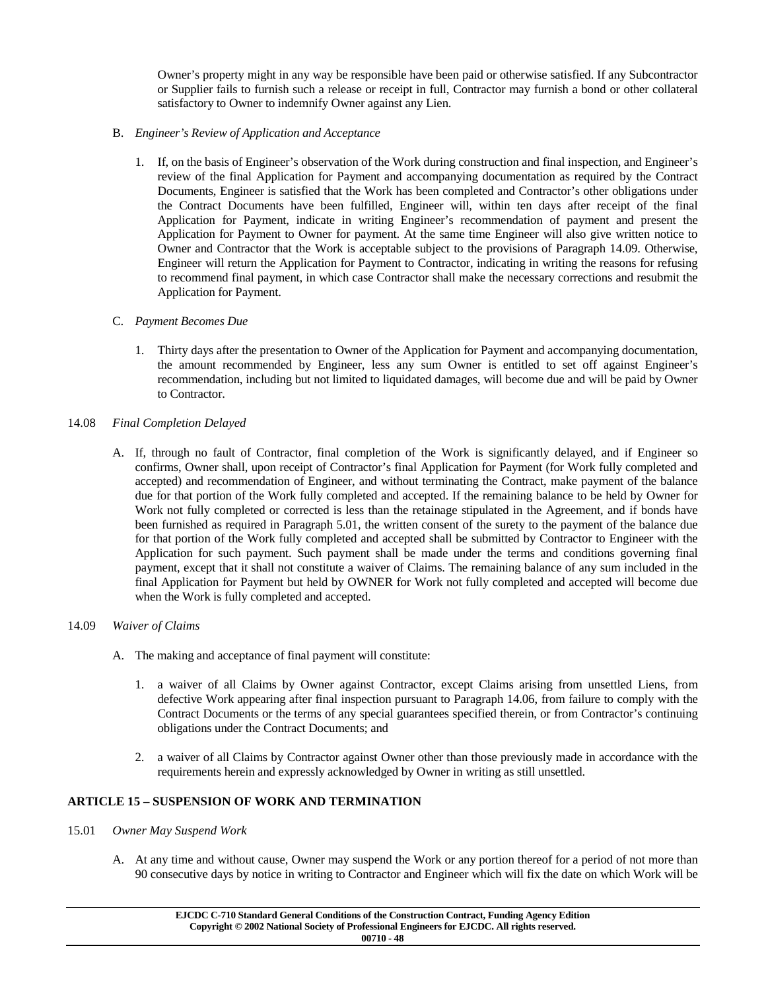Owner's property might in any way be responsible have been paid or otherwise satisfied. If any Subcontractor or Supplier fails to furnish such a release or receipt in full, Contractor may furnish a bond or other collateral satisfactory to Owner to indemnify Owner against any Lien.

- B. *Engineer's Review of Application and Acceptance*
	- 1. If, on the basis of Engineer's observation of the Work during construction and final inspection, and Engineer's review of the final Application for Payment and accompanying documentation as required by the Contract Documents, Engineer is satisfied that the Work has been completed and Contractor's other obligations under the Contract Documents have been fulfilled, Engineer will, within ten days after receipt of the final Application for Payment, indicate in writing Engineer's recommendation of payment and present the Application for Payment to Owner for payment. At the same time Engineer will also give written notice to Owner and Contractor that the Work is acceptable subject to the provisions of Paragraph 14.09. Otherwise, Engineer will return the Application for Payment to Contractor, indicating in writing the reasons for refusing to recommend final payment, in which case Contractor shall make the necessary corrections and resubmit the Application for Payment.

#### C. *Payment Becomes Due*

1. Thirty days after the presentation to Owner of the Application for Payment and accompanying documentation, the amount recommended by Engineer, less any sum Owner is entitled to set off against Engineer's recommendation, including but not limited to liquidated damages, will become due and will be paid by Owner to Contractor.

#### 14.08 *Final Completion Delayed*

A. If, through no fault of Contractor, final completion of the Work is significantly delayed, and if Engineer so confirms, Owner shall, upon receipt of Contractor's final Application for Payment (for Work fully completed and accepted) and recommendation of Engineer, and without terminating the Contract, make payment of the balance due for that portion of the Work fully completed and accepted. If the remaining balance to be held by Owner for Work not fully completed or corrected is less than the retainage stipulated in the Agreement, and if bonds have been furnished as required in Paragraph 5.01, the written consent of the surety to the payment of the balance due for that portion of the Work fully completed and accepted shall be submitted by Contractor to Engineer with the Application for such payment. Such payment shall be made under the terms and conditions governing final payment, except that it shall not constitute a waiver of Claims. The remaining balance of any sum included in the final Application for Payment but held by OWNER for Work not fully completed and accepted will become due when the Work is fully completed and accepted.

#### 14.09 *Waiver of Claims*

- A. The making and acceptance of final payment will constitute:
	- 1. a waiver of all Claims by Owner against Contractor, except Claims arising from unsettled Liens, from defective Work appearing after final inspection pursuant to Paragraph 14.06, from failure to comply with the Contract Documents or the terms of any special guarantees specified therein, or from Contractor's continuing obligations under the Contract Documents; and
	- 2. a waiver of all Claims by Contractor against Owner other than those previously made in accordance with the requirements herein and expressly acknowledged by Owner in writing as still unsettled.

#### **ARTICLE 15 – SUSPENSION OF WORK AND TERMINATION**

- 15.01 *Owner May Suspend Work*
	- A. At any time and without cause, Owner may suspend the Work or any portion thereof for a period of not more than 90 consecutive days by notice in writing to Contractor and Engineer which will fix the date on which Work will be

**EJCDC C-710 Standard General Conditions of the Construction Contract, Funding Agency Edition Copyright © 2002 National Society of Professional Engineers for EJCDC. All rights reserved.**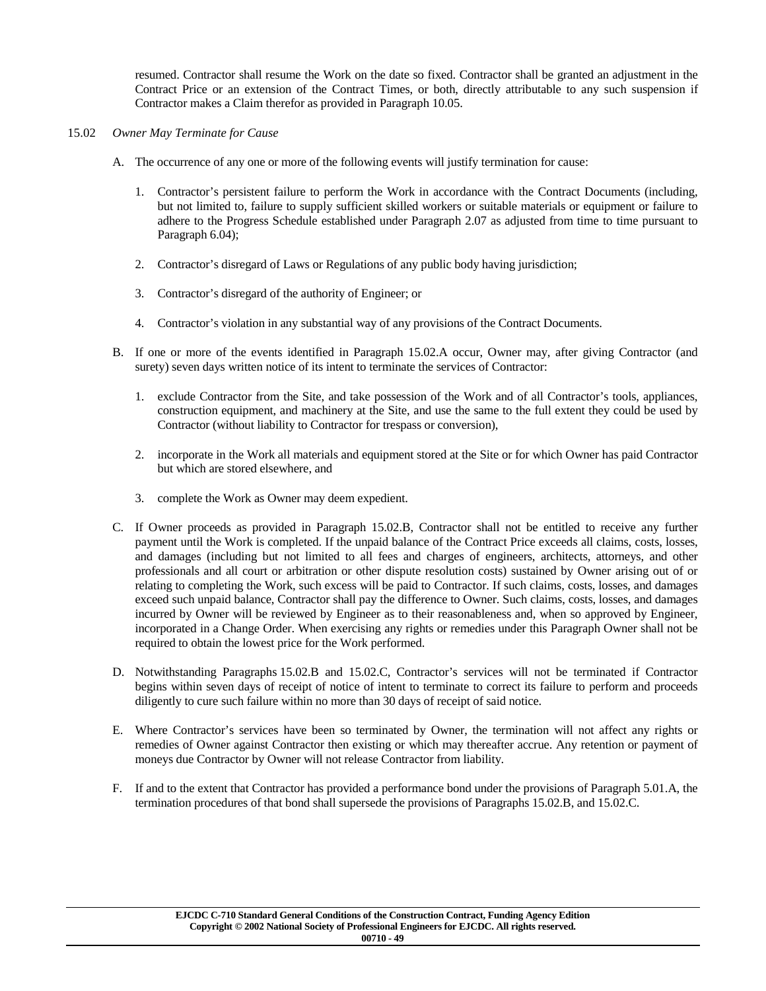resumed. Contractor shall resume the Work on the date so fixed. Contractor shall be granted an adjustment in the Contract Price or an extension of the Contract Times, or both, directly attributable to any such suspension if Contractor makes a Claim therefor as provided in Paragraph 10.05.

- 15.02 *Owner May Terminate for Cause*
	- A. The occurrence of any one or more of the following events will justify termination for cause:
		- 1. Contractor's persistent failure to perform the Work in accordance with the Contract Documents (including, but not limited to, failure to supply sufficient skilled workers or suitable materials or equipment or failure to adhere to the Progress Schedule established under Paragraph 2.07 as adjusted from time to time pursuant to Paragraph 6.04);
		- 2. Contractor's disregard of Laws or Regulations of any public body having jurisdiction;
		- 3. Contractor's disregard of the authority of Engineer; or
		- 4. Contractor's violation in any substantial way of any provisions of the Contract Documents.
	- B. If one or more of the events identified in Paragraph 15.02.A occur, Owner may, after giving Contractor (and surety) seven days written notice of its intent to terminate the services of Contractor:
		- 1. exclude Contractor from the Site, and take possession of the Work and of all Contractor's tools, appliances, construction equipment, and machinery at the Site, and use the same to the full extent they could be used by Contractor (without liability to Contractor for trespass or conversion),
		- 2. incorporate in the Work all materials and equipment stored at the Site or for which Owner has paid Contractor but which are stored elsewhere, and
		- 3. complete the Work as Owner may deem expedient.
	- C. If Owner proceeds as provided in Paragraph 15.02.B, Contractor shall not be entitled to receive any further payment until the Work is completed. If the unpaid balance of the Contract Price exceeds all claims, costs, losses, and damages (including but not limited to all fees and charges of engineers, architects, attorneys, and other professionals and all court or arbitration or other dispute resolution costs) sustained by Owner arising out of or relating to completing the Work, such excess will be paid to Contractor. If such claims, costs, losses, and damages exceed such unpaid balance, Contractor shall pay the difference to Owner. Such claims, costs, losses, and damages incurred by Owner will be reviewed by Engineer as to their reasonableness and, when so approved by Engineer, incorporated in a Change Order. When exercising any rights or remedies under this Paragraph Owner shall not be required to obtain the lowest price for the Work performed.
	- D. Notwithstanding Paragraphs 15.02.B and 15.02.C, Contractor's services will not be terminated if Contractor begins within seven days of receipt of notice of intent to terminate to correct its failure to perform and proceeds diligently to cure such failure within no more than 30 days of receipt of said notice.
	- E. Where Contractor's services have been so terminated by Owner, the termination will not affect any rights or remedies of Owner against Contractor then existing or which may thereafter accrue. Any retention or payment of moneys due Contractor by Owner will not release Contractor from liability.
	- F. If and to the extent that Contractor has provided a performance bond under the provisions of Paragraph 5.01.A, the termination procedures of that bond shall supersede the provisions of Paragraphs 15.02.B, and 15.02.C.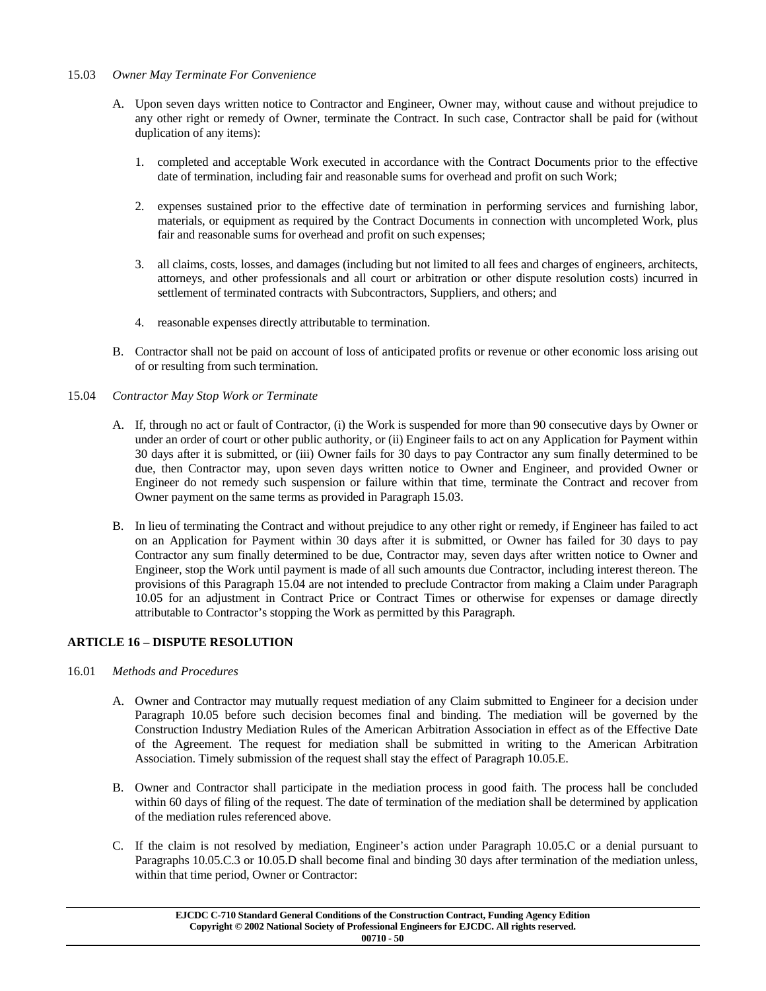#### 15.03 *Owner May Terminate For Convenience*

- A. Upon seven days written notice to Contractor and Engineer, Owner may, without cause and without prejudice to any other right or remedy of Owner, terminate the Contract. In such case, Contractor shall be paid for (without duplication of any items):
	- 1. completed and acceptable Work executed in accordance with the Contract Documents prior to the effective date of termination, including fair and reasonable sums for overhead and profit on such Work;
	- 2. expenses sustained prior to the effective date of termination in performing services and furnishing labor, materials, or equipment as required by the Contract Documents in connection with uncompleted Work, plus fair and reasonable sums for overhead and profit on such expenses;
	- 3. all claims, costs, losses, and damages (including but not limited to all fees and charges of engineers, architects, attorneys, and other professionals and all court or arbitration or other dispute resolution costs) incurred in settlement of terminated contracts with Subcontractors, Suppliers, and others; and
	- 4. reasonable expenses directly attributable to termination.
- B. Contractor shall not be paid on account of loss of anticipated profits or revenue or other economic loss arising out of or resulting from such termination.

#### 15.04 *Contractor May Stop Work or Terminate*

- A. If, through no act or fault of Contractor, (i) the Work is suspended for more than 90 consecutive days by Owner or under an order of court or other public authority, or (ii) Engineer fails to act on any Application for Payment within 30 days after it is submitted, or (iii) Owner fails for 30 days to pay Contractor any sum finally determined to be due, then Contractor may, upon seven days written notice to Owner and Engineer, and provided Owner or Engineer do not remedy such suspension or failure within that time, terminate the Contract and recover from Owner payment on the same terms as provided in Paragraph 15.03.
- B. In lieu of terminating the Contract and without prejudice to any other right or remedy, if Engineer has failed to act on an Application for Payment within 30 days after it is submitted, or Owner has failed for 30 days to pay Contractor any sum finally determined to be due, Contractor may, seven days after written notice to Owner and Engineer, stop the Work until payment is made of all such amounts due Contractor, including interest thereon. The provisions of this Paragraph 15.04 are not intended to preclude Contractor from making a Claim under Paragraph 10.05 for an adjustment in Contract Price or Contract Times or otherwise for expenses or damage directly attributable to Contractor's stopping the Work as permitted by this Paragraph.

#### **ARTICLE 16 – DISPUTE RESOLUTION**

- 16.01 *Methods and Procedures*
	- A. Owner and Contractor may mutually request mediation of any Claim submitted to Engineer for a decision under Paragraph 10.05 before such decision becomes final and binding. The mediation will be governed by the Construction Industry Mediation Rules of the American Arbitration Association in effect as of the Effective Date of the Agreement. The request for mediation shall be submitted in writing to the American Arbitration Association. Timely submission of the request shall stay the effect of Paragraph 10.05.E.
	- B. Owner and Contractor shall participate in the mediation process in good faith. The process hall be concluded within 60 days of filing of the request. The date of termination of the mediation shall be determined by application of the mediation rules referenced above.
	- C. If the claim is not resolved by mediation, Engineer's action under Paragraph 10.05.C or a denial pursuant to Paragraphs 10.05.C.3 or 10.05.D shall become final and binding 30 days after termination of the mediation unless, within that time period, Owner or Contractor:

**EJCDC C-710 Standard General Conditions of the Construction Contract, Funding Agency Edition Copyright © 2002 National Society of Professional Engineers for EJCDC. All rights reserved.**

#### **00710 - 50**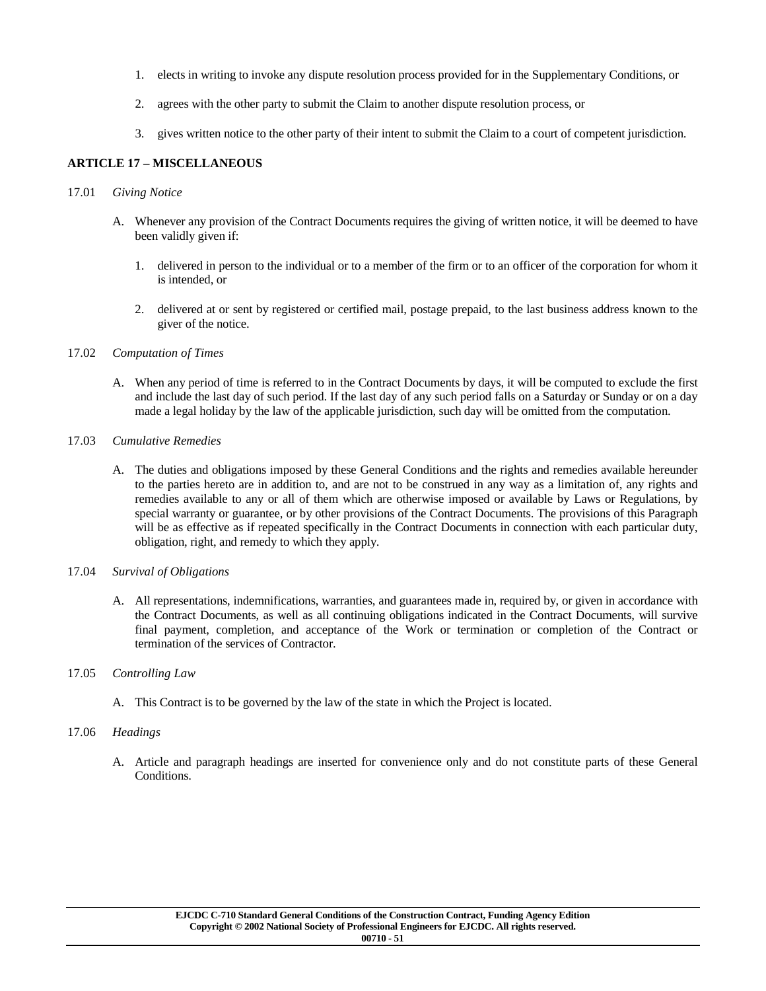- 1. elects in writing to invoke any dispute resolution process provided for in the Supplementary Conditions, or
- 2. agrees with the other party to submit the Claim to another dispute resolution process, or
- 3. gives written notice to the other party of their intent to submit the Claim to a court of competent jurisdiction.

#### **ARTICLE 17 – MISCELLANEOUS**

#### 17.01 *Giving Notice*

- A. Whenever any provision of the Contract Documents requires the giving of written notice, it will be deemed to have been validly given if:
	- 1. delivered in person to the individual or to a member of the firm or to an officer of the corporation for whom it is intended, or
	- 2. delivered at or sent by registered or certified mail, postage prepaid, to the last business address known to the giver of the notice.

#### 17.02 *Computation of Times*

A. When any period of time is referred to in the Contract Documents by days, it will be computed to exclude the first and include the last day of such period. If the last day of any such period falls on a Saturday or Sunday or on a day made a legal holiday by the law of the applicable jurisdiction, such day will be omitted from the computation.

#### 17.03 *Cumulative Remedies*

A. The duties and obligations imposed by these General Conditions and the rights and remedies available hereunder to the parties hereto are in addition to, and are not to be construed in any way as a limitation of, any rights and remedies available to any or all of them which are otherwise imposed or available by Laws or Regulations, by special warranty or guarantee, or by other provisions of the Contract Documents. The provisions of this Paragraph will be as effective as if repeated specifically in the Contract Documents in connection with each particular duty, obligation, right, and remedy to which they apply.

#### 17.04 *Survival of Obligations*

A. All representations, indemnifications, warranties, and guarantees made in, required by, or given in accordance with the Contract Documents, as well as all continuing obligations indicated in the Contract Documents, will survive final payment, completion, and acceptance of the Work or termination or completion of the Contract or termination of the services of Contractor.

#### 17.05 *Controlling Law*

A. This Contract is to be governed by the law of the state in which the Project is located.

#### 17.06 *Headings*

A. Article and paragraph headings are inserted for convenience only and do not constitute parts of these General Conditions.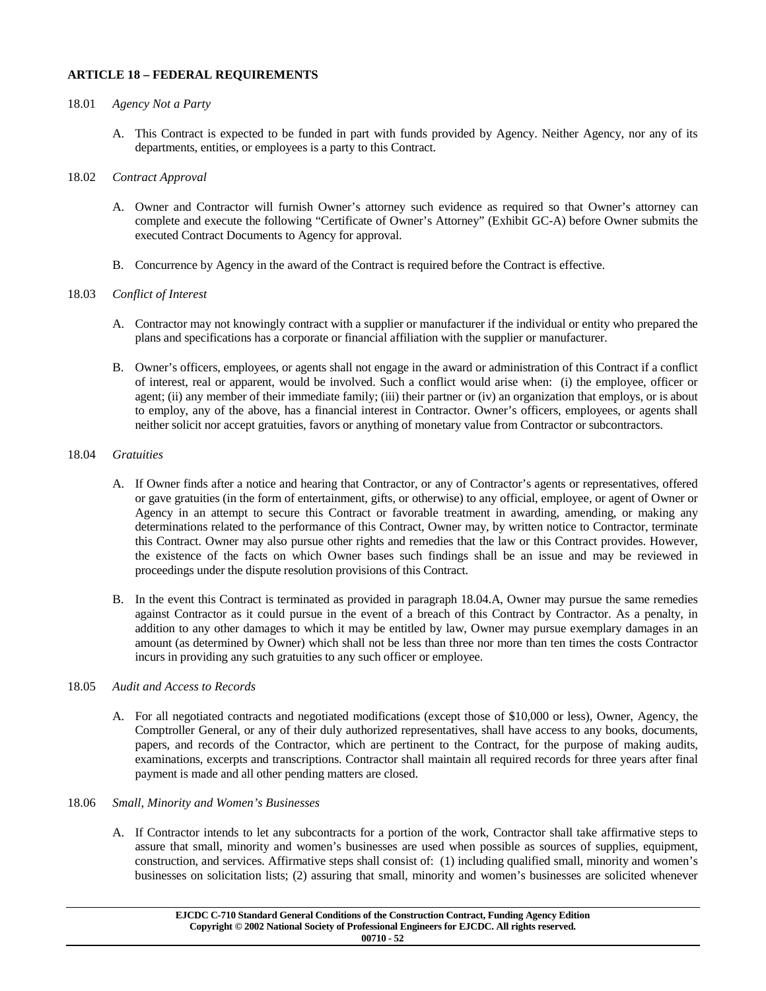#### **ARTICLE 18 – FEDERAL REQUIREMENTS**

#### 18.01 *Agency Not a Party*

A. This Contract is expected to be funded in part with funds provided by Agency. Neither Agency, nor any of its departments, entities, or employees is a party to this Contract.

#### 18.02 *Contract Approval*

- A. Owner and Contractor will furnish Owner's attorney such evidence as required so that Owner's attorney can complete and execute the following "Certificate of Owner's Attorney" (Exhibit GC-A) before Owner submits the executed Contract Documents to Agency for approval.
- B. Concurrence by Agency in the award of the Contract is required before the Contract is effective.

#### 18.03 *Conflict of Interest*

- A. Contractor may not knowingly contract with a supplier or manufacturer if the individual or entity who prepared the plans and specifications has a corporate or financial affiliation with the supplier or manufacturer.
- B. Owner's officers, employees, or agents shall not engage in the award or administration of this Contract if a conflict of interest, real or apparent, would be involved. Such a conflict would arise when: (i) the employee, officer or agent; (ii) any member of their immediate family; (iii) their partner or (iv) an organization that employs, or is about to employ, any of the above, has a financial interest in Contractor. Owner's officers, employees, or agents shall neither solicit nor accept gratuities, favors or anything of monetary value from Contractor or subcontractors.

#### 18.04 *Gratuities*

- A. If Owner finds after a notice and hearing that Contractor, or any of Contractor's agents or representatives, offered or gave gratuities (in the form of entertainment, gifts, or otherwise) to any official, employee, or agent of Owner or Agency in an attempt to secure this Contract or favorable treatment in awarding, amending, or making any determinations related to the performance of this Contract, Owner may, by written notice to Contractor, terminate this Contract. Owner may also pursue other rights and remedies that the law or this Contract provides. However, the existence of the facts on which Owner bases such findings shall be an issue and may be reviewed in proceedings under the dispute resolution provisions of this Contract.
- B. In the event this Contract is terminated as provided in paragraph 18.04.A, Owner may pursue the same remedies against Contractor as it could pursue in the event of a breach of this Contract by Contractor. As a penalty, in addition to any other damages to which it may be entitled by law, Owner may pursue exemplary damages in an amount (as determined by Owner) which shall not be less than three nor more than ten times the costs Contractor incurs in providing any such gratuities to any such officer or employee.

#### 18.05 *Audit and Access to Records*

A. For all negotiated contracts and negotiated modifications (except those of \$10,000 or less), Owner, Agency, the Comptroller General, or any of their duly authorized representatives, shall have access to any books, documents, papers, and records of the Contractor, which are pertinent to the Contract, for the purpose of making audits, examinations, excerpts and transcriptions. Contractor shall maintain all required records for three years after final payment is made and all other pending matters are closed.

#### 18.06 *Small, Minority and Women's Businesses*

A. If Contractor intends to let any subcontracts for a portion of the work, Contractor shall take affirmative steps to assure that small, minority and women's businesses are used when possible as sources of supplies, equipment, construction, and services. Affirmative steps shall consist of: (1) including qualified small, minority and women's businesses on solicitation lists; (2) assuring that small, minority and women's businesses are solicited whenever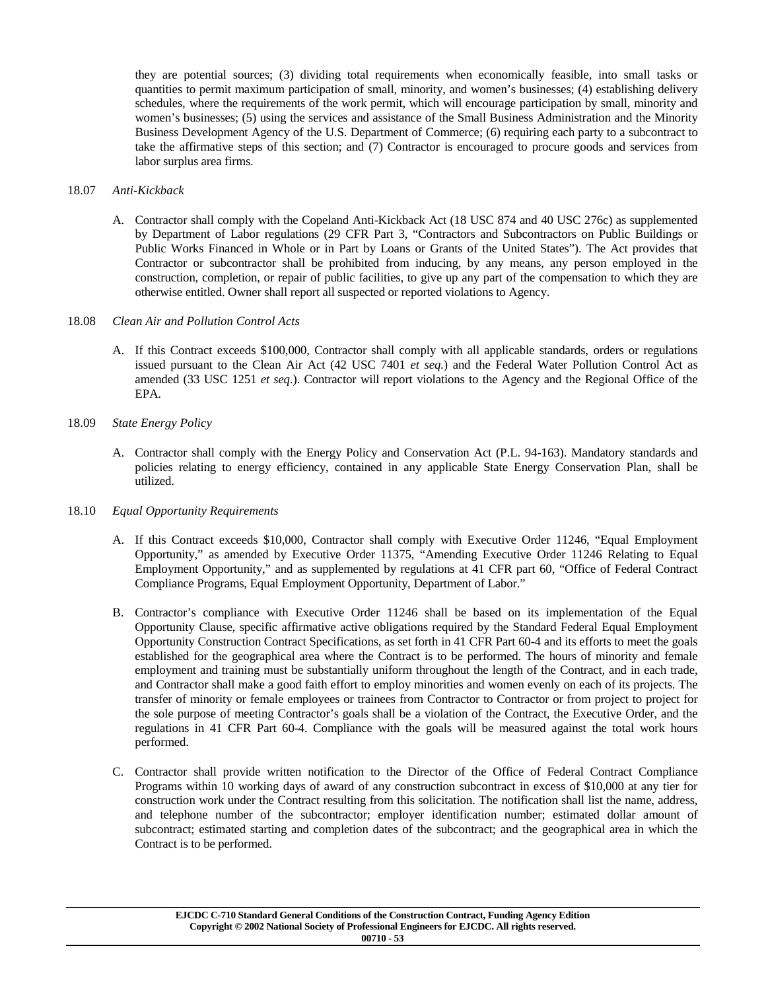they are potential sources; (3) dividing total requirements when economically feasible, into small tasks or quantities to permit maximum participation of small, minority, and women's businesses; (4) establishing delivery schedules, where the requirements of the work permit, which will encourage participation by small, minority and women's businesses; (5) using the services and assistance of the Small Business Administration and the Minority Business Development Agency of the U.S. Department of Commerce; (6) requiring each party to a subcontract to take the affirmative steps of this section; and (7) Contractor is encouraged to procure goods and services from labor surplus area firms.

#### 18.07 *Anti-Kickback*

A. Contractor shall comply with the Copeland Anti-Kickback Act (18 USC 874 and 40 USC 276c) as supplemented by Department of Labor regulations (29 CFR Part 3, "Contractors and Subcontractors on Public Buildings or Public Works Financed in Whole or in Part by Loans or Grants of the United States"). The Act provides that Contractor or subcontractor shall be prohibited from inducing, by any means, any person employed in the construction, completion, or repair of public facilities, to give up any part of the compensation to which they are otherwise entitled. Owner shall report all suspected or reported violations to Agency.

#### 18.08 *Clean Air and Pollution Control Acts*

- A. If this Contract exceeds \$100,000, Contractor shall comply with all applicable standards, orders or regulations issued pursuant to the Clean Air Act (42 USC 7401 *et seq.*) and the Federal Water Pollution Control Act as amended (33 USC 1251 *et seq*.). Contractor will report violations to the Agency and the Regional Office of the EPA.
- 18.09 *State Energy Policy*
	- A. Contractor shall comply with the Energy Policy and Conservation Act (P.L. 94-163). Mandatory standards and policies relating to energy efficiency, contained in any applicable State Energy Conservation Plan, shall be utilized.
- 18.10 *Equal Opportunity Requirements*
	- A. If this Contract exceeds \$10,000, Contractor shall comply with Executive Order 11246, "Equal Employment Opportunity," as amended by Executive Order 11375, "Amending Executive Order 11246 Relating to Equal Employment Opportunity," and as supplemented by regulations at 41 CFR part 60, "Office of Federal Contract Compliance Programs, Equal Employment Opportunity, Department of Labor."
	- B. Contractor's compliance with Executive Order 11246 shall be based on its implementation of the Equal Opportunity Clause, specific affirmative active obligations required by the Standard Federal Equal Employment Opportunity Construction Contract Specifications, as set forth in 41 CFR Part 60-4 and its efforts to meet the goals established for the geographical area where the Contract is to be performed. The hours of minority and female employment and training must be substantially uniform throughout the length of the Contract, and in each trade, and Contractor shall make a good faith effort to employ minorities and women evenly on each of its projects. The transfer of minority or female employees or trainees from Contractor to Contractor or from project to project for the sole purpose of meeting Contractor's goals shall be a violation of the Contract, the Executive Order, and the regulations in 41 CFR Part 60-4. Compliance with the goals will be measured against the total work hours performed.
	- C. Contractor shall provide written notification to the Director of the Office of Federal Contract Compliance Programs within 10 working days of award of any construction subcontract in excess of \$10,000 at any tier for construction work under the Contract resulting from this solicitation. The notification shall list the name, address, and telephone number of the subcontractor; employer identification number; estimated dollar amount of subcontract; estimated starting and completion dates of the subcontract; and the geographical area in which the Contract is to be performed.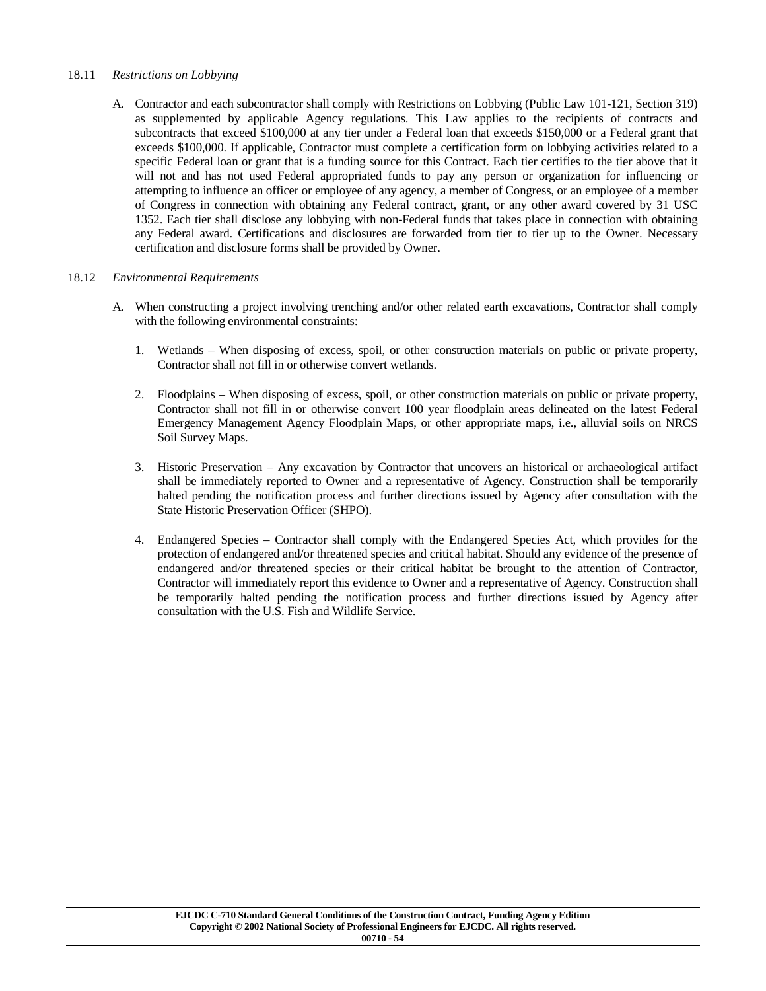#### 18.11 *Restrictions on Lobbying*

A. Contractor and each subcontractor shall comply with Restrictions on Lobbying (Public Law 101-121, Section 319) as supplemented by applicable Agency regulations. This Law applies to the recipients of contracts and subcontracts that exceed \$100,000 at any tier under a Federal loan that exceeds \$150,000 or a Federal grant that exceeds \$100,000. If applicable, Contractor must complete a certification form on lobbying activities related to a specific Federal loan or grant that is a funding source for this Contract. Each tier certifies to the tier above that it will not and has not used Federal appropriated funds to pay any person or organization for influencing or attempting to influence an officer or employee of any agency, a member of Congress, or an employee of a member of Congress in connection with obtaining any Federal contract, grant, or any other award covered by 31 USC 1352. Each tier shall disclose any lobbying with non-Federal funds that takes place in connection with obtaining any Federal award. Certifications and disclosures are forwarded from tier to tier up to the Owner. Necessary certification and disclosure forms shall be provided by Owner.

#### 18.12 *Environmental Requirements*

- A. When constructing a project involving trenching and/or other related earth excavations, Contractor shall comply with the following environmental constraints:
	- 1. Wetlands When disposing of excess, spoil, or other construction materials on public or private property, Contractor shall not fill in or otherwise convert wetlands.
	- 2. Floodplains When disposing of excess, spoil, or other construction materials on public or private property, Contractor shall not fill in or otherwise convert 100 year floodplain areas delineated on the latest Federal Emergency Management Agency Floodplain Maps, or other appropriate maps, i.e., alluvial soils on NRCS Soil Survey Maps.
	- 3. Historic Preservation Any excavation by Contractor that uncovers an historical or archaeological artifact shall be immediately reported to Owner and a representative of Agency. Construction shall be temporarily halted pending the notification process and further directions issued by Agency after consultation with the State Historic Preservation Officer (SHPO).
	- 4. Endangered Species Contractor shall comply with the Endangered Species Act, which provides for the protection of endangered and/or threatened species and critical habitat. Should any evidence of the presence of endangered and/or threatened species or their critical habitat be brought to the attention of Contractor, Contractor will immediately report this evidence to Owner and a representative of Agency. Construction shall be temporarily halted pending the notification process and further directions issued by Agency after consultation with the U.S. Fish and Wildlife Service.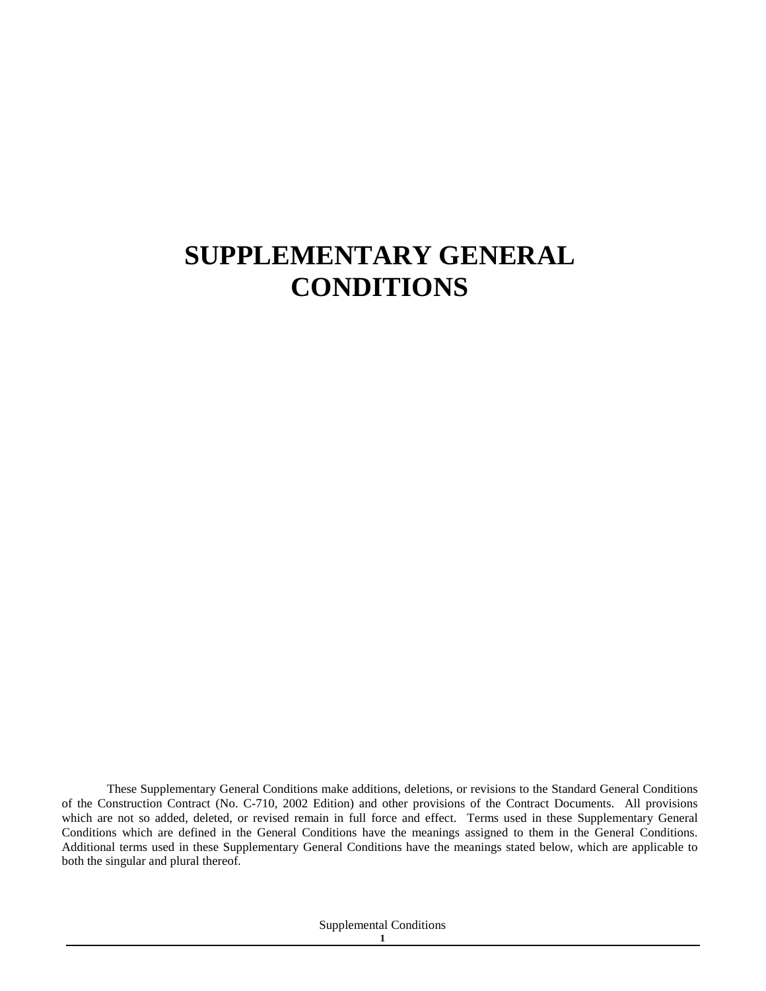# **SUPPLEMENTARY GENERAL CONDITIONS**

These Supplementary General Conditions make additions, deletions, or revisions to the Standard General Conditions of the Construction Contract (No. C-710, 2002 Edition) and other provisions of the Contract Documents. All provisions which are not so added, deleted, or revised remain in full force and effect. Terms used in these Supplementary General Conditions which are defined in the General Conditions have the meanings assigned to them in the General Conditions. Additional terms used in these Supplementary General Conditions have the meanings stated below, which are applicable to both the singular and plural thereof.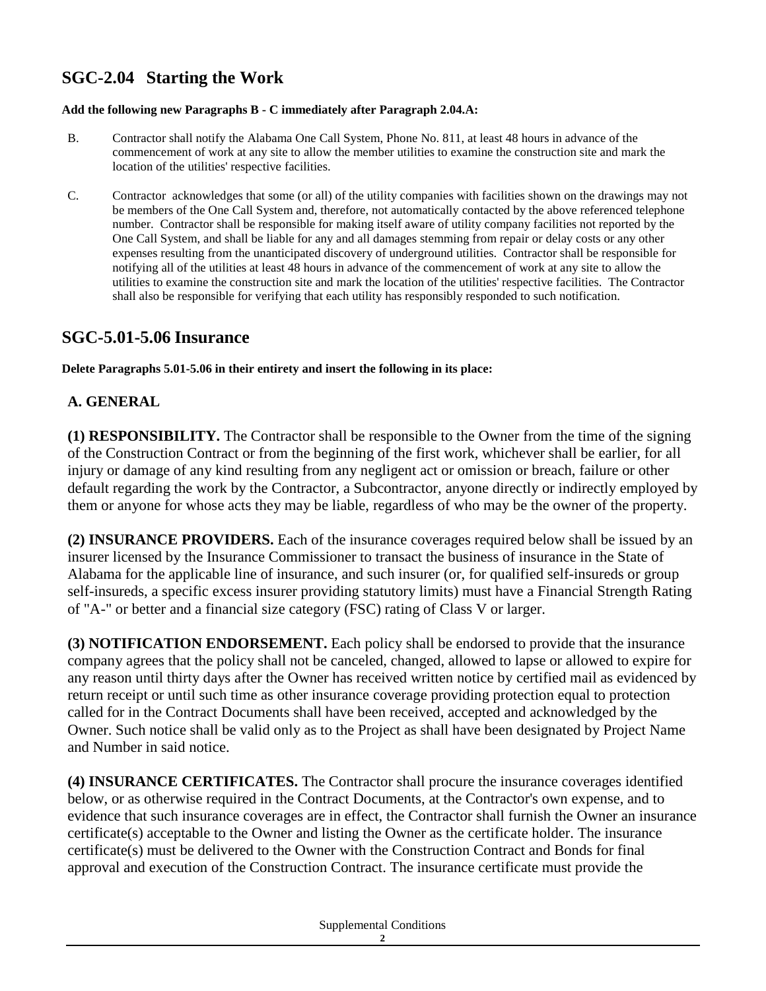# **SGC-2.04 Starting the Work**

### **Add the following new Paragraphs B - C immediately after Paragraph 2.04.A:**

- B. Contractor shall notify the Alabama One Call System, Phone No. 811, at least 48 hours in advance of the commencement of work at any site to allow the member utilities to examine the construction site and mark the location of the utilities' respective facilities.
- C. Contractor acknowledges that some (or all) of the utility companies with facilities shown on the drawings may not be members of the One Call System and, therefore, not automatically contacted by the above referenced telephone number. Contractor shall be responsible for making itself aware of utility company facilities not reported by the One Call System, and shall be liable for any and all damages stemming from repair or delay costs or any other expenses resulting from the unanticipated discovery of underground utilities. Contractor shall be responsible for notifying all of the utilities at least 48 hours in advance of the commencement of work at any site to allow the utilities to examine the construction site and mark the location of the utilities' respective facilities. The Contractor shall also be responsible for verifying that each utility has responsibly responded to such notification.

# **SGC-5.01-5.06 Insurance**

**Delete Paragraphs 5.01-5.06 in their entirety and insert the following in its place:**

## **A. GENERAL**

**(1) RESPONSIBILITY.** The Contractor shall be responsible to the Owner from the time of the signing of the Construction Contract or from the beginning of the first work, whichever shall be earlier, for all injury or damage of any kind resulting from any negligent act or omission or breach, failure or other default regarding the work by the Contractor, a Subcontractor, anyone directly or indirectly employed by them or anyone for whose acts they may be liable, regardless of who may be the owner of the property.

**(2) INSURANCE PROVIDERS.** Each of the insurance coverages required below shall be issued by an insurer licensed by the Insurance Commissioner to transact the business of insurance in the State of Alabama for the applicable line of insurance, and such insurer (or, for qualified self-insureds or group self-insureds, a specific excess insurer providing statutory limits) must have a Financial Strength Rating of "A-" or better and a financial size category (FSC) rating of Class V or larger.

**(3) NOTIFICATION ENDORSEMENT.** Each policy shall be endorsed to provide that the insurance company agrees that the policy shall not be canceled, changed, allowed to lapse or allowed to expire for any reason until thirty days after the Owner has received written notice by certified mail as evidenced by return receipt or until such time as other insurance coverage providing protection equal to protection called for in the Contract Documents shall have been received, accepted and acknowledged by the Owner. Such notice shall be valid only as to the Project as shall have been designated by Project Name and Number in said notice.

**(4) INSURANCE CERTIFICATES.** The Contractor shall procure the insurance coverages identified below, or as otherwise required in the Contract Documents, at the Contractor's own expense, and to evidence that such insurance coverages are in effect, the Contractor shall furnish the Owner an insurance certificate(s) acceptable to the Owner and listing the Owner as the certificate holder. The insurance certificate(s) must be delivered to the Owner with the Construction Contract and Bonds for final approval and execution of the Construction Contract. The insurance certificate must provide the

**2**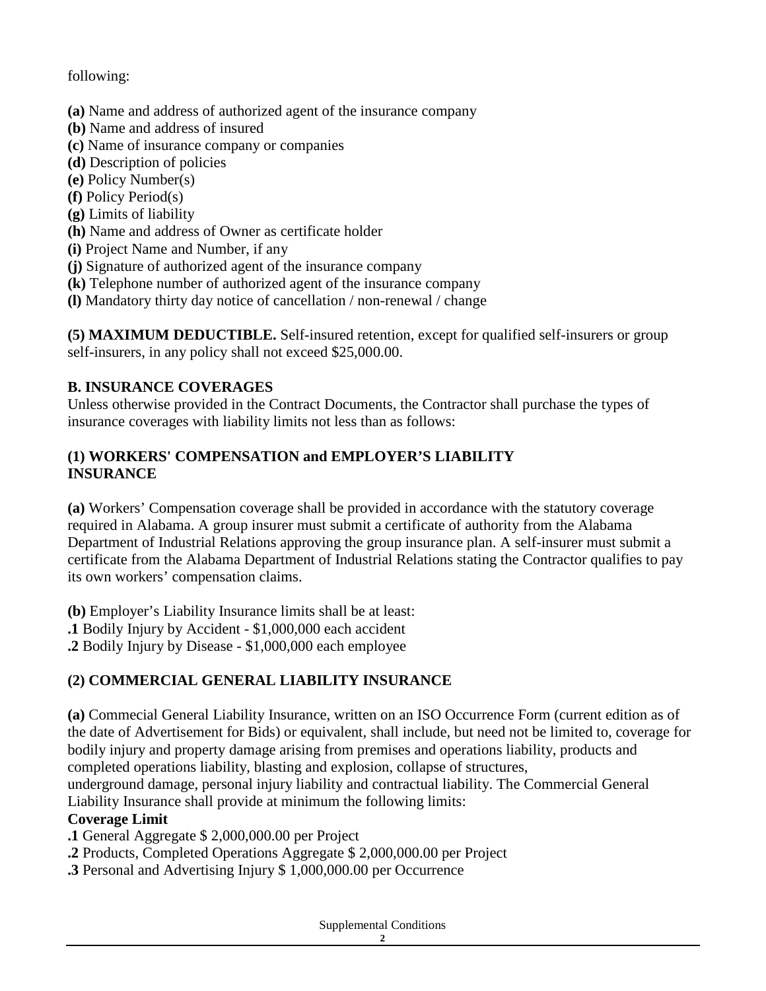# following:

- **(a)** Name and address of authorized agent of the insurance company
- **(b)** Name and address of insured
- **(c)** Name of insurance company or companies
- **(d)** Description of policies
- **(e)** Policy Number(s)
- **(f)** Policy Period(s)
- **(g)** Limits of liability
- **(h)** Name and address of Owner as certificate holder
- **(i)** Project Name and Number, if any
- **(j)** Signature of authorized agent of the insurance company
- **(k)** Telephone number of authorized agent of the insurance company
- **(l)** Mandatory thirty day notice of cancellation / non-renewal / change

**(5) MAXIMUM DEDUCTIBLE.** Self-insured retention, except for qualified self-insurers or group self-insurers, in any policy shall not exceed \$25,000.00.

# **B. INSURANCE COVERAGES**

Unless otherwise provided in the Contract Documents, the Contractor shall purchase the types of insurance coverages with liability limits not less than as follows:

# **(1) WORKERS' COMPENSATION and EMPLOYER'S LIABILITY INSURANCE**

**(a)** Workers' Compensation coverage shall be provided in accordance with the statutory coverage required in Alabama. A group insurer must submit a certificate of authority from the Alabama Department of Industrial Relations approving the group insurance plan. A self-insurer must submit a certificate from the Alabama Department of Industrial Relations stating the Contractor qualifies to pay its own workers' compensation claims.

**(b)** Employer's Liability Insurance limits shall be at least:

**.1** Bodily Injury by Accident - \$1,000,000 each accident

**.2** Bodily Injury by Disease - \$1,000,000 each employee

# **(2) COMMERCIAL GENERAL LIABILITY INSURANCE**

**(a)** Commecial General Liability Insurance, written on an ISO Occurrence Form (current edition as of the date of Advertisement for Bids) or equivalent, shall include, but need not be limited to, coverage for bodily injury and property damage arising from premises and operations liability, products and completed operations liability, blasting and explosion, collapse of structures,

underground damage, personal injury liability and contractual liability. The Commercial General Liability Insurance shall provide at minimum the following limits:

# **Coverage Limit**

- **.1** General Aggregate \$ 2,000,000.00 per Project
- **.2** Products, Completed Operations Aggregate \$ 2,000,000.00 per Project
- **.3** Personal and Advertising Injury \$ 1,000,000.00 per Occurrence

```
2
```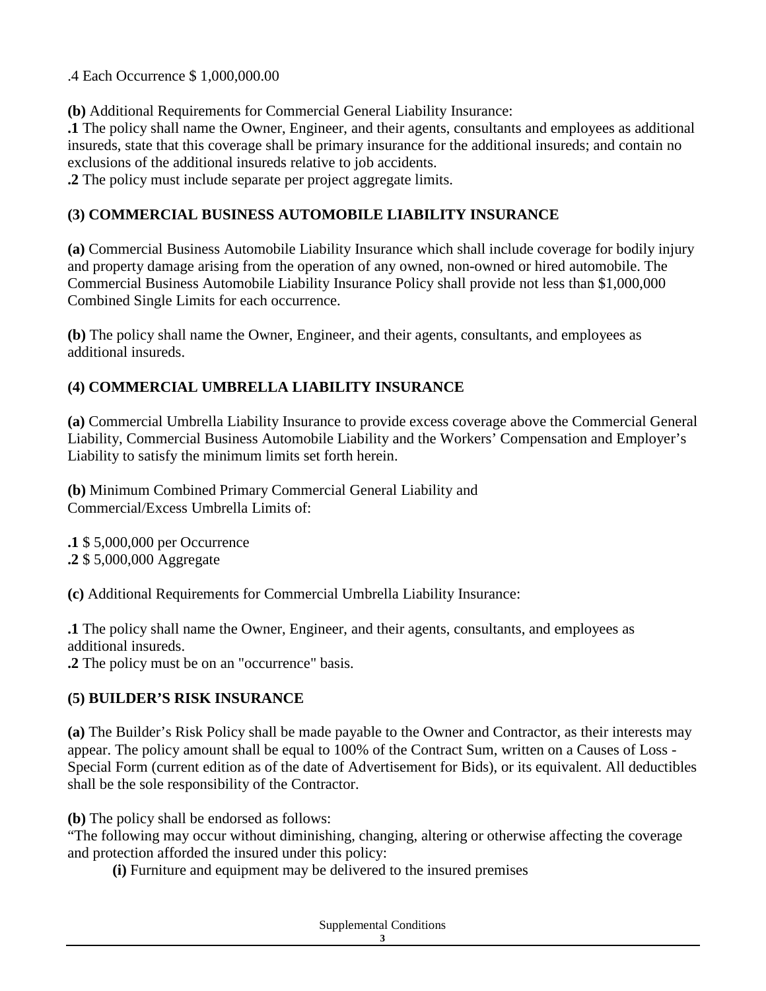.4 Each Occurrence \$ 1,000,000.00

**(b)** Additional Requirements for Commercial General Liability Insurance:

**.1** The policy shall name the Owner, Engineer, and their agents, consultants and employees as additional insureds, state that this coverage shall be primary insurance for the additional insureds; and contain no exclusions of the additional insureds relative to job accidents.

**.2** The policy must include separate per project aggregate limits.

# **(3) COMMERCIAL BUSINESS AUTOMOBILE LIABILITY INSURANCE**

**(a)** Commercial Business Automobile Liability Insurance which shall include coverage for bodily injury and property damage arising from the operation of any owned, non-owned or hired automobile. The Commercial Business Automobile Liability Insurance Policy shall provide not less than \$1,000,000 Combined Single Limits for each occurrence.

**(b)** The policy shall name the Owner, Engineer, and their agents, consultants, and employees as additional insureds.

# **(4) COMMERCIAL UMBRELLA LIABILITY INSURANCE**

**(a)** Commercial Umbrella Liability Insurance to provide excess coverage above the Commercial General Liability, Commercial Business Automobile Liability and the Workers' Compensation and Employer's Liability to satisfy the minimum limits set forth herein.

**(b)** Minimum Combined Primary Commercial General Liability and Commercial/Excess Umbrella Limits of:

**.1** \$ 5,000,000 per Occurrence **.2** \$ 5,000,000 Aggregate

**(c)** Additional Requirements for Commercial Umbrella Liability Insurance:

**.1** The policy shall name the Owner, Engineer, and their agents, consultants, and employees as additional insureds.

**.2** The policy must be on an "occurrence" basis.

# **(5) BUILDER'S RISK INSURANCE**

**(a)** The Builder's Risk Policy shall be made payable to the Owner and Contractor, as their interests may appear. The policy amount shall be equal to 100% of the Contract Sum, written on a Causes of Loss - Special Form (current edition as of the date of Advertisement for Bids), or its equivalent. All deductibles shall be the sole responsibility of the Contractor.

**(b)** The policy shall be endorsed as follows:

"The following may occur without diminishing, changing, altering or otherwise affecting the coverage and protection afforded the insured under this policy:

**(i)** Furniture and equipment may be delivered to the insured premises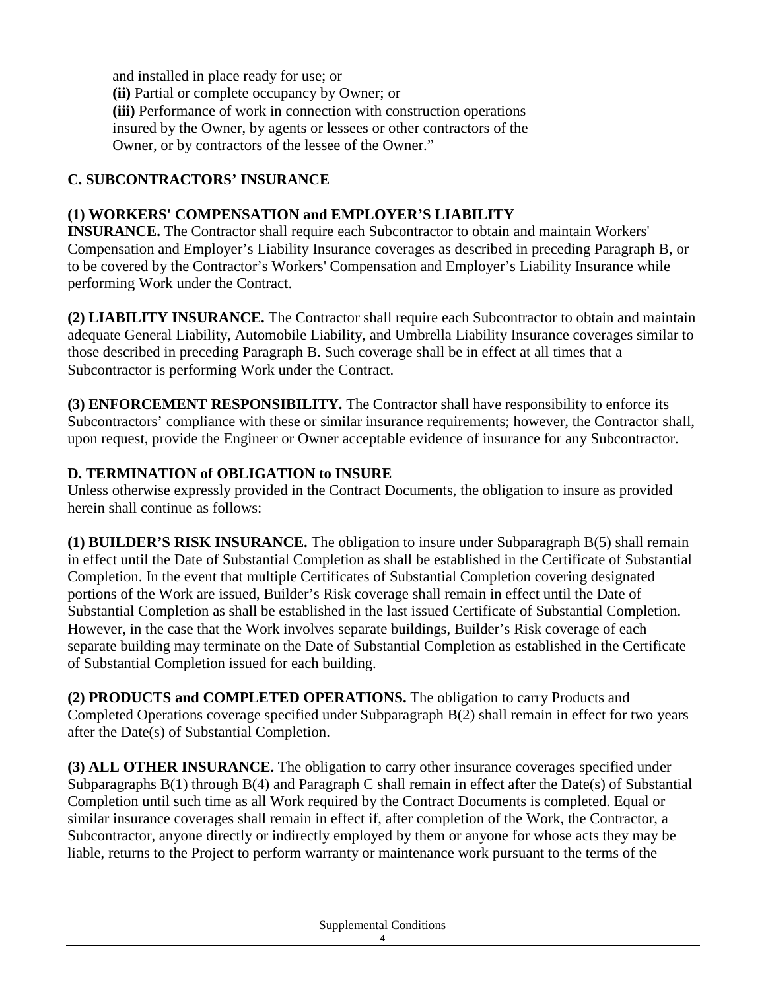and installed in place ready for use; or **(ii)** Partial or complete occupancy by Owner; or **(iii)** Performance of work in connection with construction operations insured by the Owner, by agents or lessees or other contractors of the Owner, or by contractors of the lessee of the Owner."

# **C. SUBCONTRACTORS' INSURANCE**

## **(1) WORKERS' COMPENSATION and EMPLOYER'S LIABILITY**

**INSURANCE.** The Contractor shall require each Subcontractor to obtain and maintain Workers' Compensation and Employer's Liability Insurance coverages as described in preceding Paragraph B, or to be covered by the Contractor's Workers' Compensation and Employer's Liability Insurance while performing Work under the Contract.

**(2) LIABILITY INSURANCE.** The Contractor shall require each Subcontractor to obtain and maintain adequate General Liability, Automobile Liability, and Umbrella Liability Insurance coverages similar to those described in preceding Paragraph B. Such coverage shall be in effect at all times that a Subcontractor is performing Work under the Contract.

**(3) ENFORCEMENT RESPONSIBILITY.** The Contractor shall have responsibility to enforce its Subcontractors' compliance with these or similar insurance requirements; however, the Contractor shall, upon request, provide the Engineer or Owner acceptable evidence of insurance for any Subcontractor.

## **D. TERMINATION of OBLIGATION to INSURE**

Unless otherwise expressly provided in the Contract Documents, the obligation to insure as provided herein shall continue as follows:

**(1) BUILDER'S RISK INSURANCE.** The obligation to insure under Subparagraph B(5) shall remain in effect until the Date of Substantial Completion as shall be established in the Certificate of Substantial Completion. In the event that multiple Certificates of Substantial Completion covering designated portions of the Work are issued, Builder's Risk coverage shall remain in effect until the Date of Substantial Completion as shall be established in the last issued Certificate of Substantial Completion. However, in the case that the Work involves separate buildings, Builder's Risk coverage of each separate building may terminate on the Date of Substantial Completion as established in the Certificate of Substantial Completion issued for each building.

**(2) PRODUCTS and COMPLETED OPERATIONS.** The obligation to carry Products and Completed Operations coverage specified under Subparagraph B(2) shall remain in effect for two years after the Date(s) of Substantial Completion.

**(3) ALL OTHER INSURANCE.** The obligation to carry other insurance coverages specified under Subparagraphs B(1) through B(4) and Paragraph C shall remain in effect after the Date(s) of Substantial Completion until such time as all Work required by the Contract Documents is completed. Equal or similar insurance coverages shall remain in effect if, after completion of the Work, the Contractor, a Subcontractor, anyone directly or indirectly employed by them or anyone for whose acts they may be liable, returns to the Project to perform warranty or maintenance work pursuant to the terms of the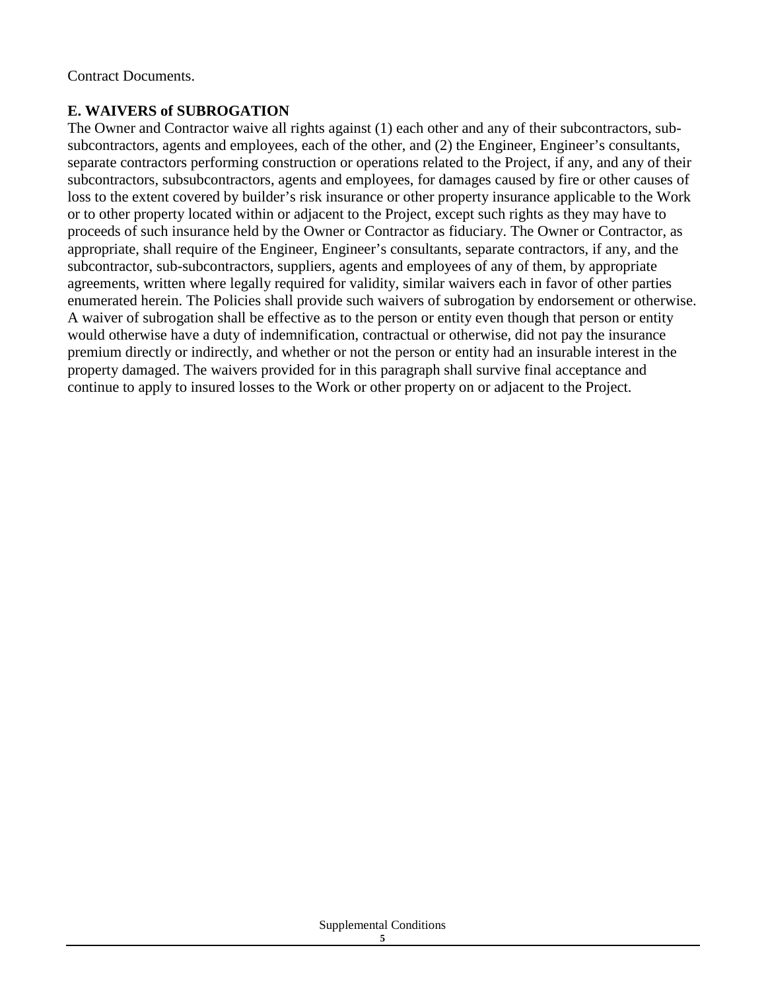Contract Documents.

## **E. WAIVERS of SUBROGATION**

The Owner and Contractor waive all rights against (1) each other and any of their subcontractors, subsubcontractors, agents and employees, each of the other, and (2) the Engineer, Engineer's consultants, separate contractors performing construction or operations related to the Project, if any, and any of their subcontractors, subsubcontractors, agents and employees, for damages caused by fire or other causes of loss to the extent covered by builder's risk insurance or other property insurance applicable to the Work or to other property located within or adjacent to the Project, except such rights as they may have to proceeds of such insurance held by the Owner or Contractor as fiduciary. The Owner or Contractor, as appropriate, shall require of the Engineer, Engineer's consultants, separate contractors, if any, and the subcontractor, sub-subcontractors, suppliers, agents and employees of any of them, by appropriate agreements, written where legally required for validity, similar waivers each in favor of other parties enumerated herein. The Policies shall provide such waivers of subrogation by endorsement or otherwise. A waiver of subrogation shall be effective as to the person or entity even though that person or entity would otherwise have a duty of indemnification, contractual or otherwise, did not pay the insurance premium directly or indirectly, and whether or not the person or entity had an insurable interest in the property damaged. The waivers provided for in this paragraph shall survive final acceptance and continue to apply to insured losses to the Work or other property on or adjacent to the Project.